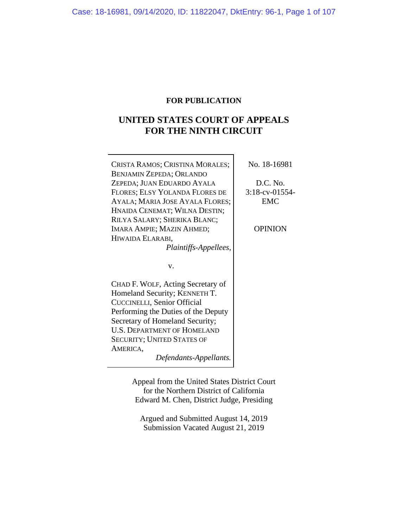# **FOR PUBLICATION**

# **UNITED STATES COURT OF APPEALS FOR THE NINTH CIRCUIT**

| CRISTA RAMOS; CRISTINA MORALES;<br><b>BENJAMIN ZEPEDA; ORLANDO</b><br>ZEPEDA; JUAN EDUARDO AYALA<br>FLORES; ELSY YOLANDA FLORES DE<br>AYALA; MARIA JOSE AYALA FLORES;<br>HNAIDA CENEMAT; WILNA DESTIN;                                                             | No. 18-16981<br>D.C. No.<br>3:18-cv-01554-<br><b>EMC</b> |
|--------------------------------------------------------------------------------------------------------------------------------------------------------------------------------------------------------------------------------------------------------------------|----------------------------------------------------------|
| RILYA SALARY; SHERIKA BLANC;<br>IMARA AMPIE; MAZIN AHMED;<br>HIWAIDA ELARABI,<br>Plaintiffs-Appellees,                                                                                                                                                             | <b>OPINION</b>                                           |
| v.                                                                                                                                                                                                                                                                 |                                                          |
| CHAD F. WOLF, Acting Secretary of<br>Homeland Security; KENNETH T.<br>CUCCINELLI, Senior Official<br>Performing the Duties of the Deputy<br>Secretary of Homeland Security;<br><b>U.S. DEPARTMENT OF HOMELAND</b><br><b>SECURITY; UNITED STATES OF</b><br>AMERICA, |                                                          |

*Defendants-Appellants.*

Appeal from the United States District Court for the Northern District of California Edward M. Chen, District Judge, Presiding

Argued and Submitted August 14, 2019 Submission Vacated August 21, 2019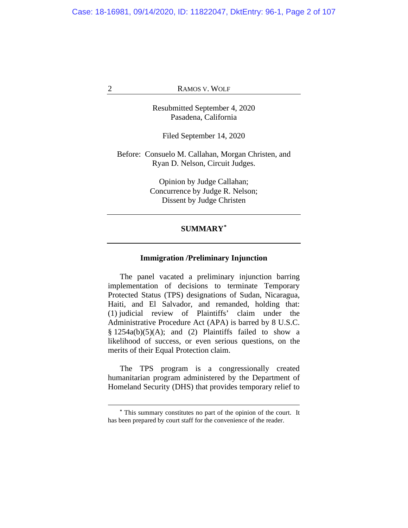Resubmitted September 4, 2020 Pasadena, California

Filed September 14, 2020

Before: Consuelo M. Callahan, Morgan Christen, and Ryan D. Nelson, Circuit Judges.

> Opinion by Judge Callahan; Concurrence by Judge R. Nelson; Dissent by Judge Christen

# **SUMMARY[\\*](#page-1-0)**

# **Immigration /Preliminary Injunction**

The panel vacated a preliminary injunction barring implementation of decisions to terminate Temporary Protected Status (TPS) designations of Sudan, Nicaragua, Haiti, and El Salvador, and remanded, holding that: (1) judicial review of Plaintiffs' claim under the Administrative Procedure Act (APA) is barred by 8 U.S.C.  $§ 1254a(b)(5)(A);$  and (2) Plaintiffs failed to show a likelihood of success, or even serious questions, on the merits of their Equal Protection claim.

The TPS program is a congressionally created humanitarian program administered by the Department of Homeland Security (DHS) that provides temporary relief to

<span id="page-1-0"></span>**<sup>\*</sup>** This summary constitutes no part of the opinion of the court. It has been prepared by court staff for the convenience of the reader.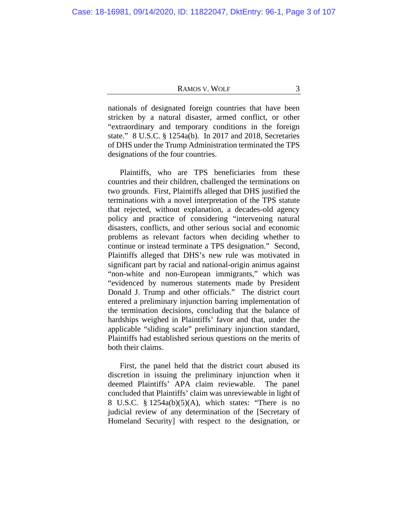nationals of designated foreign countries that have been stricken by a natural disaster, armed conflict, or other "extraordinary and temporary conditions in the foreign state." 8 U.S.C. § 1254a(b). In 2017 and 2018, Secretaries of DHS under the Trump Administration terminated the TPS designations of the four countries.

Plaintiffs, who are TPS beneficiaries from these countries and their children, challenged the terminations on two grounds. First, Plaintiffs alleged that DHS justified the terminations with a novel interpretation of the TPS statute that rejected, without explanation, a decades-old agency policy and practice of considering "intervening natural disasters, conflicts, and other serious social and economic problems as relevant factors when deciding whether to continue or instead terminate a TPS designation." Second, Plaintiffs alleged that DHS's new rule was motivated in significant part by racial and national-origin animus against "non-white and non-European immigrants," which was "evidenced by numerous statements made by President Donald J. Trump and other officials." The district court entered a preliminary injunction barring implementation of the termination decisions, concluding that the balance of hardships weighed in Plaintiffs' favor and that, under the applicable "sliding scale" preliminary injunction standard, Plaintiffs had established serious questions on the merits of both their claims.

First, the panel held that the district court abused its discretion in issuing the preliminary injunction when it deemed Plaintiffs' APA claim reviewable. The panel concluded that Plaintiffs' claim was unreviewable in light of 8 U.S.C. § 1254a(b)(5)(A), which states: "There is no judicial review of any determination of the [Secretary of Homeland Security] with respect to the designation, or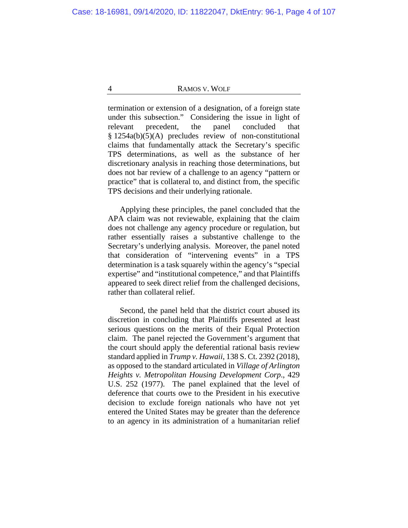termination or extension of a designation, of a foreign state under this subsection." Considering the issue in light of relevant precedent, the panel concluded that § 1254a(b)(5)(A) precludes review of non-constitutional claims that fundamentally attack the Secretary's specific TPS determinations, as well as the substance of her discretionary analysis in reaching those determinations, but does not bar review of a challenge to an agency "pattern or practice" that is collateral to, and distinct from, the specific TPS decisions and their underlying rationale.

Applying these principles, the panel concluded that the APA claim was not reviewable, explaining that the claim does not challenge any agency procedure or regulation, but rather essentially raises a substantive challenge to the Secretary's underlying analysis. Moreover, the panel noted that consideration of "intervening events" in a TPS determination is a task squarely within the agency's "special expertise" and "institutional competence," and that Plaintiffs appeared to seek direct relief from the challenged decisions, rather than collateral relief.

Second, the panel held that the district court abused its discretion in concluding that Plaintiffs presented at least serious questions on the merits of their Equal Protection claim. The panel rejected the Government's argument that the court should apply the deferential rational basis review standard applied in *Trump v. Hawaii*, 138 S. Ct. 2392 (2018), as opposed to the standard articulated in *Village of Arlington Heights v. Metropolitan Housing Development Corp*., 429 U.S. 252 (1977). The panel explained that the level of deference that courts owe to the President in his executive decision to exclude foreign nationals who have not yet entered the United States may be greater than the deference to an agency in its administration of a humanitarian relief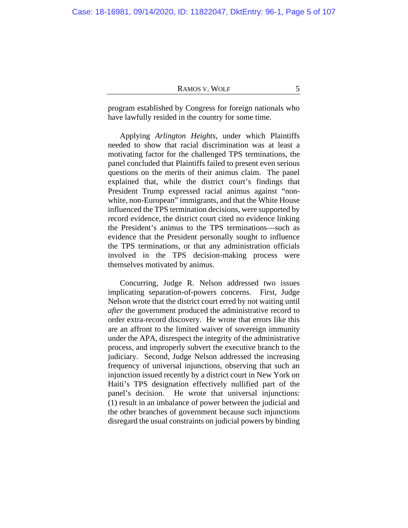program established by Congress for foreign nationals who have lawfully resided in the country for some time.

Applying *Arlington Heights*, under which Plaintiffs needed to show that racial discrimination was at least a motivating factor for the challenged TPS terminations, the panel concluded that Plaintiffs failed to present even serious questions on the merits of their animus claim. The panel explained that, while the district court's findings that President Trump expressed racial animus against "nonwhite, non-European" immigrants, and that the White House influenced the TPS termination decisions, were supported by record evidence, the district court cited no evidence linking the President's animus to the TPS terminations—such as evidence that the President personally sought to influence the TPS terminations, or that any administration officials involved in the TPS decision-making process were themselves motivated by animus.

Concurring, Judge R. Nelson addressed two issues implicating separation-of-powers concerns. First, Judge Nelson wrote that the district court erred by not waiting until *after* the government produced the administrative record to order extra-record discovery. He wrote that errors like this are an affront to the limited waiver of sovereign immunity under the APA, disrespect the integrity of the administrative process, and improperly subvert the executive branch to the judiciary. Second, Judge Nelson addressed the increasing frequency of universal injunctions, observing that such an injunction issued recently by a district court in New York on Haiti's TPS designation effectively nullified part of the panel's decision. He wrote that universal injunctions: (1) result in an imbalance of power between the judicial and the other branches of government because such injunctions disregard the usual constraints on judicial powers by binding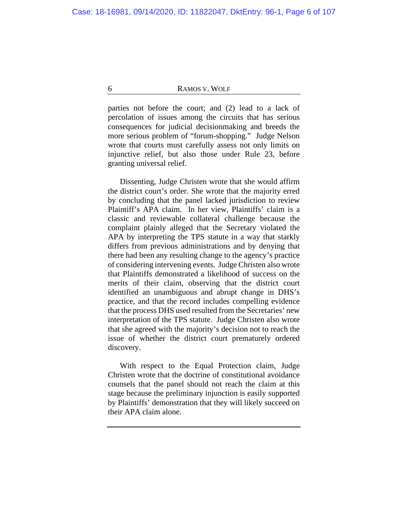parties not before the court; and (2) lead to a lack of percolation of issues among the circuits that has serious consequences for judicial decisionmaking and breeds the more serious problem of "forum-shopping." Judge Nelson wrote that courts must carefully assess not only limits on injunctive relief, but also those under Rule 23, before granting universal relief.

Dissenting, Judge Christen wrote that she would affirm the district court's order. She wrote that the majority erred by concluding that the panel lacked jurisdiction to review Plaintiff's APA claim. In her view, Plaintiffs' claim is a classic and reviewable collateral challenge because the complaint plainly alleged that the Secretary violated the APA by interpreting the TPS statute in a way that starkly differs from previous administrations and by denying that there had been any resulting change to the agency's practice of considering intervening events. Judge Christen also wrote that Plaintiffs demonstrated a likelihood of success on the merits of their claim, observing that the district court identified an unambiguous and abrupt change in DHS's practice, and that the record includes compelling evidence that the process DHS used resulted from the Secretaries' new interpretation of the TPS statute. Judge Christen also wrote that she agreed with the majority's decision not to reach the issue of whether the district court prematurely ordered discovery.

With respect to the Equal Protection claim, Judge Christen wrote that the doctrine of constitutional avoidance counsels that the panel should not reach the claim at this stage because the preliminary injunction is easily supported by Plaintiffs' demonstration that they will likely succeed on their APA claim alone.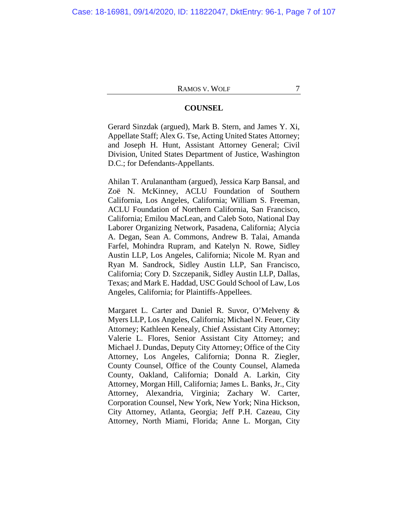## **COUNSEL**

Gerard Sinzdak (argued), Mark B. Stern, and James Y. Xi, Appellate Staff; Alex G. Tse, Acting United States Attorney; and Joseph H. Hunt, Assistant Attorney General; Civil Division, United States Department of Justice, Washington D.C.; for Defendants-Appellants.

Ahilan T. Arulanantham (argued), Jessica Karp Bansal, and Zoë N. McKinney, ACLU Foundation of Southern California, Los Angeles, California; William S. Freeman, ACLU Foundation of Northern California, San Francisco, California; Emilou MacLean, and Caleb Soto, National Day Laborer Organizing Network, Pasadena, California; Alycia A. Degan, Sean A. Commons, Andrew B. Talai, Amanda Farfel, Mohindra Rupram, and Katelyn N. Rowe, Sidley Austin LLP, Los Angeles, California; Nicole M. Ryan and Ryan M. Sandrock, Sidley Austin LLP, San Francisco, California; Cory D. Szczepanik, Sidley Austin LLP, Dallas, Texas; and Mark E. Haddad, USC Gould School of Law, Los Angeles, California; for Plaintiffs-Appellees.

Margaret L. Carter and Daniel R. Suvor, O'Melveny & Myers LLP, Los Angeles, California; Michael N. Feuer, City Attorney; Kathleen Kenealy, Chief Assistant City Attorney; Valerie L. Flores, Senior Assistant City Attorney; and Michael J. Dundas, Deputy City Attorney; Office of the City Attorney, Los Angeles, California; Donna R. Ziegler, County Counsel, Office of the County Counsel, Alameda County, Oakland, California; Donald A. Larkin, City Attorney, Morgan Hill, California; James L. Banks, Jr., City Attorney, Alexandria, Virginia; Zachary W. Carter, Corporation Counsel, New York, New York; Nina Hickson, City Attorney, Atlanta, Georgia; Jeff P.H. Cazeau, City Attorney, North Miami, Florida; Anne L. Morgan, City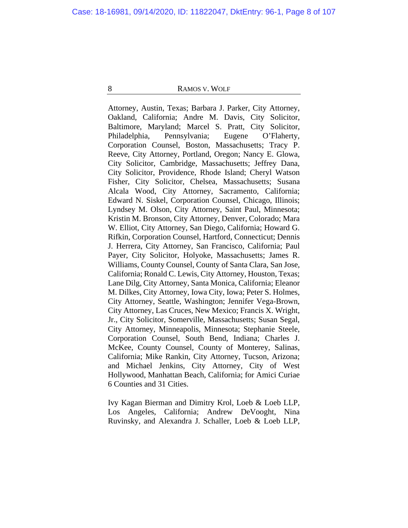Attorney, Austin, Texas; Barbara J. Parker, City Attorney, Oakland, California; Andre M. Davis, City Solicitor, Baltimore, Maryland; Marcel S. Pratt, City Solicitor, Philadelphia, Pennsylvania; Eugene O'Flaherty, Corporation Counsel, Boston, Massachusetts; Tracy P. Reeve, City Attorney, Portland, Oregon; Nancy E. Glowa, City Solicitor, Cambridge, Massachusetts; Jeffrey Dana, City Solicitor, Providence, Rhode Island; Cheryl Watson Fisher, City Solicitor, Chelsea, Massachusetts; Susana Alcala Wood, City Attorney, Sacramento, California; Edward N. Siskel, Corporation Counsel, Chicago, Illinois; Lyndsey M. Olson, City Attorney, Saint Paul, Minnesota; Kristin M. Bronson, City Attorney, Denver, Colorado; Mara W. Elliot, City Attorney, San Diego, California; Howard G. Rifkin, Corporation Counsel, Hartford, Connecticut; Dennis J. Herrera, City Attorney, San Francisco, California; Paul Payer, City Solicitor, Holyoke, Massachusetts; James R. Williams, County Counsel, County of Santa Clara, San Jose, California; Ronald C. Lewis, City Attorney, Houston, Texas; Lane Dilg, City Attorney, Santa Monica, California; Eleanor M. Dilkes, City Attorney, Iowa City, Iowa; Peter S. Holmes, City Attorney, Seattle, Washington; Jennifer Vega-Brown, City Attorney, Las Cruces, New Mexico; Francis X. Wright, Jr., City Solicitor, Somerville, Massachusetts; Susan Segal, City Attorney, Minneapolis, Minnesota; Stephanie Steele, Corporation Counsel, South Bend, Indiana; Charles J. McKee, County Counsel, County of Monterey, Salinas, California; Mike Rankin, City Attorney, Tucson, Arizona; and Michael Jenkins, City Attorney, City of West Hollywood, Manhattan Beach, California; for Amici Curiae 6 Counties and 31 Cities.

Ivy Kagan Bierman and Dimitry Krol, Loeb & Loeb LLP, Los Angeles, California; Andrew DeVooght, Nina Ruvinsky, and Alexandra J. Schaller, Loeb & Loeb LLP,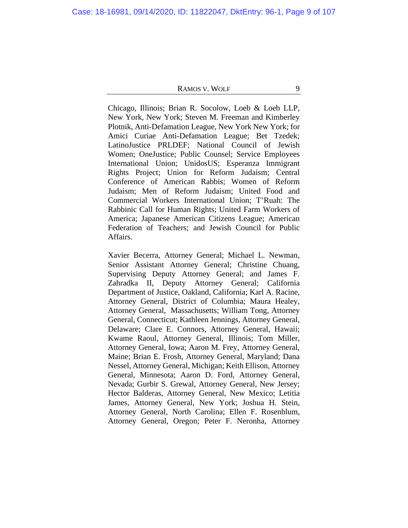Chicago, Illinois; Brian R. Socolow, Loeb & Loeb LLP, New York, New York; Steven M. Freeman and Kimberley Plotnik, Anti-Defamation League, New York New York; for Amici Curiae Anti-Defamation League; Bet Tzedek; LatinoJustice PRLDEF; National Council of Jewish Women; OneJustice; Public Counsel; Service Employees International Union; UnidosUS; Esperanza Immigrant Rights Project; Union for Reform Judaism; Central Conference of American Rabbis; Women of Reform Judaism; Men of Reform Judaism; United Food and Commercial Workers International Union; T'Ruah: The Rabbinic Call for Human Rights; United Farm Workers of America; Japanese American Citizens League; American Federation of Teachers; and Jewish Council for Public Affairs.

Xavier Becerra, Attorney General; Michael L. Newman, Senior Assistant Attorney General; Christine Chuang, Supervising Deputy Attorney General; and James F. Zahradka II, Deputy Attorney General; California Department of Justice, Oakland, California; Karl A. Racine, Attorney General, District of Columbia; Maura Healey, Attorney General, Massachusetts; William Tong, Attorney General, Connecticut; Kathleen Jennings, Attorney General, Delaware; Clare E. Connors, Attorney General, Hawaii; Kwame Raoul, Attorney General, Illinois; Tom Miller, Attorney General, Iowa; Aaron M. Frey, Attorney General, Maine; Brian E. Frosh, Attorney General, Maryland; Dana Nessel, Attorney General, Michigan; Keith Ellison, Attorney General, Minnesota; Aaron D. Ford, Attorney General, Nevada; Gurbir S. Grewal, Attorney General, New Jersey; Hector Balderas, Attorney General, New Mexico; Letitia James, Attorney General, New York; Joshua H. Stein, Attorney General, North Carolina; Ellen F. Rosenblum, Attorney General, Oregon; Peter F. Neronha, Attorney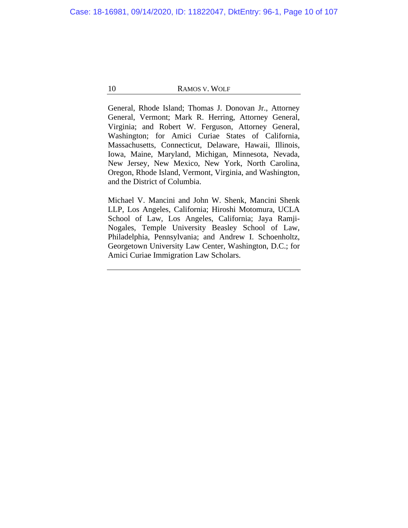General, Rhode Island; Thomas J. Donovan Jr., Attorney General, Vermont; Mark R. Herring, Attorney General, Virginia; and Robert W. Ferguson, Attorney General, Washington; for Amici Curiae States of California, Massachusetts, Connecticut, Delaware, Hawaii, Illinois, Iowa, Maine, Maryland, Michigan, Minnesota, Nevada, New Jersey, New Mexico, New York, North Carolina, Oregon, Rhode Island, Vermont, Virginia, and Washington, and the District of Columbia.

Michael V. Mancini and John W. Shenk, Mancini Shenk LLP, Los Angeles, California; Hiroshi Motomura, UCLA School of Law, Los Angeles, California; Jaya Ramji-Nogales, Temple University Beasley School of Law, Philadelphia, Pennsylvania; and Andrew I. Schoenholtz, Georgetown University Law Center, Washington, D.C.; for Amici Curiae Immigration Law Scholars.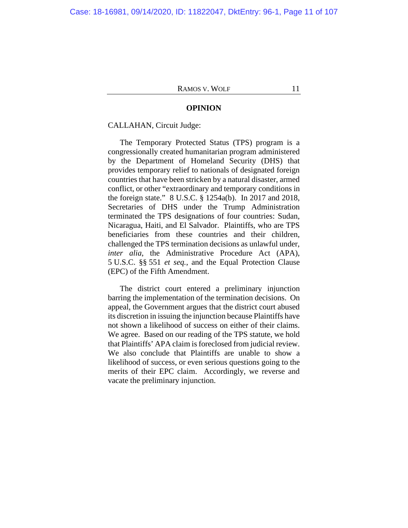### **OPINION**

## CALLAHAN, Circuit Judge:

The Temporary Protected Status (TPS) program is a congressionally created humanitarian program administered by the Department of Homeland Security (DHS) that provides temporary relief to nationals of designated foreign countries that have been stricken by a natural disaster, armed conflict, or other "extraordinary and temporary conditions in the foreign state." 8 U.S.C. § 1254a(b). In 2017 and 2018, Secretaries of DHS under the Trump Administration terminated the TPS designations of four countries: Sudan, Nicaragua, Haiti, and El Salvador. Plaintiffs, who are TPS beneficiaries from these countries and their children, challenged the TPS termination decisions as unlawful under, *inter alia*, the Administrative Procedure Act (APA), 5 U.S.C. §§ 551 *et seq.*, and the Equal Protection Clause (EPC) of the Fifth Amendment.

The district court entered a preliminary injunction barring the implementation of the termination decisions. On appeal, the Government argues that the district court abused its discretion in issuing the injunction because Plaintiffs have not shown a likelihood of success on either of their claims. We agree. Based on our reading of the TPS statute, we hold that Plaintiffs' APA claim is foreclosed from judicial review. We also conclude that Plaintiffs are unable to show a likelihood of success, or even serious questions going to the merits of their EPC claim. Accordingly, we reverse and vacate the preliminary injunction.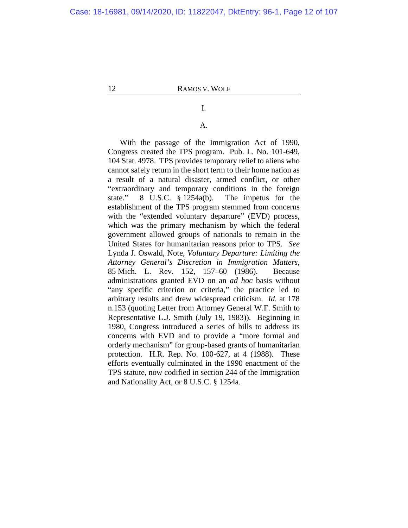# I.

# A.

With the passage of the Immigration Act of 1990, Congress created the TPS program. Pub. L. No. 101-649, 104 Stat. 4978. TPS provides temporary relief to aliens who cannot safely return in the short term to their home nation as a result of a natural disaster, armed conflict, or other "extraordinary and temporary conditions in the foreign state." 8 U.S.C. § 1254a(b). The impetus for the establishment of the TPS program stemmed from concerns with the "extended voluntary departure" (EVD) process, which was the primary mechanism by which the federal government allowed groups of nationals to remain in the United States for humanitarian reasons prior to TPS. *See*  Lynda J. Oswald, Note, *Voluntary Departure: Limiting the Attorney General's Discretion in Immigration Matters*, 85 Mich. L. Rev. 152, 157–60 (1986).Because administrations granted EVD on an *ad hoc* basis without "any specific criterion or criteria," the practice led to arbitrary results and drew widespread criticism. *Id.* at 178 n.153 (quoting Letter from Attorney General W.F. Smith to Representative L.J. Smith (July 19, 1983)). Beginning in 1980, Congress introduced a series of bills to address its concerns with EVD and to provide a "more formal and orderly mechanism" for group-based grants of humanitarian protection. H.R. Rep. No. 100-627, at 4 (1988). These efforts eventually culminated in the 1990 enactment of the TPS statute, now codified in section 244 of the Immigration and Nationality Act, or 8 U.S.C. § 1254a.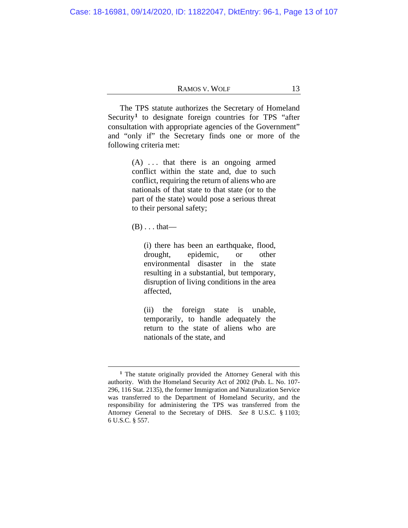The TPS statute authorizes the Secretary of Homeland Security<sup>[1](#page-12-0)</sup> to designate foreign countries for TPS "after consultation with appropriate agencies of the Government" and "only if" the Secretary finds one or more of the following criteria met:

> $(A)$  ... that there is an ongoing armed conflict within the state and, due to such conflict, requiring the return of aliens who are nationals of that state to that state (or to the part of the state) would pose a serious threat to their personal safety;

 $(B) \ldots$  that—

(i) there has been an earthquake, flood, drought, epidemic, or other environmental disaster in the state resulting in a substantial, but temporary, disruption of living conditions in the area affected,

(ii) the foreign state is unable, temporarily, to handle adequately the return to the state of aliens who are nationals of the state, and

<span id="page-12-0"></span>**<sup>1</sup>** The statute originally provided the Attorney General with this authority. With the Homeland Security Act of 2002 (Pub. L. No. 107- 296, 116 Stat. 2135), the former Immigration and Naturalization Service was transferred to the Department of Homeland Security, and the responsibility for administering the TPS was transferred from the Attorney General to the Secretary of DHS. *See* 8 U.S.C. § 1103; 6 U.S.C. § 557.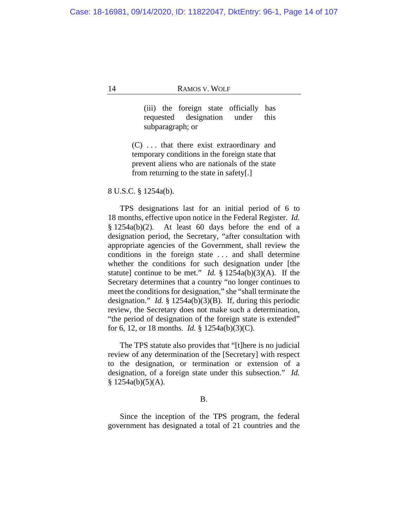(iii) the foreign state officially has requested designation under this subparagraph; or

(C) . . . that there exist extraordinary and temporary conditions in the foreign state that prevent aliens who are nationals of the state from returning to the state in safety[.]

8 U.S.C. § 1254a(b).

TPS designations last for an initial period of 6 to 18 months, effective upon notice in the Federal Register. *Id.* § 1254a(b)(2). At least 60 days before the end of a designation period, the Secretary, "after consultation with appropriate agencies of the Government, shall review the conditions in the foreign state . . . and shall determine whether the conditions for such designation under [the statute] continue to be met." *Id.* § 1254a(b)(3)(A). If the Secretary determines that a country "no longer continues to meet the conditions for designation," she "shall terminate the designation." *Id.* § 1254a(b)(3)(B). If, during this periodic review, the Secretary does not make such a determination, "the period of designation of the foreign state is extended" for 6, 12, or 18 months. *Id.* § 1254a(b)(3)(C).

The TPS statute also provides that "[t]here is no judicial review of any determination of the [Secretary] with respect to the designation, or termination or extension of a designation, of a foreign state under this subsection." *Id.*  $$ 1254a(b)(5)(A).$ 

## B.

Since the inception of the TPS program, the federal government has designated a total of 21 countries and the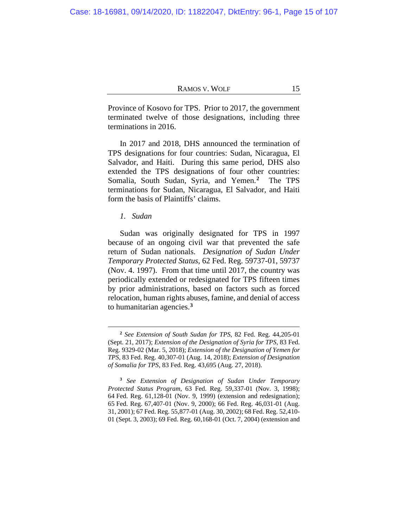Province of Kosovo for TPS. Prior to 2017, the government terminated twelve of those designations, including three terminations in 2016.

In 2017 and 2018, DHS announced the termination of TPS designations for four countries: Sudan, Nicaragua, El Salvador, and Haiti. During this same period, DHS also extended the TPS designations of four other countries: Somalia, South Sudan, Syria, and Yemen.**[2](#page-14-0)** The TPS terminations for Sudan, Nicaragua, El Salvador, and Haiti form the basis of Plaintiffs' claims.

*1. Sudan*

Sudan was originally designated for TPS in 1997 because of an ongoing civil war that prevented the safe return of Sudan nationals. *Designation of Sudan Under Temporary Protected Status*, 62 Fed. Reg. 59737-01, 59737 (Nov. 4. 1997). From that time until 2017, the country was periodically extended or redesignated for TPS fifteen times by prior administrations, based on factors such as forced relocation, human rights abuses, famine, and denial of access to humanitarian agencies.**[3](#page-14-1)**

**<sup>2</sup>** *See Extension of South Sudan for TPS*, 82 Fed. Reg. 44,205-01 (Sept. 21, 2017); *Extension of the Designation of Syria for TPS*, 83 Fed. Reg. 9329-02 (Mar. 5, 2018); *Extension of the Designation of Yemen for TPS*, 83 Fed. Reg. 40,307-01 (Aug. 14, 2018); *Extension of Designation of Somalia for TPS*, 83 Fed. Reg. 43,695 (Aug. 27, 2018).

<span id="page-14-1"></span><span id="page-14-0"></span>**<sup>3</sup>** *See Extension of Designation of Sudan Under Temporary Protected Status Program*, 63 Fed. Reg. 59,337-01 (Nov. 3, 1998); 64 Fed. Reg. 61,128-01 (Nov. 9, 1999) (extension and redesignation); 65 Fed. Reg. 67,407-01 (Nov. 9, 2000); 66 Fed. Reg. 46,031-01 (Aug. 31, 2001); 67 Fed. Reg. 55,877-01 (Aug. 30, 2002); 68 Fed. Reg. 52,410- 01 (Sept. 3, 2003); 69 Fed. Reg. 60,168-01 (Oct. 7, 2004) (extension and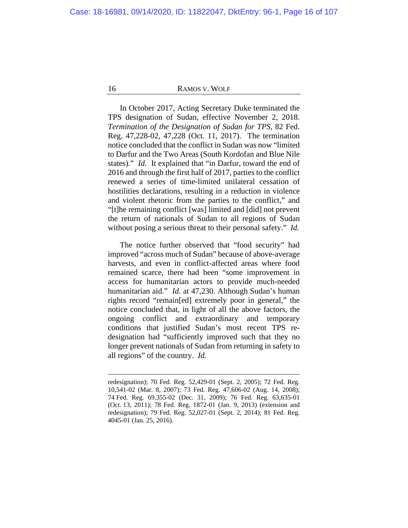In October 2017, Acting Secretary Duke terminated the TPS designation of Sudan, effective November 2, 2018. *Termination of the Designation of Sudan for TPS*, 82 Fed. Reg. 47,228-02, 47,228 (Oct. 11, 2017). The termination notice concluded that the conflict in Sudan was now "limited to Darfur and the Two Areas (South Kordofan and Blue Nile states)." *Id.* It explained that "in Darfur, toward the end of 2016 and through the first half of 2017, parties to the conflict renewed a series of time-limited unilateral cessation of hostilities declarations, resulting in a reduction in violence and violent rhetoric from the parties to the conflict," and "[t]he remaining conflict [was] limited and [did] not prevent the return of nationals of Sudan to all regions of Sudan without posing a serious threat to their personal safety." *Id.*

The notice further observed that "food security" had improved "across much of Sudan" because of above-average harvests, and even in conflict-affected areas where food remained scarce, there had been "some improvement in access for humanitarian actors to provide much-needed humanitarian aid." *Id.* at 47,230. Although Sudan's human rights record "remain[ed] extremely poor in general," the notice concluded that, in light of all the above factors, the ongoing conflict and extraordinary and temporary conditions that justified Sudan's most recent TPS redesignation had "sufficiently improved such that they no longer prevent nationals of Sudan from returning in safety to all regions" of the country. *Id.*

redesignation); 70 Fed. Reg. 52,429-01 (Sept. 2, 2005); 72 Fed. Reg. 10,541-02 (Mar. 8, 2007); 73 Fed. Reg. 47,606-02 (Aug. 14, 2008); 74 Fed. Reg. 69,355-02 (Dec. 31, 2009); 76 Fed. Reg. 63,635-01 (Oct. 13, 2011); 78 Fed. Reg. 1872-01 (Jan. 9, 2013) (extension and redesignation); 79 Fed. Reg. 52,027-01 (Sept. 2, 2014); 81 Fed. Reg. 4045-01 (Jan. 25, 2016).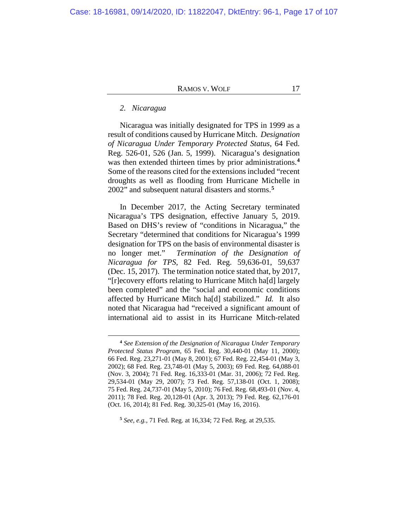## *2. Nicaragua*

Nicaragua was initially designated for TPS in 1999 as a result of conditions caused by Hurricane Mitch. *Designation of Nicaragua Under Temporary Protected Status*, 64 Fed. Reg. 526-01, 526 (Jan. 5, 1999). Nicaragua's designation was then extended thirteen times by prior administrations.**[4](#page-16-0)** Some of the reasons cited for the extensions included "recent droughts as well as flooding from Hurricane Michelle in 2002" and subsequent natural disasters and storms.**[5](#page-16-1)**

In December 2017, the Acting Secretary terminated Nicaragua's TPS designation, effective January 5, 2019. Based on DHS's review of "conditions in Nicaragua," the Secretary "determined that conditions for Nicaragua's 1999 designation for TPS on the basis of environmental disaster is no longer met." *Termination of the Designation of Nicaragua for TPS*, 82 Fed. Reg. 59,636-01, 59,637 (Dec. 15, 2017). The termination notice stated that, by 2017, "[r]ecovery efforts relating to Hurricane Mitch ha[d] largely been completed" and the "social and economic conditions affected by Hurricane Mitch ha[d] stabilized." *Id.* It also noted that Nicaragua had "received a significant amount of international aid to assist in its Hurricane Mitch-related

**<sup>4</sup>** *See Extension of the Designation of Nicaragua Under Temporary Protected Status Program*, 65 Fed. Reg. 30,440-01 (May 11, 2000); 66 Fed. Reg. 23,271-01 (May 8, 2001); 67 Fed. Reg. 22,454-01 (May 3, 2002); 68 Fed. Reg. 23,748-01 (May 5, 2003); 69 Fed. Reg. 64,088-01 (Nov. 3, 2004); 71 Fed. Reg. 16,333-01 (Mar. 31, 2006); 72 Fed. Reg. 29,534-01 (May 29, 2007); 73 Fed. Reg. 57,138-01 (Oct. 1, 2008); 75 Fed. Reg. 24,737-01 (May 5, 2010); 76 Fed. Reg. 68,493-01 (Nov. 4, 2011); 78 Fed. Reg. 20,128-01 (Apr. 3, 2013); 79 Fed. Reg. 62,176-01 (Oct. 16, 2014); 81 Fed. Reg. 30,325-01 (May 16, 2016).

<span id="page-16-1"></span><span id="page-16-0"></span>**<sup>5</sup>** *See, e.g.*, 71 Fed. Reg. at 16,334; 72 Fed. Reg. at 29,535.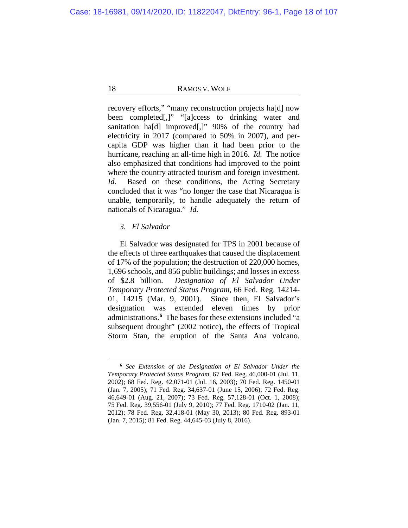recovery efforts," "many reconstruction projects ha[d] now been completed[,]" "[a]ccess to drinking water and sanitation ha[d] improved[,]" 90% of the country had electricity in 2017 (compared to 50% in 2007), and percapita GDP was higher than it had been prior to the hurricane, reaching an all-time high in 2016. *Id.* The notice also emphasized that conditions had improved to the point where the country attracted tourism and foreign investment. *Id.* Based on these conditions, the Acting Secretary concluded that it was "no longer the case that Nicaragua is unable, temporarily, to handle adequately the return of nationals of Nicaragua." *Id.*

## *3. El Salvador*

El Salvador was designated for TPS in 2001 because of the effects of three earthquakes that caused the displacement of 17% of the population; the destruction of 220,000 homes, 1,696 schools, and 856 public buildings; and losses in excess of \$2.8 billion. *Designation of El Salvador Under Temporary Protected Status Program*, 66 Fed. Reg. 14214- 01, 14215 (Mar. 9, 2001). Since then, El Salvador's designation was extended eleven times by prior administrations.**[6](#page-17-0)** The bases for these extensions included "a subsequent drought" (2002 notice), the effects of Tropical Storm Stan, the eruption of the Santa Ana volcano,

<span id="page-17-0"></span>**<sup>6</sup>** *See Extension of the Designation of El Salvador Under the Temporary Protected Status Program*, 67 Fed. Reg. 46,000-01 (Jul. 11, 2002); 68 Fed. Reg. 42,071-01 (Jul. 16, 2003); 70 Fed. Reg. 1450-01 (Jan. 7, 2005); 71 Fed. Reg. 34,637-01 (June 15, 2006); 72 Fed. Reg. 46,649-01 (Aug. 21, 2007); 73 Fed. Reg. 57,128-01 (Oct. 1, 2008); 75 Fed. Reg. 39,556-01 (July 9, 2010); 77 Fed. Reg. 1710-02 (Jan. 11, 2012); 78 Fed. Reg. 32,418-01 (May 30, 2013); 80 Fed. Reg. 893-01 (Jan. 7, 2015); 81 Fed. Reg. 44,645-03 (July 8, 2016).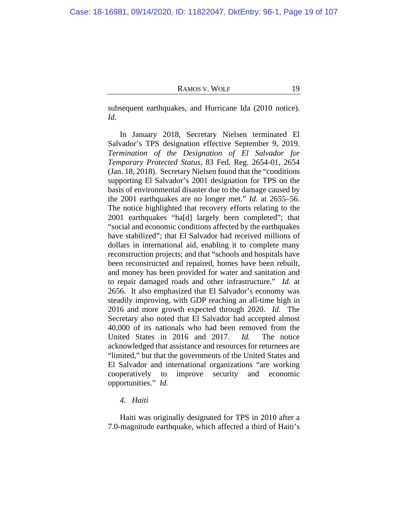subsequent earthquakes, and Hurricane Ida (2010 notice). *Id.*

In January 2018, Secretary Nielsen terminated El Salvador's TPS designation effective September 9, 2019. *Termination of the Designation of El Salvador for Temporary Protected Status*, 83 Fed. Reg. 2654-01, 2654 (Jan. 18, 2018). Secretary Nielsen found that the "conditions supporting El Salvador's 2001 designation for TPS on the basis of environmental disaster due to the damage caused by the 2001 earthquakes are no longer met." *Id.* at 2655–56. The notice highlighted that recovery efforts relating to the 2001 earthquakes "ha[d] largely been completed"; that "social and economic conditions affected by the earthquakes have stabilized"; that El Salvador had received millions of dollars in international aid, enabling it to complete many reconstruction projects; and that "schools and hospitals have been reconstructed and repaired, homes have been rebuilt, and money has been provided for water and sanitation and to repair damaged roads and other infrastructure." *Id.* at 2656. It also emphasized that El Salvador's economy was steadily improving, with GDP reaching an all-time high in 2016 and more growth expected through 2020. *Id.* The Secretary also noted that El Salvador had accepted almost 40,000 of its nationals who had been removed from the United States in 2016 and 2017. *Id.* The notice acknowledged that assistance and resources for returnees are "limited," but that the governments of the United States and El Salvador and international organizations "are working cooperatively to improve security and economic opportunities." *Id.*

# *4. Haiti*

Haiti was originally designated for TPS in 2010 after a 7.0-magnitude earthquake, which affected a third of Haiti's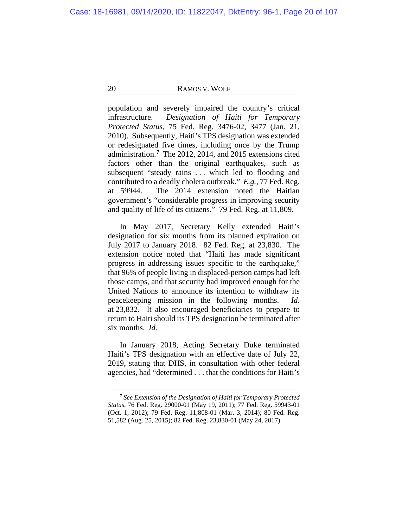population and severely impaired the country's critical infrastructure. *Designation of Haiti for Temporary Protected Status,* 75 Fed. Reg. 3476-02, 3477 (Jan. 21, 2010). Subsequently, Haiti's TPS designation was extended or redesignated five times, including once by the Trump administration.**[7](#page-19-0)** The 2012, 2014, and 2015 extensions cited factors other than the original earthquakes, such as subsequent "steady rains . . . which led to flooding and contributed to a deadly cholera outbreak." *E.g.*, 77 Fed. Reg. at 59944. The 2014 extension noted the Haitian government's "considerable progress in improving security and quality of life of its citizens." 79 Fed. Reg. at 11,809.

In May 2017, Secretary Kelly extended Haiti's designation for six months from its planned expiration on July 2017 to January 2018. 82 Fed. Reg. at 23,830. The extension notice noted that "Haiti has made significant progress in addressing issues specific to the earthquake," that 96% of people living in displaced-person camps had left those camps, and that security had improved enough for the United Nations to announce its intention to withdraw its peacekeeping mission in the following months. *Id.* at 23,832. It also encouraged beneficiaries to prepare to return to Haiti should its TPS designation be terminated after six months. *Id.*

In January 2018, Acting Secretary Duke terminated Haiti's TPS designation with an effective date of July 22, 2019, stating that DHS, in consultation with other federal agencies, had "determined . . . that the conditions for Haiti's

<span id="page-19-0"></span>**<sup>7</sup>** *See Extension of the Designation of Haiti for Temporary Protected Status*, 76 Fed. Reg. 29000-01 (May 19, 2011); 77 Fed. Reg. 59943-01 (Oct. 1, 2012); 79 Fed. Reg. 11,808-01 (Mar. 3, 2014); 80 Fed. Reg. 51,582 (Aug. 25, 2015); 82 Fed. Reg. 23,830-01 (May 24, 2017).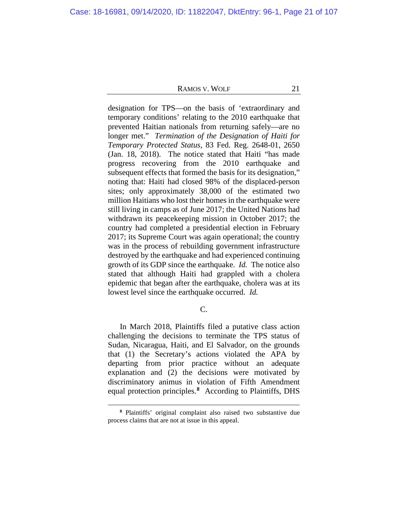designation for TPS—on the basis of 'extraordinary and temporary conditions' relating to the 2010 earthquake that prevented Haitian nationals from returning safely—are no longer met." *Termination of the Designation of Haiti for Temporary Protected Status*, 83 Fed. Reg. 2648-01, 2650 (Jan. 18, 2018). The notice stated that Haiti "has made progress recovering from the 2010 earthquake and subsequent effects that formed the basis for its designation," noting that: Haiti had closed 98% of the displaced-person sites; only approximately 38,000 of the estimated two million Haitians who lost their homes in the earthquake were still living in camps as of June 2017; the United Nations had withdrawn its peacekeeping mission in October 2017; the country had completed a presidential election in February 2017; its Supreme Court was again operational; the country was in the process of rebuilding government infrastructure destroyed by the earthquake and had experienced continuing growth of its GDP since the earthquake. *Id.* The notice also stated that although Haiti had grappled with a cholera epidemic that began after the earthquake, cholera was at its lowest level since the earthquake occurred. *Id.*

# C.

In March 2018, Plaintiffs filed a putative class action challenging the decisions to terminate the TPS status of Sudan, Nicaragua, Haiti, and El Salvador, on the grounds that (1) the Secretary's actions violated the APA by departing from prior practice without an adequate explanation and (2) the decisions were motivated by discriminatory animus in violation of Fifth Amendment equal protection principles.**[8](#page-20-0)** According to Plaintiffs, DHS

<span id="page-20-0"></span>**<sup>8</sup>** Plaintiffs' original complaint also raised two substantive due process claims that are not at issue in this appeal.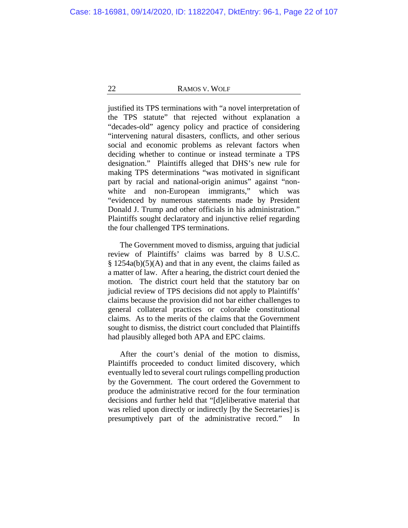justified its TPS terminations with "a novel interpretation of the TPS statute" that rejected without explanation a "decades-old" agency policy and practice of considering "intervening natural disasters, conflicts, and other serious social and economic problems as relevant factors when deciding whether to continue or instead terminate a TPS designation." Plaintiffs alleged that DHS's new rule for making TPS determinations "was motivated in significant part by racial and national-origin animus" against "nonwhite and non-European immigrants," which was "evidenced by numerous statements made by President Donald J. Trump and other officials in his administration." Plaintiffs sought declaratory and injunctive relief regarding the four challenged TPS terminations.

The Government moved to dismiss, arguing that judicial review of Plaintiffs' claims was barred by 8 U.S.C.  $§ 1254a(b)(5)(A)$  and that in any event, the claims failed as a matter of law. After a hearing, the district court denied the motion. The district court held that the statutory bar on judicial review of TPS decisions did not apply to Plaintiffs' claims because the provision did not bar either challenges to general collateral practices or colorable constitutional claims. As to the merits of the claims that the Government sought to dismiss, the district court concluded that Plaintiffs had plausibly alleged both APA and EPC claims.

After the court's denial of the motion to dismiss, Plaintiffs proceeded to conduct limited discovery, which eventually led to several court rulings compelling production by the Government. The court ordered the Government to produce the administrative record for the four termination decisions and further held that "[d]eliberative material that was relied upon directly or indirectly [by the Secretaries] is presumptively part of the administrative record." In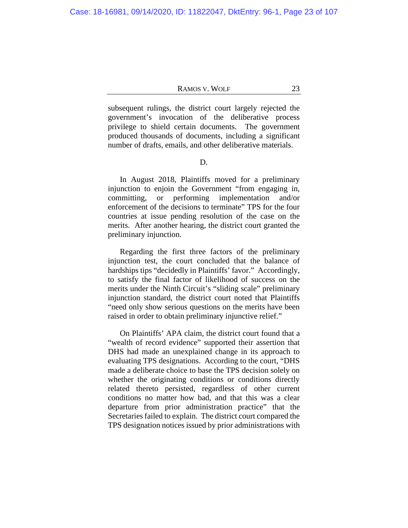subsequent rulings, the district court largely rejected the government's invocation of the deliberative process privilege to shield certain documents. The government produced thousands of documents, including a significant number of drafts, emails, and other deliberative materials.

D.

In August 2018, Plaintiffs moved for a preliminary injunction to enjoin the Government "from engaging in, committing, or performing implementation and/or enforcement of the decisions to terminate" TPS for the four countries at issue pending resolution of the case on the merits. After another hearing, the district court granted the preliminary injunction.

Regarding the first three factors of the preliminary injunction test, the court concluded that the balance of hardships tips "decidedly in Plaintiffs' favor." Accordingly, to satisfy the final factor of likelihood of success on the merits under the Ninth Circuit's "sliding scale" preliminary injunction standard, the district court noted that Plaintiffs "need only show serious questions on the merits have been raised in order to obtain preliminary injunctive relief."

On Plaintiffs' APA claim, the district court found that a "wealth of record evidence" supported their assertion that DHS had made an unexplained change in its approach to evaluating TPS designations. According to the court, "DHS made a deliberate choice to base the TPS decision solely on whether the originating conditions or conditions directly related thereto persisted, regardless of other current conditions no matter how bad, and that this was a clear departure from prior administration practice" that the Secretaries failed to explain. The district court compared the TPS designation notices issued by prior administrations with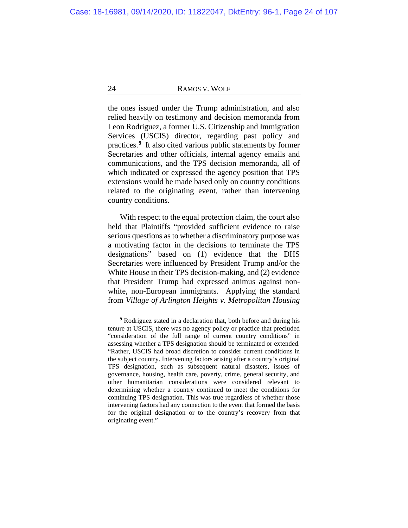the ones issued under the Trump administration, and also relied heavily on testimony and decision memoranda from Leon Rodriguez, a former U.S. Citizenship and Immigration Services (USCIS) director, regarding past policy and practices.**[9](#page-23-0)** It also cited various public statements by former Secretaries and other officials, internal agency emails and communications, and the TPS decision memoranda, all of which indicated or expressed the agency position that TPS extensions would be made based only on country conditions related to the originating event, rather than intervening country conditions.

With respect to the equal protection claim, the court also held that Plaintiffs "provided sufficient evidence to raise serious questions as to whether a discriminatory purpose was a motivating factor in the decisions to terminate the TPS designations" based on (1) evidence that the DHS Secretaries were influenced by President Trump and/or the White House in their TPS decision-making, and (2) evidence that President Trump had expressed animus against nonwhite, non-European immigrants. Applying the standard from *Village of Arlington Heights v. Metropolitan Housing* 

<span id="page-23-0"></span>**<sup>9</sup>** Rodriguez stated in a declaration that, both before and during his tenure at USCIS, there was no agency policy or practice that precluded "consideration of the full range of current country conditions" in assessing whether a TPS designation should be terminated or extended. "Rather, USCIS had broad discretion to consider current conditions in the subject country. Intervening factors arising after a country's original TPS designation, such as subsequent natural disasters, issues of governance, housing, health care, poverty, crime, general security, and other humanitarian considerations were considered relevant to determining whether a country continued to meet the conditions for continuing TPS designation. This was true regardless of whether those intervening factors had any connection to the event that formed the basis for the original designation or to the country's recovery from that originating event."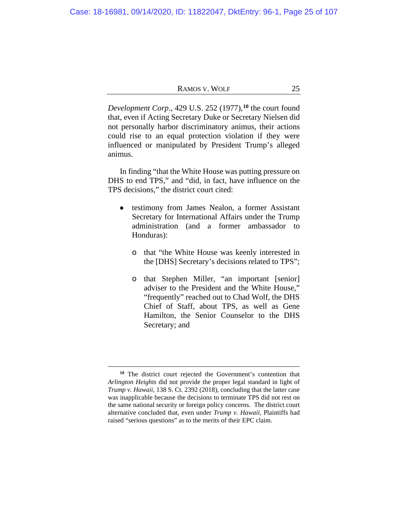*Development Corp*., 429 U.S. 252 (1977),**[10](#page-24-0)** the court found that, even if Acting Secretary Duke or Secretary Nielsen did not personally harbor discriminatory animus, their actions could rise to an equal protection violation if they were influenced or manipulated by President Trump's alleged animus.

In finding "that the White House was putting pressure on DHS to end TPS," and "did, in fact, have influence on the TPS decisions," the district court cited:

- testimony from James Nealon, a former Assistant Secretary for International Affairs under the Trump administration (and a former ambassador to Honduras):
	- o that "the White House was keenly interested in the [DHS] Secretary's decisions related to TPS";
	- o that Stephen Miller, "an important [senior] adviser to the President and the White House," "frequently" reached out to Chad Wolf, the DHS Chief of Staff, about TPS, as well as Gene Hamilton, the Senior Counselor to the DHS Secretary; and

<span id="page-24-0"></span>**<sup>10</sup>** The district court rejected the Government's contention that *Arlington Heights* did not provide the proper legal standard in light of *Trump v. Hawaii*, 138 S. Ct. 2392 (2018), concluding that the latter case was inapplicable because the decisions to terminate TPS did not rest on the same national security or foreign policy concerns. The district court alternative concluded that, even under *Trump v. Hawaii*, Plaintiffs had raised "serious questions" as to the merits of their EPC claim.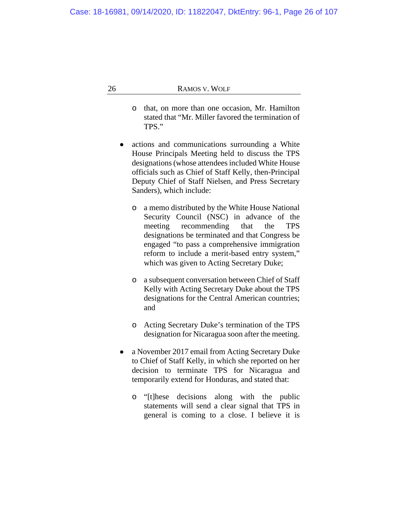- o that, on more than one occasion, Mr. Hamilton stated that "Mr. Miller favored the termination of TPS."
- actions and communications surrounding a White  $\bullet$ House Principals Meeting held to discuss the TPS designations (whose attendees included White House officials such as Chief of Staff Kelly, then-Principal Deputy Chief of Staff Nielsen, and Press Secretary Sanders), which include:
	- o a memo distributed by the White House National Security Council (NSC) in advance of the meeting recommending that the TPS designations be terminated and that Congress be engaged "to pass a comprehensive immigration reform to include a merit-based entry system," which was given to Acting Secretary Duke;
	- o a subsequent conversation between Chief of Staff Kelly with Acting Secretary Duke about the TPS designations for the Central American countries; and
	- o Acting Secretary Duke's termination of the TPS designation for Nicaragua soon after the meeting.
- a November 2017 email from Acting Secretary Duke  $\bullet$ to Chief of Staff Kelly, in which she reported on her decision to terminate TPS for Nicaragua and temporarily extend for Honduras, and stated that:
	- o "[t]hese decisions along with the public statements will send a clear signal that TPS in general is coming to a close. I believe it is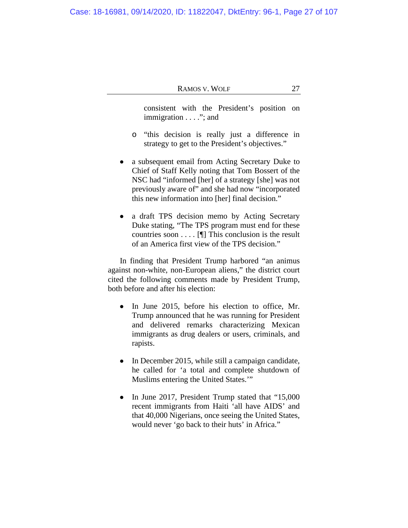consistent with the President's position on immigration . . . ."; and

- o "this decision is really just a difference in strategy to get to the President's objectives."
- a subsequent email from Acting Secretary Duke to Chief of Staff Kelly noting that Tom Bossert of the NSC had "informed [her] of a strategy [she] was not previously aware of" and she had now "incorporated this new information into [her] final decision."
- a draft TPS decision memo by Acting Secretary Duke stating, "The TPS program must end for these countries soon  $\dots$  [[] This conclusion is the result of an America first view of the TPS decision."

In finding that President Trump harbored "an animus against non-white, non-European aliens," the district court cited the following comments made by President Trump, both before and after his election:

- In June 2015, before his election to office, Mr. Trump announced that he was running for President and delivered remarks characterizing Mexican immigrants as drug dealers or users, criminals, and rapists.
- In December 2015, while still a campaign candidate, he called for 'a total and complete shutdown of Muslims entering the United States.'"
- In June 2017, President Trump stated that "15,000 recent immigrants from Haiti 'all have AIDS' and that 40,000 Nigerians, once seeing the United States, would never 'go back to their huts' in Africa."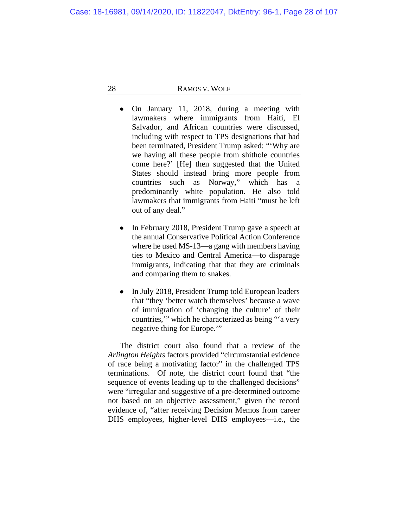- On January 11, 2018, during a meeting with lawmakers where immigrants from Haiti, El Salvador, and African countries were discussed, including with respect to TPS designations that had been terminated, President Trump asked: "'Why are we having all these people from shithole countries come here?' [He] then suggested that the United States should instead bring more people from countries such as Norway," which has a predominantly white population. He also told lawmakers that immigrants from Haiti "must be left out of any deal."
- In February 2018, President Trump gave a speech at the annual Conservative Political Action Conference where he used MS-13—a gang with members having ties to Mexico and Central America—to disparage immigrants, indicating that that they are criminals and comparing them to snakes.
- In July 2018, President Trump told European leaders that "they 'better watch themselves' because a wave of immigration of 'changing the culture' of their countries,'" which he characterized as being "'a very negative thing for Europe.'"

The district court also found that a review of the *Arlington Heights* factors provided "circumstantial evidence of race being a motivating factor" in the challenged TPS terminations. Of note, the district court found that "the sequence of events leading up to the challenged decisions" were "irregular and suggestive of a pre-determined outcome not based on an objective assessment," given the record evidence of, "after receiving Decision Memos from career DHS employees, higher-level DHS employees—i.e., the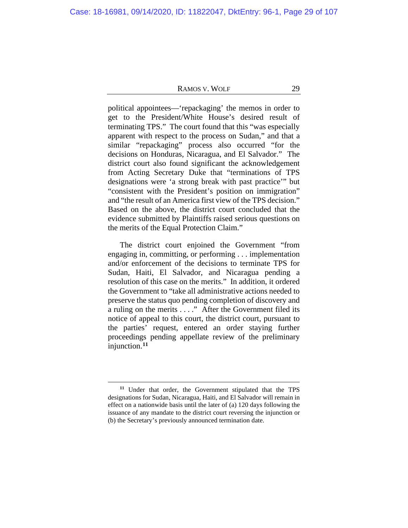political appointees—'repackaging' the memos in order to get to the President/White House's desired result of terminating TPS." The court found that this "was especially apparent with respect to the process on Sudan," and that a similar "repackaging" process also occurred "for the decisions on Honduras, Nicaragua, and El Salvador." The district court also found significant the acknowledgement from Acting Secretary Duke that "terminations of TPS designations were 'a strong break with past practice'" but "consistent with the President's position on immigration" and "the result of an America first view of the TPS decision." Based on the above, the district court concluded that the evidence submitted by Plaintiffs raised serious questions on the merits of the Equal Protection Claim."

The district court enjoined the Government "from engaging in, committing, or performing . . . implementation and/or enforcement of the decisions to terminate TPS for Sudan, Haiti, El Salvador, and Nicaragua pending a resolution of this case on the merits." In addition, it ordered the Government to "take all administrative actions needed to preserve the status quo pending completion of discovery and a ruling on the merits ...." After the Government filed its notice of appeal to this court, the district court, pursuant to the parties' request, entered an order staying further proceedings pending appellate review of the preliminary injunction.**[11](#page-28-0)**

<span id="page-28-0"></span>**<sup>11</sup>** Under that order, the Government stipulated that the TPS designations for Sudan, Nicaragua, Haiti, and El Salvador will remain in effect on a nationwide basis until the later of (a) 120 days following the issuance of any mandate to the district court reversing the injunction or (b) the Secretary's previously announced termination date.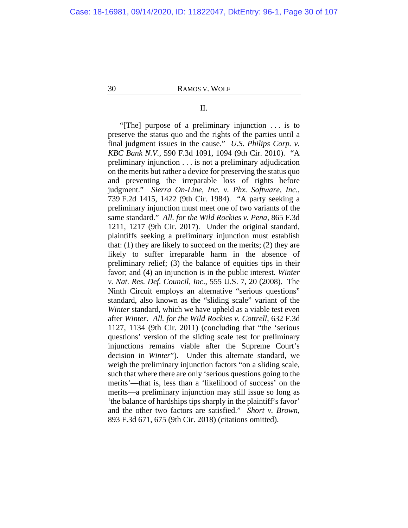# II.

"[The] purpose of a preliminary injunction . . . is to preserve the status quo and the rights of the parties until a final judgment issues in the cause." *U.S. Philips Corp. v. KBC Bank N.V.*, 590 F.3d 1091, 1094 (9th Cir. 2010). "A preliminary injunction . . . is not a preliminary adjudication on the merits but rather a device for preserving the status quo and preventing the irreparable loss of rights before judgment." *Sierra On-Line, Inc. v. Phx. Software, Inc*., 739 F.2d 1415, 1422 (9th Cir. 1984)."A party seeking a preliminary injunction must meet one of two variants of the same standard." *All. for the Wild Rockies v. Pena*, 865 F.3d 1211, 1217 (9th Cir. 2017). Under the original standard, plaintiffs seeking a preliminary injunction must establish that: (1) they are likely to succeed on the merits; (2) they are likely to suffer irreparable harm in the absence of preliminary relief; (3) the balance of equities tips in their favor; and (4) an injunction is in the public interest. *Winter v. Nat. Res. Def. Council, Inc*., 555 U.S. 7, 20 (2008). The Ninth Circuit employs an alternative "serious questions" standard, also known as the "sliding scale" variant of the *Winter* standard, which we have upheld as a viable test even after *Winter*. *All. for the Wild Rockies v. Cottrell*, 632 F.3d 1127, 1134 (9th Cir. 2011) (concluding that "the 'serious questions' version of the sliding scale test for preliminary injunctions remains viable after the Supreme Court's decision in *Winter*").Under this alternate standard, we weigh the preliminary injunction factors "on a sliding scale, such that where there are only 'serious questions going to the merits'—that is, less than a 'likelihood of success' on the merits—a preliminary injunction may still issue so long as 'the balance of hardships tips sharply in the plaintiff's favor' and the other two factors are satisfied." *Short v. Brown*, 893 F.3d 671, 675 (9th Cir. 2018) (citations omitted).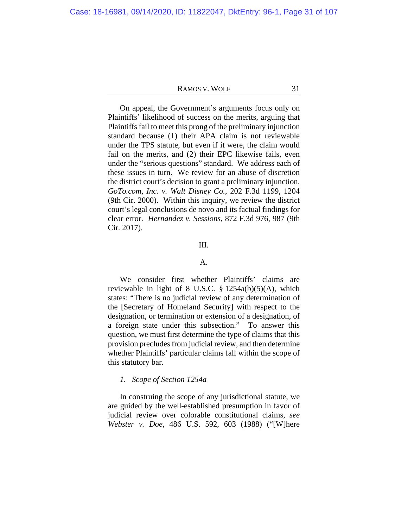On appeal, the Government's arguments focus only on Plaintiffs' likelihood of success on the merits, arguing that Plaintiffs fail to meet this prong of the preliminary injunction standard because (1) their APA claim is not reviewable under the TPS statute, but even if it were, the claim would fail on the merits, and (2) their EPC likewise fails, even under the "serious questions" standard. We address each of these issues in turn. We review for an abuse of discretion the district court's decision to grant a preliminary injunction. *GoTo.com, Inc. v. Walt Disney Co.*, 202 F.3d 1199, 1204 (9th Cir. 2000). Within this inquiry, we review the district court's legal conclusions de novo and its factual findings for clear error. *Hernandez v. Sessions*, 872 F.3d 976, 987 (9th Cir. 2017).

# III.

## A.

We consider first whether Plaintiffs' claims are reviewable in light of 8 U.S.C. § 1254a(b)(5)(A), which states: "There is no judicial review of any determination of the [Secretary of Homeland Security] with respect to the designation, or termination or extension of a designation, of a foreign state under this subsection." To answer this question, we must first determine the type of claims that this provision precludes from judicial review, and then determine whether Plaintiffs' particular claims fall within the scope of this statutory bar.

# *1. Scope of Section 1254a*

In construing the scope of any jurisdictional statute, we are guided by the well-established presumption in favor of judicial review over colorable constitutional claims, *see Webster v. Doe*, 486 U.S. 592, 603 (1988) ("[W]here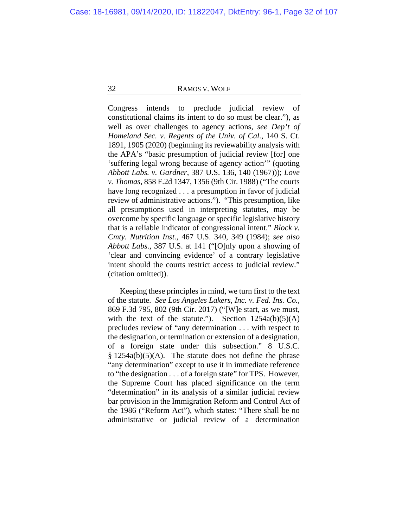Congress intends to preclude judicial review of constitutional claims its intent to do so must be clear."), as well as over challenges to agency actions, *see Dep't of Homeland Sec. v. Regents of the Univ. of Cal.*, 140 S. Ct. 1891, 1905 (2020) (beginning its reviewability analysis with the APA's "basic presumption of judicial review [for] one 'suffering legal wrong because of agency action'" (quoting *Abbott Labs. v. Gardner*, 387 U.S. 136, 140 (1967))); *Love v. Thomas*, 858 F.2d 1347, 1356 (9th Cir. 1988) ("The courts have long recognized . . . a presumption in favor of judicial review of administrative actions."). "This presumption, like all presumptions used in interpreting statutes, may be overcome by specific language or specific legislative history that is a reliable indicator of congressional intent." *Block v. Cmty. Nutrition Inst.*, 467 U.S. 340, 349 (1984); *see also Abbott Labs.*, 387 U.S. at 141 ("[O]nly upon a showing of 'clear and convincing evidence' of a contrary legislative intent should the courts restrict access to judicial review." (citation omitted)).

Keeping these principles in mind, we turn first to the text of the statute. *See Los Angeles Lakers, Inc. v. Fed. Ins. Co.*, 869 F.3d 795, 802 (9th Cir. 2017) ("[W]e start, as we must, with the text of the statute."). Section  $1254a(b)(5)(A)$ precludes review of "any determination . . . with respect to the designation, or termination or extension of a designation, of a foreign state under this subsection." 8 U.S.C.  $§ 1254a(b)(5)(A).$  The statute does not define the phrase "any determination" except to use it in immediate reference to "the designation . . . of a foreign state" for TPS. However, the Supreme Court has placed significance on the term "determination" in its analysis of a similar judicial review bar provision in the Immigration Reform and Control Act of the 1986 ("Reform Act"), which states: "There shall be no administrative or judicial review of a determination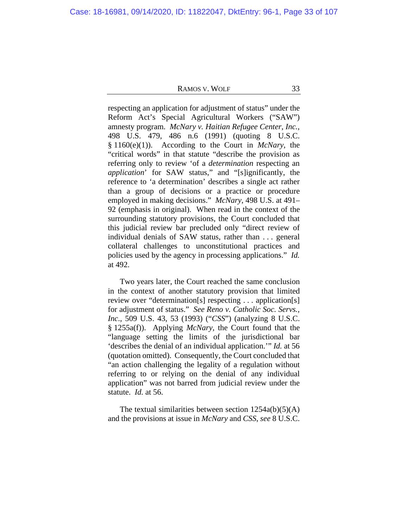respecting an application for adjustment of status" under the Reform Act's Special Agricultural Workers ("SAW") amnesty program. *McNary v. Haitian Refugee Center, Inc.*, 498 U.S. 479, 486 n.6 (1991) (quoting 8 U.S.C. § 1160(e)(1)). According to the Court in *McNary*, the "critical words" in that statute "describe the provision as referring only to review 'of a *determination* respecting an *application*' for SAW status," and "[s]ignificantly, the reference to 'a determination' describes a single act rather than a group of decisions or a practice or procedure employed in making decisions." *McNary*, 498 U.S. at 491– 92 (emphasis in original). When read in the context of the surrounding statutory provisions, the Court concluded that this judicial review bar precluded only "direct review of individual denials of SAW status, rather than . . . general collateral challenges to unconstitutional practices and policies used by the agency in processing applications." *Id.*  at 492.

Two years later, the Court reached the same conclusion in the context of another statutory provision that limited review over "determination[s] respecting . . . application[s] for adjustment of status." *See Reno v. Catholic Soc. Servs., Inc*., 509 U.S. 43, 53 (1993) ("*CSS*") (analyzing 8 U.S.C. § 1255a(f)). Applying *McNary*, the Court found that the "language setting the limits of the jurisdictional bar 'describes the denial of an individual application.'" *Id.* at 56 (quotation omitted). Consequently, the Court concluded that "an action challenging the legality of a regulation without referring to or relying on the denial of any individual application" was not barred from judicial review under the statute. *Id.* at 56.

The textual similarities between section  $1254a(b)(5)(A)$ and the provisions at issue in *McNary* and *CSS*, *see* 8 U.S.C.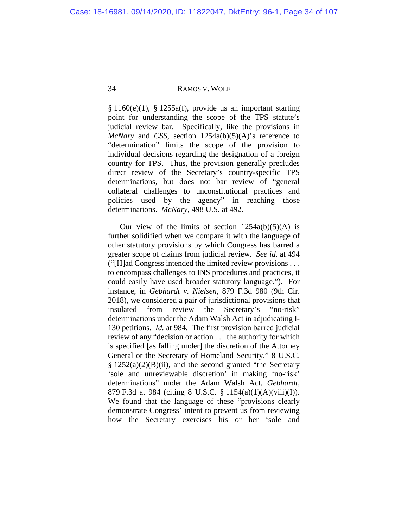§ 1160(e)(1), § 1255a(f), provide us an important starting point for understanding the scope of the TPS statute's judicial review bar. Specifically, like the provisions in *McNary* and *CSS*, section 1254a(b)(5)(A)'s reference to "determination" limits the scope of the provision to individual decisions regarding the designation of a foreign country for TPS. Thus, the provision generally precludes direct review of the Secretary's country-specific TPS determinations, but does not bar review of "general collateral challenges to unconstitutional practices and policies used by the agency" in reaching those determinations. *McNary*, 498 U.S. at 492.

Our view of the limits of section  $1254a(b)(5)(A)$  is further solidified when we compare it with the language of other statutory provisions by which Congress has barred a greater scope of claims from judicial review. *See id.* at 494 ("[H]ad Congress intended the limited review provisions . . . to encompass challenges to INS procedures and practices, it could easily have used broader statutory language."). For instance, in *Gebhardt v. Nielsen*, 879 F.3d 980 (9th Cir. 2018), we considered a pair of jurisdictional provisions that insulated from review the Secretary's "no-risk" determinations under the Adam Walsh Act in adjudicating I-130 petitions. *Id.* at 984. The first provision barred judicial review of any "decision or action . . . the authority for which is specified [as falling under] the discretion of the Attorney General or the Secretary of Homeland Security," 8 U.S.C.  $§ 1252(a)(2)(B)(ii)$ , and the second granted "the Secretary" 'sole and unreviewable discretion' in making 'no-risk' determinations" under the Adam Walsh Act, *Gebhardt*, 879 F.3d at 984 (citing 8 U.S.C. § 1154(a)(1)(A)(viii)(I)). We found that the language of these "provisions clearly demonstrate Congress' intent to prevent us from reviewing how the Secretary exercises his or her 'sole and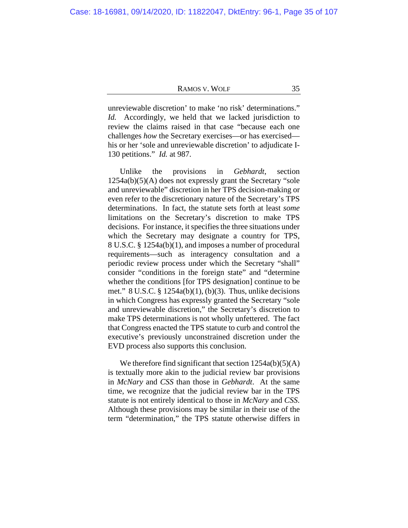unreviewable discretion' to make 'no risk' determinations." *Id.* Accordingly, we held that we lacked jurisdiction to review the claims raised in that case "because each one challenges *how* the Secretary exercises—or has exercised his or her 'sole and unreviewable discretion' to adjudicate I-130 petitions." *Id.* at 987.

Unlike the provisions in *Gebhardt*, section 1254a(b)(5)(A) does not expressly grant the Secretary "sole and unreviewable" discretion in her TPS decision-making or even refer to the discretionary nature of the Secretary's TPS determinations. In fact, the statute sets forth at least *some* limitations on the Secretary's discretion to make TPS decisions. For instance, it specifies the three situations under which the Secretary may designate a country for TPS, 8 U.S.C. § 1254a(b)(1), and imposes a number of procedural requirements—such as interagency consultation and a periodic review process under which the Secretary "shall" consider "conditions in the foreign state" and "determine whether the conditions [for TPS designation] continue to be met."  $8 U.S.C. \S 1254a(b)(1), (b)(3)$ . Thus, unlike decisions in which Congress has expressly granted the Secretary "sole and unreviewable discretion," the Secretary's discretion to make TPS determinations is not wholly unfettered. The fact that Congress enacted the TPS statute to curb and control the executive's previously unconstrained discretion under the EVD process also supports this conclusion.

We therefore find significant that section  $1254a(b)(5)(A)$ is textually more akin to the judicial review bar provisions in *McNary* and *CSS* than those in *Gebhardt*. At the same time, we recognize that the judicial review bar in the TPS statute is not entirely identical to those in *McNary* and *CSS*. Although these provisions may be similar in their use of the term "determination," the TPS statute otherwise differs in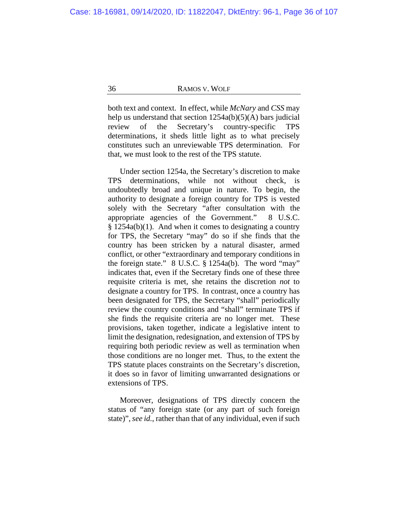both text and context. In effect, while *McNary* and *CSS* may help us understand that section  $1254a(b)(5)(A)$  bars judicial review of the Secretary's country-specific TPS determinations, it sheds little light as to what precisely constitutes such an unreviewable TPS determination. For that, we must look to the rest of the TPS statute.

Under section 1254a, the Secretary's discretion to make TPS determinations, while not without check, is undoubtedly broad and unique in nature. To begin, the authority to designate a foreign country for TPS is vested solely with the Secretary "after consultation with the appropriate agencies of the Government." 8 U.S.C. § 1254a(b)(1). And when it comes to designating a country for TPS, the Secretary "may" do so if she finds that the country has been stricken by a natural disaster, armed conflict, or other "extraordinary and temporary conditions in the foreign state." 8 U.S.C. § 1254a(b). The word "may" indicates that, even if the Secretary finds one of these three requisite criteria is met, she retains the discretion *not* to designate a country for TPS. In contrast, once a country has been designated for TPS, the Secretary "shall" periodically review the country conditions and "shall" terminate TPS if she finds the requisite criteria are no longer met. These provisions, taken together, indicate a legislative intent to limit the designation, redesignation, and extension of TPS by requiring both periodic review as well as termination when those conditions are no longer met. Thus, to the extent the TPS statute places constraints on the Secretary's discretion, it does so in favor of limiting unwarranted designations or extensions of TPS.

Moreover, designations of TPS directly concern the status of "any foreign state (or any part of such foreign state)", *see id.*, rather than that of any individual, even if such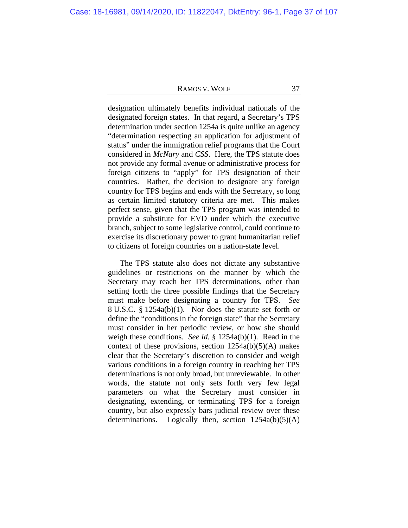designation ultimately benefits individual nationals of the designated foreign states. In that regard, a Secretary's TPS determination under section 1254a is quite unlike an agency "determination respecting an application for adjustment of status" under the immigration relief programs that the Court considered in *McNary* and *CSS*. Here, the TPS statute does not provide any formal avenue or administrative process for foreign citizens to "apply" for TPS designation of their countries. Rather, the decision to designate any foreign country for TPS begins and ends with the Secretary, so long as certain limited statutory criteria are met. This makes perfect sense, given that the TPS program was intended to provide a substitute for EVD under which the executive branch, subject to some legislative control, could continue to exercise its discretionary power to grant humanitarian relief to citizens of foreign countries on a nation-state level.

The TPS statute also does not dictate any substantive guidelines or restrictions on the manner by which the Secretary may reach her TPS determinations, other than setting forth the three possible findings that the Secretary must make before designating a country for TPS. *See*  8 U.S.C. § 1254a(b)(1). Nor does the statute set forth or define the "conditions in the foreign state" that the Secretary must consider in her periodic review, or how she should weigh these conditions. *See id.* § 1254a(b)(1). Read in the context of these provisions, section  $1254a(b)(5)(A)$  makes clear that the Secretary's discretion to consider and weigh various conditions in a foreign country in reaching her TPS determinations is not only broad, but unreviewable. In other words, the statute not only sets forth very few legal parameters on what the Secretary must consider in designating, extending, or terminating TPS for a foreign country, but also expressly bars judicial review over these determinations. Logically then, section  $1254a(b)(5)(A)$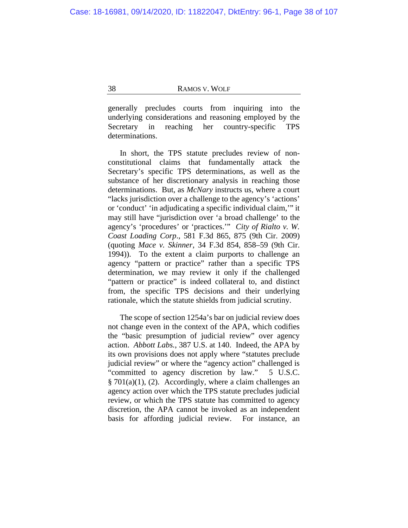generally precludes courts from inquiring into the underlying considerations and reasoning employed by the Secretary in reaching her country-specific TPS determinations.

In short, the TPS statute precludes review of nonconstitutional claims that fundamentally attack the Secretary's specific TPS determinations, as well as the substance of her discretionary analysis in reaching those determinations. But, as *McNary* instructs us, where a court "lacks jurisdiction over a challenge to the agency's 'actions' or 'conduct' 'in adjudicating a specific individual claim,'" it may still have "jurisdiction over 'a broad challenge' to the agency's 'procedures' or 'practices.'" *City of Rialto v. W. Coast Loading Corp*., 581 F.3d 865, 875 (9th Cir. 2009) (quoting *Mace v. Skinner*, 34 F.3d 854, 858–59 (9th Cir. 1994)). To the extent a claim purports to challenge an agency "pattern or practice" rather than a specific TPS determination, we may review it only if the challenged "pattern or practice" is indeed collateral to, and distinct from, the specific TPS decisions and their underlying rationale, which the statute shields from judicial scrutiny.

The scope of section 1254a's bar on judicial review does not change even in the context of the APA, which codifies the "basic presumption of judicial review" over agency action. *Abbott Labs.*, 387 U.S. at 140. Indeed, the APA by its own provisions does not apply where "statutes preclude judicial review" or where the "agency action" challenged is "committed to agency discretion by law." 5 U.S.C.  $§ 701(a)(1)$ , (2). Accordingly, where a claim challenges an agency action over which the TPS statute precludes judicial review, or which the TPS statute has committed to agency discretion, the APA cannot be invoked as an independent basis for affording judicial review. For instance, an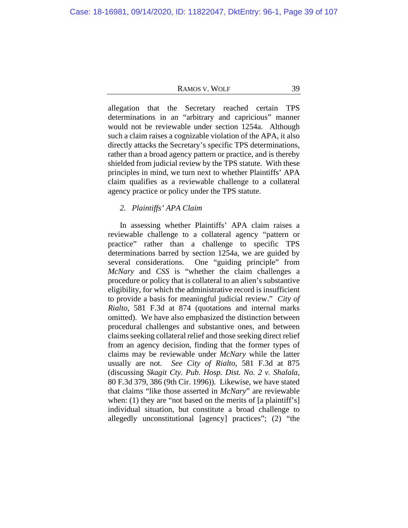allegation that the Secretary reached certain TPS determinations in an "arbitrary and capricious" manner would not be reviewable under section 1254a. Although such a claim raises a cognizable violation of the APA, it also directly attacks the Secretary's specific TPS determinations, rather than a broad agency pattern or practice, and is thereby shielded from judicial review by the TPS statute. With these principles in mind, we turn next to whether Plaintiffs' APA claim qualifies as a reviewable challenge to a collateral agency practice or policy under the TPS statute.

# *2. Plaintiffs' APA Claim*

In assessing whether Plaintiffs' APA claim raises a reviewable challenge to a collateral agency "pattern or practice" rather than a challenge to specific TPS determinations barred by section 1254a, we are guided by several considerations. One "guiding principle" from *McNary* and *CSS* is "whether the claim challenges a procedure or policy that is collateral to an alien's substantive eligibility, for which the administrative record is insufficient to provide a basis for meaningful judicial review." *City of Rialto*, 581 F.3d at 874 (quotations and internal marks omitted). We have also emphasized the distinction between procedural challenges and substantive ones, and between claims seeking collateral relief and those seeking direct relief from an agency decision, finding that the former types of claims may be reviewable under *McNary* while the latter usually are not. *See City of Rialto*, 581 F.3d at 875 (discussing *Skagit Cty. Pub. Hosp. Dist. No. 2 v. Shalala*, 80 F.3d 379, 386 (9th Cir. 1996)). Likewise, we have stated that claims "like those asserted in *McNary*" are reviewable when: (1) they are "not based on the merits of [a plaintiff's] individual situation, but constitute a broad challenge to allegedly unconstitutional [agency] practices"; (2) "the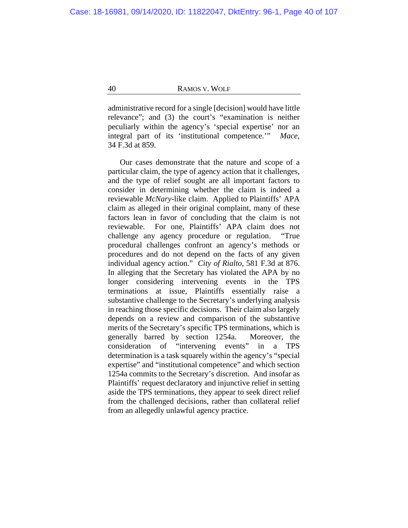administrative record for a single [decision] would have little relevance"; and (3) the court's "examination is neither peculiarly within the agency's 'special expertise' nor an integral part of its 'institutional competence.'" *Mace*, 34 F.3d at 859.

Our cases demonstrate that the nature and scope of a particular claim, the type of agency action that it challenges, and the type of relief sought are all important factors to consider in determining whether the claim is indeed a reviewable *McNary*-like claim. Applied to Plaintiffs' APA claim as alleged in their original complaint, many of these factors lean in favor of concluding that the claim is not reviewable. For one, Plaintiffs' APA claim does not challenge any agency procedure or regulation. "True procedural challenges confront an agency's methods or procedures and do not depend on the facts of any given individual agency action." *City of Rialto*, 581 F.3d at 876. In alleging that the Secretary has violated the APA by no longer considering intervening events in the TPS terminations at issue, Plaintiffs essentially raise a substantive challenge to the Secretary's underlying analysis in reaching those specific decisions. Their claim also largely depends on a review and comparison of the substantive merits of the Secretary's specific TPS terminations, which is generally barred by section 1254a. Moreover, the consideration of "intervening events" in a TPS determination is a task squarely within the agency's "special expertise" and "institutional competence" and which section 1254a commits to the Secretary's discretion. And insofar as Plaintiffs' request declaratory and injunctive relief in setting aside the TPS terminations, they appear to seek direct relief from the challenged decisions, rather than collateral relief from an allegedly unlawful agency practice.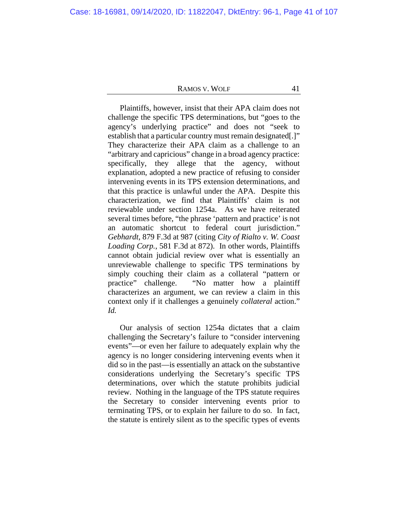Plaintiffs, however, insist that their APA claim does not challenge the specific TPS determinations, but "goes to the agency's underlying practice" and does not "seek to establish that a particular country must remain designated[.]" They characterize their APA claim as a challenge to an "arbitrary and capricious" change in a broad agency practice: specifically, they allege that the agency, without explanation, adopted a new practice of refusing to consider intervening events in its TPS extension determinations, and that this practice is unlawful under the APA.Despite this characterization, we find that Plaintiffs' claim is not reviewable under section 1254a. As we have reiterated several times before, "the phrase 'pattern and practice' is not an automatic shortcut to federal court jurisdiction." *Gebhardt*, 879 F.3d at 987 (citing *City of Rialto v. W. Coast Loading Corp.*, 581 F.3d at 872). In other words, Plaintiffs cannot obtain judicial review over what is essentially an unreviewable challenge to specific TPS terminations by simply couching their claim as a collateral "pattern or practice" challenge. "No matter how a plaintiff characterizes an argument, we can review a claim in this context only if it challenges a genuinely *collateral* action." *Id.*

Our analysis of section 1254a dictates that a claim challenging the Secretary's failure to "consider intervening events"—or even her failure to adequately explain why the agency is no longer considering intervening events when it did so in the past—is essentially an attack on the substantive considerations underlying the Secretary's specific TPS determinations, over which the statute prohibits judicial review.Nothing in the language of the TPS statute requires the Secretary to consider intervening events prior to terminating TPS, or to explain her failure to do so. In fact, the statute is entirely silent as to the specific types of events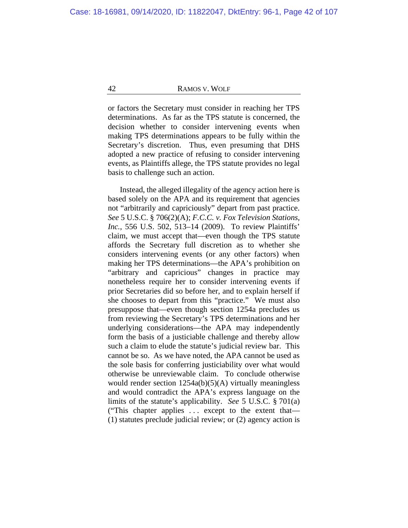or factors the Secretary must consider in reaching her TPS determinations. As far as the TPS statute is concerned, the decision whether to consider intervening events when making TPS determinations appears to be fully within the Secretary's discretion. Thus, even presuming that DHS adopted a new practice of refusing to consider intervening events, as Plaintiffs allege, the TPS statute provides no legal basis to challenge such an action.

Instead, the alleged illegality of the agency action here is based solely on the APA and its requirement that agencies not "arbitrarily and capriciously" depart from past practice. *See* 5 U.S.C. § 706(2)(A); *F.C.C. v. Fox Television Stations, Inc.*, 556 U.S. 502, 513–14 (2009). To review Plaintiffs' claim, we must accept that—even though the TPS statute affords the Secretary full discretion as to whether she considers intervening events (or any other factors) when making her TPS determinations—the APA's prohibition on "arbitrary and capricious" changes in practice may nonetheless require her to consider intervening events if prior Secretaries did so before her, and to explain herself if she chooses to depart from this "practice." We must also presuppose that—even though section 1254a precludes us from reviewing the Secretary's TPS determinations and her underlying considerations—the APA may independently form the basis of a justiciable challenge and thereby allow such a claim to elude the statute's judicial review bar. This cannot be so. As we have noted, the APA cannot be used as the sole basis for conferring justiciability over what would otherwise be unreviewable claim. To conclude otherwise would render section  $1254a(b)(5)(A)$  virtually meaningless and would contradict the APA's express language on the limits of the statute's applicability. *See* 5 U.S.C. § 701(a) ("This chapter applies . . . except to the extent that— (1) statutes preclude judicial review; or (2) agency action is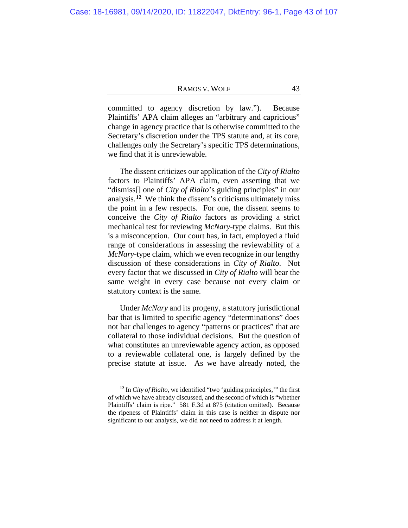committed to agency discretion by law."). Because Plaintiffs' APA claim alleges an "arbitrary and capricious" change in agency practice that is otherwise committed to the Secretary's discretion under the TPS statute and, at its core, challenges only the Secretary's specific TPS determinations, we find that it is unreviewable.

The dissent criticizes our application of the *City of Rialto* factors to Plaintiffs' APA claim, even asserting that we "dismiss[] one of *City of Rialto*'s guiding principles" in our analysis.**[12](#page-42-0)** We think the dissent's criticisms ultimately miss the point in a few respects. For one, the dissent seems to conceive the *City of Rialto* factors as providing a strict mechanical test for reviewing *McNary*-type claims. But this is a misconception. Our court has, in fact, employed a fluid range of considerations in assessing the reviewability of a *McNary*-type claim, which we even recognize in our lengthy discussion of these considerations in *City of Rialto*. Not every factor that we discussed in *City of Rialto* will bear the same weight in every case because not every claim or statutory context is the same.

Under *McNary* and its progeny, a statutory jurisdictional bar that is limited to specific agency "determinations" does not bar challenges to agency "patterns or practices" that are collateral to those individual decisions. But the question of what constitutes an unreviewable agency action, as opposed to a reviewable collateral one, is largely defined by the precise statute at issue. As we have already noted, the

<span id="page-42-0"></span>**<sup>12</sup>** In *City of Rialto*, we identified "two 'guiding principles,'" the first of which we have already discussed, and the second of which is "whether Plaintiffs' claim is ripe." 581 F.3d at 875 (citation omitted). Because the ripeness of Plaintiffs' claim in this case is neither in dispute nor significant to our analysis, we did not need to address it at length.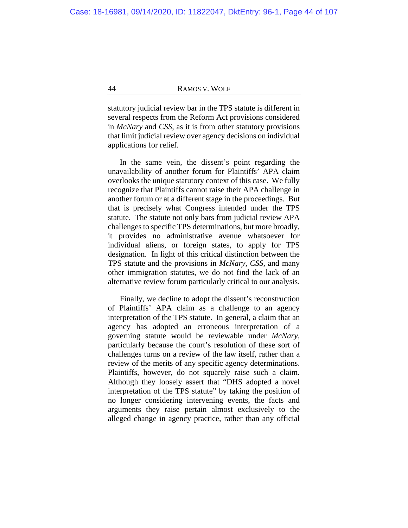statutory judicial review bar in the TPS statute is different in several respects from the Reform Act provisions considered in *McNary* and *CSS*, as it is from other statutory provisions that limit judicial review over agency decisions on individual applications for relief.

In the same vein, the dissent's point regarding the unavailability of another forum for Plaintiffs' APA claim overlooks the unique statutory context of this case. We fully recognize that Plaintiffs cannot raise their APA challenge in another forum or at a different stage in the proceedings. But that is precisely what Congress intended under the TPS statute. The statute not only bars from judicial review APA challenges to specific TPS determinations, but more broadly, it provides no administrative avenue whatsoever for individual aliens, or foreign states, to apply for TPS designation. In light of this critical distinction between the TPS statute and the provisions in *McNary*, *CSS*, and many other immigration statutes, we do not find the lack of an alternative review forum particularly critical to our analysis.

Finally, we decline to adopt the dissent's reconstruction of Plaintiffs' APA claim as a challenge to an agency interpretation of the TPS statute. In general, a claim that an agency has adopted an erroneous interpretation of a governing statute would be reviewable under *McNary*, particularly because the court's resolution of these sort of challenges turns on a review of the law itself, rather than a review of the merits of any specific agency determinations. Plaintiffs, however, do not squarely raise such a claim. Although they loosely assert that "DHS adopted a novel interpretation of the TPS statute" by taking the position of no longer considering intervening events, the facts and arguments they raise pertain almost exclusively to the alleged change in agency practice, rather than any official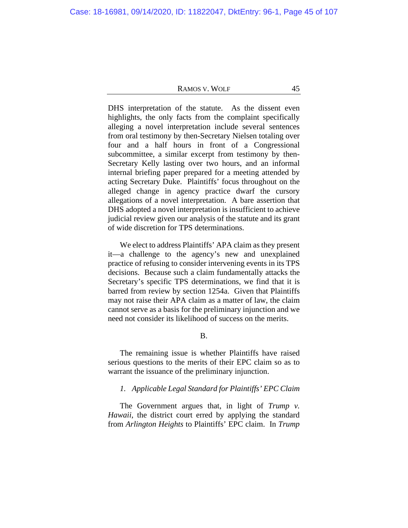DHS interpretation of the statute. As the dissent even highlights, the only facts from the complaint specifically alleging a novel interpretation include several sentences from oral testimony by then-Secretary Nielsen totaling over four and a half hours in front of a Congressional subcommittee, a similar excerpt from testimony by then-Secretary Kelly lasting over two hours, and an informal internal briefing paper prepared for a meeting attended by acting Secretary Duke. Plaintiffs' focus throughout on the alleged change in agency practice dwarf the cursory allegations of a novel interpretation. A bare assertion that DHS adopted a novel interpretation is insufficient to achieve judicial review given our analysis of the statute and its grant of wide discretion for TPS determinations.

We elect to address Plaintiffs' APA claim as they present it—a challenge to the agency's new and unexplained practice of refusing to consider intervening events in its TPS decisions. Because such a claim fundamentally attacks the Secretary's specific TPS determinations, we find that it is barred from review by section 1254a. Given that Plaintiffs may not raise their APA claim as a matter of law, the claim cannot serve as a basis for the preliminary injunction and we need not consider its likelihood of success on the merits.

B.

The remaining issue is whether Plaintiffs have raised serious questions to the merits of their EPC claim so as to warrant the issuance of the preliminary injunction.

# *1. Applicable Legal Standard for Plaintiffs' EPC Claim*

The Government argues that, in light of *Trump v. Hawaii*, the district court erred by applying the standard from *Arlington Heights* to Plaintiffs' EPC claim. In *Trump*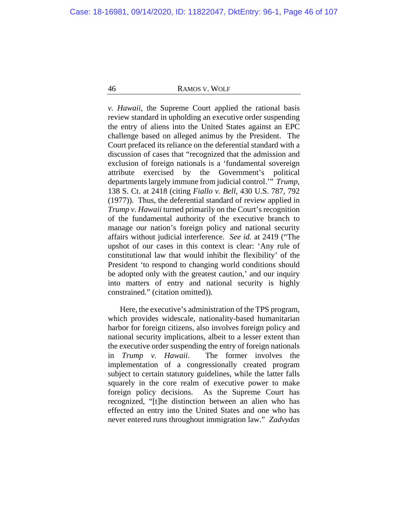*v. Hawaii*, the Supreme Court applied the rational basis review standard in upholding an executive order suspending the entry of aliens into the United States against an EPC challenge based on alleged animus by the President. The Court prefaced its reliance on the deferential standard with a discussion of cases that "recognized that the admission and exclusion of foreign nationals is a 'fundamental sovereign attribute exercised by the Government's political departments largely immune from judicial control.'" *Trump*, 138 S. Ct. at 2418 (citing *Fiallo v. Bell*, 430 U.S. 787, 792 (1977)). Thus, the deferential standard of review applied in *Trump v. Hawaii* turned primarily on the Court's recognition of the fundamental authority of the executive branch to manage our nation's foreign policy and national security affairs without judicial interference. *See id.* at 2419 ("The upshot of our cases in this context is clear: 'Any rule of constitutional law that would inhibit the flexibility' of the President 'to respond to changing world conditions should be adopted only with the greatest caution,' and our inquiry into matters of entry and national security is highly constrained." (citation omitted)).

Here, the executive's administration of the TPS program, which provides widescale, nationality-based humanitarian harbor for foreign citizens, also involves foreign policy and national security implications, albeit to a lesser extent than the executive order suspending the entry of foreign nationals in *Trump v. Hawaii*. The former involves the implementation of a congressionally created program subject to certain statutory guidelines, while the latter falls squarely in the core realm of executive power to make foreign policy decisions. As the Supreme Court has recognized, "[t]he distinction between an alien who has effected an entry into the United States and one who has never entered runs throughout immigration law." *Zadvydas*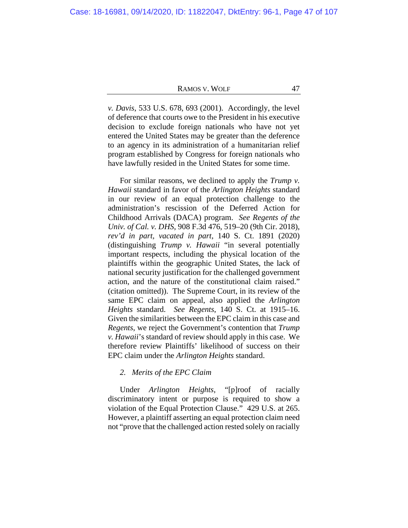*v. Davis*, 533 U.S. 678, 693 (2001). Accordingly, the level of deference that courts owe to the President in his executive decision to exclude foreign nationals who have not yet entered the United States may be greater than the deference to an agency in its administration of a humanitarian relief program established by Congress for foreign nationals who have lawfully resided in the United States for some time.

For similar reasons, we declined to apply the *Trump v. Hawaii* standard in favor of the *Arlington Heights* standard in our review of an equal protection challenge to the administration's rescission of the Deferred Action for Childhood Arrivals (DACA) program. *See Regents of the Univ. of Cal. v. DHS*, 908 F.3d 476, 519–20 (9th Cir. 2018), *rev'd in part, vacated in part*, 140 S. Ct. 1891 (2020) (distinguishing *Trump v. Hawaii* "in several potentially important respects, including the physical location of the plaintiffs within the geographic United States, the lack of national security justification for the challenged government action, and the nature of the constitutional claim raised." (citation omitted)). The Supreme Court, in its review of the same EPC claim on appeal, also applied the *Arlington Heights* standard. *See Regents*, 140 S. Ct. at 1915–16. Given the similarities between the EPC claim in this case and *Regents*, we reject the Government's contention that *Trump v. Hawaii*'s standard of review should apply in this case. We therefore review Plaintiffs' likelihood of success on their EPC claim under the *Arlington Heights* standard.

## *2. Merits of the EPC Claim*

Under *Arlington Heights*, "[p]roof of racially discriminatory intent or purpose is required to show a violation of the Equal Protection Clause." 429 U.S. at 265. However, a plaintiff asserting an equal protection claim need not "prove that the challenged action rested solely on racially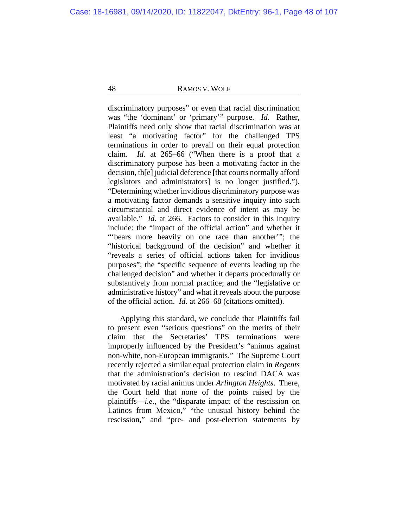discriminatory purposes" or even that racial discrimination was "the 'dominant' or 'primary'" purpose. *Id.* Rather, Plaintiffs need only show that racial discrimination was at least "a motivating factor" for the challenged TPS terminations in order to prevail on their equal protection claim. *Id.* at 265–66 ("When there is a proof that a discriminatory purpose has been a motivating factor in the decision, th[e] judicial deference [that courts normally afford legislators and administrators] is no longer justified."). "Determining whether invidious discriminatory purpose was a motivating factor demands a sensitive inquiry into such circumstantial and direct evidence of intent as may be available." *Id.* at 266. Factors to consider in this inquiry include: the "impact of the official action" and whether it "bears more heavily on one race than another"; the "historical background of the decision" and whether it "reveals a series of official actions taken for invidious purposes"; the "specific sequence of events leading up the challenged decision" and whether it departs procedurally or substantively from normal practice; and the "legislative or administrative history" and what it reveals about the purpose of the official action. *Id.* at 266–68 (citations omitted).

Applying this standard, we conclude that Plaintiffs fail to present even "serious questions" on the merits of their claim that the Secretaries' TPS terminations were improperly influenced by the President's "animus against non-white, non-European immigrants." The Supreme Court recently rejected a similar equal protection claim in *Regents*  that the administration's decision to rescind DACA was motivated by racial animus under *Arlington Heights*. There, the Court held that none of the points raised by the plaintiffs—*i.e.*, the "disparate impact of the rescission on Latinos from Mexico," "the unusual history behind the rescission," and "pre- and post-election statements by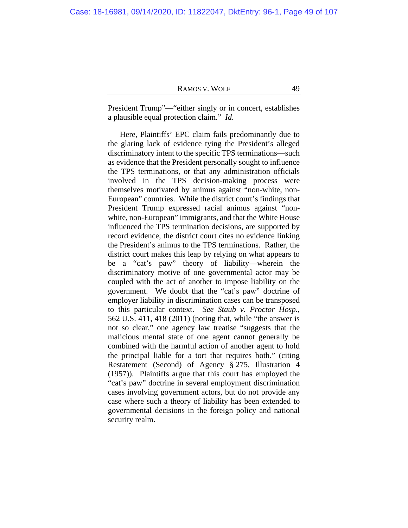President Trump"—"either singly or in concert, establishes a plausible equal protection claim." *Id.*

Here, Plaintiffs' EPC claim fails predominantly due to the glaring lack of evidence tying the President's alleged discriminatory intent to the specific TPS terminations—such as evidence that the President personally sought to influence the TPS terminations, or that any administration officials involved in the TPS decision-making process were themselves motivated by animus against "non-white, non-European" countries. While the district court's findings that President Trump expressed racial animus against "nonwhite, non-European" immigrants, and that the White House influenced the TPS termination decisions, are supported by record evidence, the district court cites no evidence linking the President's animus to the TPS terminations. Rather, the district court makes this leap by relying on what appears to be a "cat's paw" theory of liability—wherein the discriminatory motive of one governmental actor may be coupled with the act of another to impose liability on the government. We doubt that the "cat's paw" doctrine of employer liability in discrimination cases can be transposed to this particular context. *See Staub v. Proctor Hosp.*, 562 U.S. 411, 418 (2011) (noting that, while "the answer is not so clear," one agency law treatise "suggests that the malicious mental state of one agent cannot generally be combined with the harmful action of another agent to hold the principal liable for a tort that requires both." (citing Restatement (Second) of Agency § 275, Illustration 4 (1957)). Plaintiffs argue that this court has employed the "cat's paw" doctrine in several employment discrimination cases involving government actors, but do not provide any case where such a theory of liability has been extended to governmental decisions in the foreign policy and national security realm.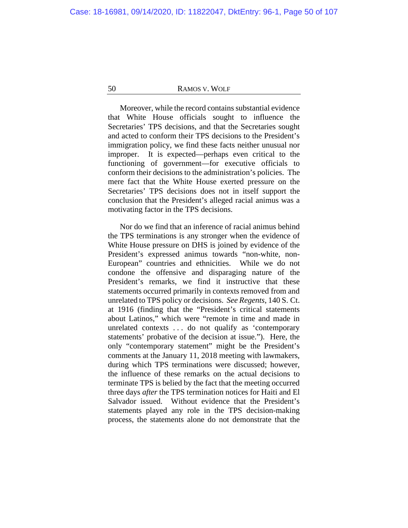Moreover, while the record contains substantial evidence that White House officials sought to influence the Secretaries' TPS decisions, and that the Secretaries sought and acted to conform their TPS decisions to the President's immigration policy, we find these facts neither unusual nor improper. It is expected—perhaps even critical to the functioning of government—for executive officials to conform their decisions to the administration's policies. The mere fact that the White House exerted pressure on the Secretaries' TPS decisions does not in itself support the conclusion that the President's alleged racial animus was a motivating factor in the TPS decisions.

Nor do we find that an inference of racial animus behind the TPS terminations is any stronger when the evidence of White House pressure on DHS is joined by evidence of the President's expressed animus towards "non-white, non-European" countries and ethnicities. While we do not condone the offensive and disparaging nature of the President's remarks, we find it instructive that these statements occurred primarily in contexts removed from and unrelated to TPS policy or decisions. *See Regents*, 140 S. Ct. at 1916 (finding that the "President's critical statements about Latinos," which were "remote in time and made in unrelated contexts . . . do not qualify as 'contemporary statements' probative of the decision at issue."). Here, the only "contemporary statement" might be the President's comments at the January 11, 2018 meeting with lawmakers, during which TPS terminations were discussed; however, the influence of these remarks on the actual decisions to terminate TPS is belied by the fact that the meeting occurred three days *after* the TPS termination notices for Haiti and El Salvador issued. Without evidence that the President's statements played any role in the TPS decision-making process, the statements alone do not demonstrate that the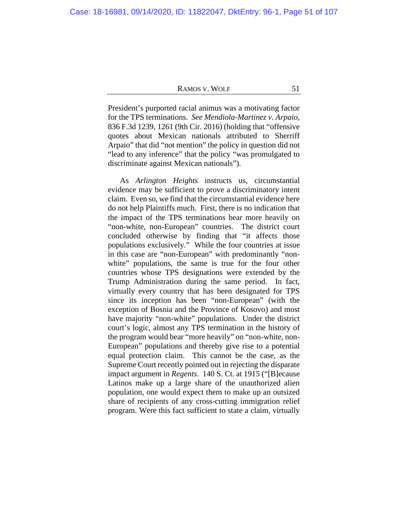President's purported racial animus was a motivating factor for the TPS terminations. *See Mendiola-Martinez v. Arpaio*, 836 F.3d 1239, 1261 (9th Cir. 2016) (holding that "offensive quotes about Mexican nationals attributed to Sherriff Arpaio" that did "not mention" the policy in question did not "lead to any inference" that the policy "was promulgated to discriminate against Mexican nationals").

As *Arlington Heights* instructs us, circumstantial evidence may be sufficient to prove a discriminatory intent claim. Even so, we find that the circumstantial evidence here do not help Plaintiffs much. First, there is no indication that the impact of the TPS terminations bear more heavily on "non-white, non-European" countries. The district court concluded otherwise by finding that "it affects those populations exclusively." While the four countries at issue in this case are "non-European" with predominantly "nonwhite" populations, the same is true for the four other countries whose TPS designations were extended by the Trump Administration during the same period. In fact, virtually every country that has been designated for TPS since its inception has been "non-European" (with the exception of Bosnia and the Province of Kosovo) and most have majority "non-white" populations. Under the district court's logic, almost any TPS termination in the history of the program would bear "more heavily" on "non-white, non-European" populations and thereby give rise to a potential equal protection claim. This cannot be the case, as the Supreme Court recently pointed out in rejecting the disparate impact argument in *Regents*. 140 S. Ct. at 1915 ("[B]ecause Latinos make up a large share of the unauthorized alien population, one would expect them to make up an outsized share of recipients of any cross-cutting immigration relief program. Were this fact sufficient to state a claim, virtually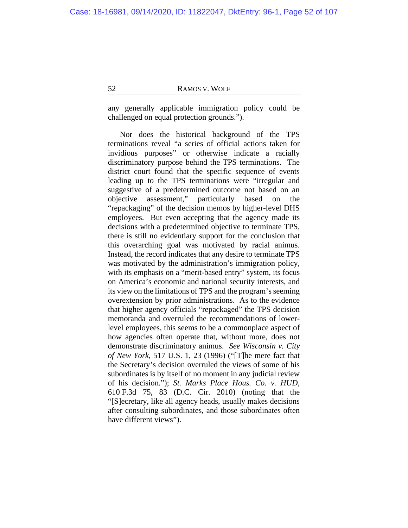any generally applicable immigration policy could be challenged on equal protection grounds.").

Nor does the historical background of the TPS terminations reveal "a series of official actions taken for invidious purposes" or otherwise indicate a racially discriminatory purpose behind the TPS terminations. The district court found that the specific sequence of events leading up to the TPS terminations were "irregular and suggestive of a predetermined outcome not based on an objective assessment," particularly based on the "repackaging" of the decision memos by higher-level DHS employees. But even accepting that the agency made its decisions with a predetermined objective to terminate TPS, there is still no evidentiary support for the conclusion that this overarching goal was motivated by racial animus. Instead, the record indicates that any desire to terminate TPS was motivated by the administration's immigration policy, with its emphasis on a "merit-based entry" system, its focus on America's economic and national security interests, and its view on the limitations of TPS and the program's seeming overextension by prior administrations. As to the evidence that higher agency officials "repackaged" the TPS decision memoranda and overruled the recommendations of lowerlevel employees, this seems to be a commonplace aspect of how agencies often operate that, without more, does not demonstrate discriminatory animus. *See Wisconsin v. City of New York*, 517 U.S. 1, 23 (1996) ("[T]he mere fact that the Secretary's decision overruled the views of some of his subordinates is by itself of no moment in any judicial review of his decision."); *St. Marks Place Hous. Co. v. HUD*, 610 F.3d 75, 83 (D.C. Cir. 2010) (noting that the "[S]ecretary, like all agency heads, usually makes decisions after consulting subordinates, and those subordinates often have different views").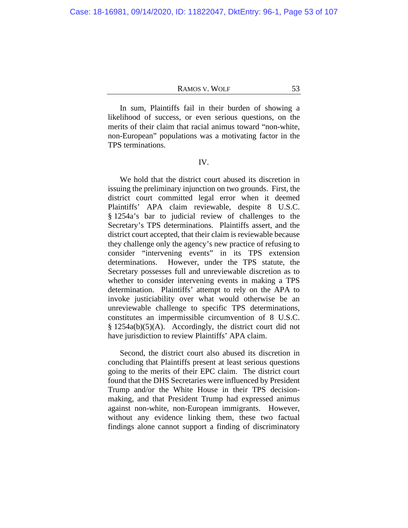In sum, Plaintiffs fail in their burden of showing a likelihood of success, or even serious questions, on the merits of their claim that racial animus toward "non-white, non-European" populations was a motivating factor in the TPS terminations.

## IV.

We hold that the district court abused its discretion in issuing the preliminary injunction on two grounds. First, the district court committed legal error when it deemed Plaintiffs' APA claim reviewable, despite 8 U.S.C. § 1254a's bar to judicial review of challenges to the Secretary's TPS determinations. Plaintiffs assert, and the district court accepted, that their claim is reviewable because they challenge only the agency's new practice of refusing to consider "intervening events" in its TPS extension determinations. However, under the TPS statute, the Secretary possesses full and unreviewable discretion as to whether to consider intervening events in making a TPS determination. Plaintiffs' attempt to rely on the APA to invoke justiciability over what would otherwise be an unreviewable challenge to specific TPS determinations, constitutes an impermissible circumvention of 8 U.S.C. § 1254a(b)(5)(A). Accordingly, the district court did not have jurisdiction to review Plaintiffs' APA claim.

Second, the district court also abused its discretion in concluding that Plaintiffs present at least serious questions going to the merits of their EPC claim. The district court found that the DHS Secretaries were influenced by President Trump and/or the White House in their TPS decisionmaking, and that President Trump had expressed animus against non-white, non-European immigrants. However, without any evidence linking them, these two factual findings alone cannot support a finding of discriminatory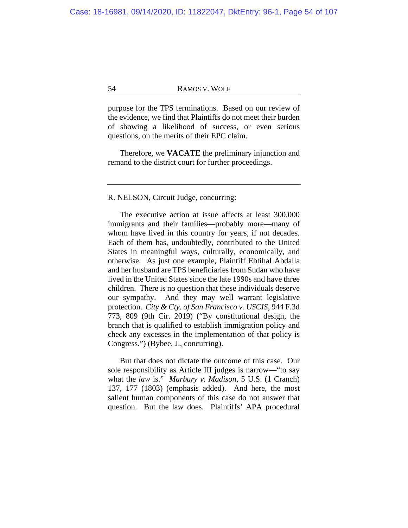purpose for the TPS terminations. Based on our review of the evidence, we find that Plaintiffs do not meet their burden of showing a likelihood of success, or even serious questions, on the merits of their EPC claim.

Therefore, we **VACATE** the preliminary injunction and remand to the district court for further proceedings.

# R. NELSON, Circuit Judge, concurring:

<span id="page-53-0"></span>The executive action at issue affects at least 300,000 immigrants and their families—probably more—many of whom have lived in this country for years, if not decades. Each of them has, undoubtedly, contributed to the United States in meaningful ways, culturally, economically, and otherwise. As just one example, Plaintiff Ebtihal Abdalla and her husband are TPS beneficiaries from Sudan who have lived in the United States since the late 1990s and have three children. There is no question that these individuals deserve our sympathy. And they may well warrant legislative protection. *City & Cty. of San Francisco v. USCIS*, 944 F.3d 773, 809 (9th Cir. 2019) ("By constitutional design, the branch that is qualified to establish immigration policy and check any excesses in the implementation of that policy is Congress.") (Bybee, J., concurring).

But that does not dictate the outcome of this case. Our sole responsibility as Article III judges is narrow—"to say what the *law* is." *Marbury v. Madison*, 5 U.S. (1 Cranch) 137, 177 (1803) (emphasis added). And here, the most salient human components of this case do not answer that question. But the law does. Plaintiffs' APA procedural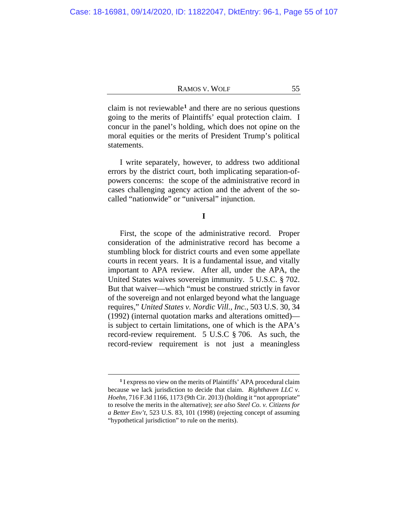claim is not reviewable**[1](#page-54-0)** and there are no serious questions going to the merits of Plaintiffs' equal protection claim. I concur in the panel's holding, which does not opine on the moral equities or the merits of President Trump's political statements.

I write separately, however, to address two additional errors by the district court, both implicating separation-ofpowers concerns: the scope of the administrative record in cases challenging agency action and the advent of the socalled "nationwide" or "universal" injunction.

**I**

First, the scope of the administrative record. Proper consideration of the administrative record has become a stumbling block for district courts and even some appellate courts in recent years. It is a fundamental issue, and vitally important to APA review. After all, under the APA, the United States waives sovereign immunity. 5 U.S.C. § 702. But that waiver—which "must be construed strictly in favor of the sovereign and not enlarged beyond what the language requires," *United States v. Nordic Vill., Inc.*, 503 U.S. 30, 34 (1992) (internal quotation marks and alterations omitted) is subject to certain limitations, one of which is the APA's record-review requirement. 5 U.S.C § 706. As such, the record-review requirement is not just a meaningless

<span id="page-54-0"></span>**<sup>1</sup>** I express no view on the merits of Plaintiffs' APA procedural claim because we lack jurisdiction to decide that claim. *Righthaven LLC v. Hoehn*, 716 F.3d 1166, 1173 (9th Cir. 2013) (holding it "not appropriate" to resolve the merits in the alternative); *see also Steel Co. v. Citizens for a Better Env't*, 523 U.S. 83, 101 (1998) (rejecting concept of assuming "hypothetical jurisdiction" to rule on the merits).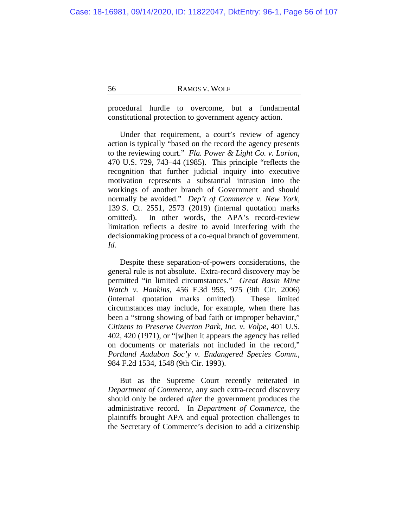procedural hurdle to overcome, but a fundamental constitutional protection to government agency action.

Under that requirement, a court's review of agency action is typically "based on the record the agency presents to the reviewing court." *Fla. Power & Light Co. v. Lorion*, 470 U.S. 729, 743–44 (1985). This principle "reflects the recognition that further judicial inquiry into executive motivation represents a substantial intrusion into the workings of another branch of Government and should normally be avoided." *Dep't of Commerce v. New York*, 139 S. Ct. 2551, 2573 (2019) (internal quotation marks omitted). In other words, the APA's record-review limitation reflects a desire to avoid interfering with the decisionmaking process of a co-equal branch of government. *Id.*

Despite these separation-of-powers considerations, the general rule is not absolute. Extra-record discovery may be permitted "in limited circumstances." *Great Basin Mine Watch v. Hankins*, 456 F.3d 955, 975 (9th Cir. 2006) (internal quotation marks omitted). These limited circumstances may include, for example, when there has been a "strong showing of bad faith or improper behavior," *Citizens to Preserve Overton Park, Inc. v. Volpe*, 401 U.S. 402, 420 (1971), or "[w]hen it appears the agency has relied on documents or materials not included in the record," *Portland Audubon Soc'y v. Endangered Species Comm.*, 984 F.2d 1534, 1548 (9th Cir. 1993).

But as the Supreme Court recently reiterated in *Department of Commerce*, any such extra-record discovery should only be ordered *after* the government produces the administrative record. In *Department of Commerce*, the plaintiffs brought APA and equal protection challenges to the Secretary of Commerce's decision to add a citizenship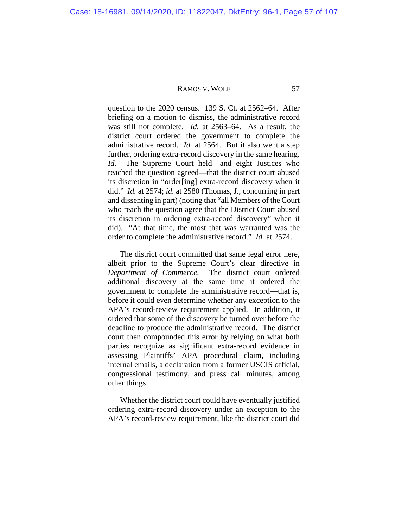question to the 2020 census. 139 S. Ct. at 2562–64. After briefing on a motion to dismiss, the administrative record was still not complete. *Id.* at 2563–64. As a result, the district court ordered the government to complete the administrative record. *Id.* at 2564. But it also went a step further, ordering extra-record discovery in the same hearing. *Id.* The Supreme Court held—and eight Justices who reached the question agreed—that the district court abused its discretion in "order[ing] extra-record discovery when it did." *Id.* at 2574; *id.* at 2580 (Thomas, J., concurring in part and dissenting in part) (noting that "all Members of the Court who reach the question agree that the District Court abused its discretion in ordering extra-record discovery" when it did). "At that time, the most that was warranted was the order to complete the administrative record." *Id.* at 2574.

The district court committed that same legal error here, albeit prior to the Supreme Court's clear directive in *Department of Commerce*. The district court ordered additional discovery at the same time it ordered the government to complete the administrative record—that is, before it could even determine whether any exception to the APA's record-review requirement applied. In addition, it ordered that some of the discovery be turned over before the deadline to produce the administrative record. The district court then compounded this error by relying on what both parties recognize as significant extra-record evidence in assessing Plaintiffs' APA procedural claim, including internal emails, a declaration from a former USCIS official, congressional testimony, and press call minutes, among other things.

Whether the district court could have eventually justified ordering extra-record discovery under an exception to the APA's record-review requirement, like the district court did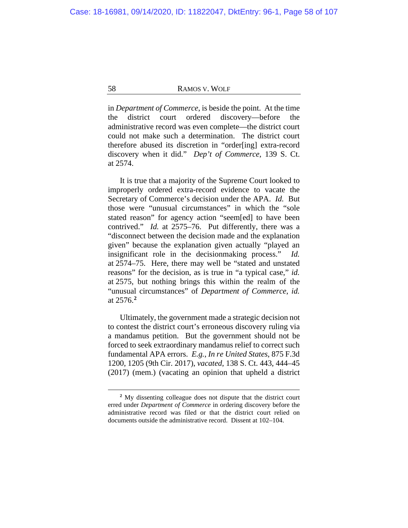in *Department of Commerce*, is beside the point. At the time the district court ordered discovery—before the administrative record was even complete—the district court could not make such a determination. The district court therefore abused its discretion in "order[ing] extra-record discovery when it did." *Dep't of Commerce*, 139 S. Ct. at 2574.

It is true that a majority of the Supreme Court looked to improperly ordered extra-record evidence to vacate the Secretary of Commerce's decision under the APA. *Id.* But those were "unusual circumstances" in which the "sole stated reason" for agency action "seem[ed] to have been contrived." *Id.* at 2575–76. Put differently, there was a "disconnect between the decision made and the explanation given" because the explanation given actually "played an insignificant role in the decisionmaking process." *Id.*  at 2574–75. Here, there may well be "stated and unstated reasons" for the decision, as is true in "a typical case," *id.* at 2575, but nothing brings this within the realm of the "unusual circumstances" of *Department of Commerce*, *id.* at 2576.**[2](#page-57-0)**

Ultimately, the government made a strategic decision not to contest the district court's erroneous discovery ruling via a mandamus petition. But the government should not be forced to seek extraordinary mandamus relief to correct such fundamental APA errors. *E.g.*, *In re United States*, 875 F.3d 1200, 1205 (9th Cir. 2017), *vacated*, 138 S. Ct. 443, 444–45 (2017) (mem.) (vacating an opinion that upheld a district

<span id="page-57-0"></span>**<sup>2</sup>** My dissenting colleague does not dispute that the district court erred under *Department of Commerce* in ordering discovery before the administrative record was filed or that the district court relied on documents outside the administrative record. Dissent at [102–](#page-101-0)[104.](#page-103-0)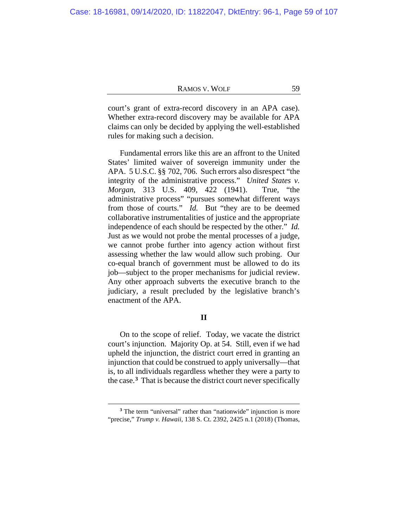court's grant of extra-record discovery in an APA case). Whether extra-record discovery may be available for APA claims can only be decided by applying the well-established rules for making such a decision.

Fundamental errors like this are an affront to the United States' limited waiver of sovereign immunity under the APA. 5 U.S.C. §§ 702, 706. Such errors also disrespect "the integrity of the administrative process." *United States v. Morgan*, 313 U.S. 409, 422 (1941). True, "the administrative process" "pursues somewhat different ways from those of courts." *Id.* But "they are to be deemed collaborative instrumentalities of justice and the appropriate independence of each should be respected by the other." *Id.* Just as we would not probe the mental processes of a judge, we cannot probe further into agency action without first assessing whether the law would allow such probing. Our co-equal branch of government must be allowed to do its job—subject to the proper mechanisms for judicial review. Any other approach subverts the executive branch to the judiciary, a result precluded by the legislative branch's enactment of the APA.

## **II**

On to the scope of relief. Today, we vacate the district court's injunction. Majority Op. at [54.](#page-53-0) Still, even if we had upheld the injunction, the district court erred in granting an injunction that could be construed to apply universally—that is, to all individuals regardless whether they were a party to the case.**[3](#page-58-0)** That is because the district court never specifically

<span id="page-58-0"></span><sup>&</sup>lt;sup>3</sup> The term "universal" rather than "nationwide" injunction is more "precise," *Trump v. Hawaii*, 138 S. Ct. 2392, 2425 n.1 (2018) (Thomas,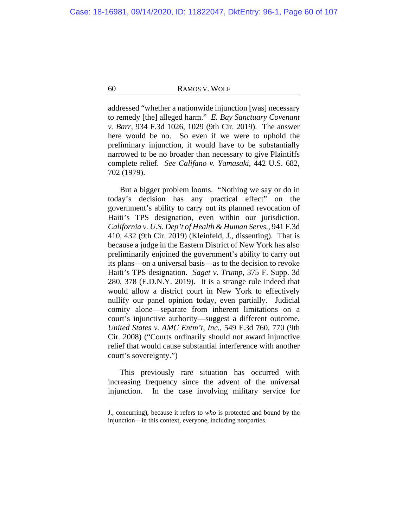addressed "whether a nationwide injunction [was] necessary to remedy [the] alleged harm." *E. Bay Sanctuary Covenant v. Barr*, 934 F.3d 1026, 1029 (9th Cir. 2019). The answer here would be no. So even if we were to uphold the preliminary injunction, it would have to be substantially narrowed to be no broader than necessary to give Plaintiffs complete relief. *See Califano v. Yamasaki*, 442 U.S. 682, 702 (1979).

But a bigger problem looms. "Nothing we say or do in today's decision has any practical effect" on the government's ability to carry out its planned revocation of Haiti's TPS designation, even within our jurisdiction. *California v. U.S. Dep't of Health & Human Servs.*, 941 F.3d 410, 432 (9th Cir. 2019) (Kleinfeld, J., dissenting). That is because a judge in the Eastern District of New York has also preliminarily enjoined the government's ability to carry out its plans—on a universal basis—as to the decision to revoke Haiti's TPS designation. *Saget v. Trump*, 375 F. Supp. 3d 280, 378 (E.D.N.Y. 2019). It is a strange rule indeed that would allow a district court in New York to effectively nullify our panel opinion today, even partially. Judicial comity alone—separate from inherent limitations on a court's injunctive authority—suggest a different outcome. *United States v. AMC Entm't, Inc.*, 549 F.3d 760, 770 (9th Cir. 2008) ("Courts ordinarily should not award injunctive relief that would cause substantial interference with another court's sovereignty.")

This previously rare situation has occurred with increasing frequency since the advent of the universal injunction. In the case involving military service for

J., concurring), because it refers to *who* is protected and bound by the injunction—in this context, everyone, including nonparties.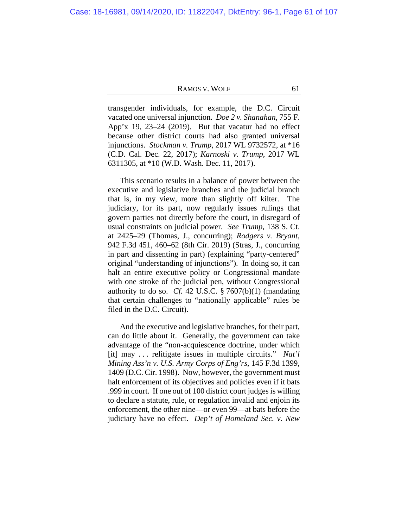transgender individuals, for example, the D.C. Circuit vacated one universal injunction. *Doe 2 v. Shanahan*, 755 F. App'x 19, 23–24 (2019). But that vacatur had no effect because other district courts had also granted universal injunctions. *Stockman v. Trump*, 2017 WL 9732572, at \*16 (C.D. Cal. Dec. 22, 2017); *Karnoski v. Trump*, 2017 WL 6311305, at \*10 (W.D. Wash. Dec. 11, 2017).

This scenario results in a balance of power between the executive and legislative branches and the judicial branch that is, in my view, more than slightly off kilter. The judiciary, for its part, now regularly issues rulings that govern parties not directly before the court, in disregard of usual constraints on judicial power. *See Trump*, 138 S. Ct. at 2425–29 (Thomas, J., concurring); *Rodgers v. Bryant*, 942 F.3d 451, 460–62 (8th Cir. 2019) (Stras, J., concurring in part and dissenting in part) (explaining "party-centered" original "understanding of injunctions"). In doing so, it can halt an entire executive policy or Congressional mandate with one stroke of the judicial pen, without Congressional authority to do so. *Cf.* 42 U.S.C. § 7607(b)(1) (mandating that certain challenges to "nationally applicable" rules be filed in the D.C. Circuit).

And the executive and legislative branches, for their part, can do little about it. Generally, the government can take advantage of the "non-acquiescence doctrine, under which [it] may . . . relitigate issues in multiple circuits." *Nat'l Mining Ass'n v. U.S. Army Corps of Eng'rs*, 145 F.3d 1399, 1409 (D.C. Cir. 1998). Now, however, the government must halt enforcement of its objectives and policies even if it bats .999 in court. If one out of 100 district court judges is willing to declare a statute, rule, or regulation invalid and enjoin its enforcement, the other nine—or even 99—at bats before the judiciary have no effect. *Dep't of Homeland Sec. v. New*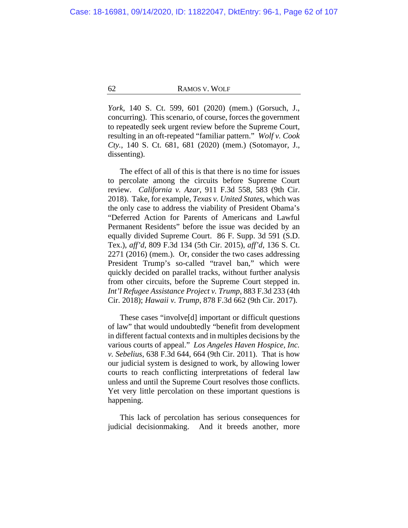*York*, 140 S. Ct. 599, 601 (2020) (mem.) (Gorsuch, J., concurring). This scenario, of course, forces the government to repeatedly seek urgent review before the Supreme Court, resulting in an oft-repeated "familiar pattern." *Wolf v. Cook Cty.*, 140 S. Ct. 681, 681 (2020) (mem.) (Sotomayor, J., dissenting).

The effect of all of this is that there is no time for issues to percolate among the circuits before Supreme Court review. *California v. Azar*, 911 F.3d 558, 583 (9th Cir. 2018). Take, for example, *Texas v. United States*, which was the only case to address the viability of President Obama's "Deferred Action for Parents of Americans and Lawful Permanent Residents" before the issue was decided by an equally divided Supreme Court. 86 F. Supp. 3d 591 (S.D. Tex.), *aff'd*, 809 F.3d 134 (5th Cir. 2015), *aff'd*, 136 S. Ct. 2271 (2016) (mem.). Or, consider the two cases addressing President Trump's so-called "travel ban," which were quickly decided on parallel tracks, without further analysis from other circuits, before the Supreme Court stepped in. *Int'l Refugee Assistance Project v. Trump*, 883 F.3d 233 (4th Cir. 2018); *Hawaii v. Trump*, 878 F.3d 662 (9th Cir. 2017).

These cases "involve[d] important or difficult questions of law" that would undoubtedly "benefit from development in different factual contexts and in multiples decisions by the various courts of appeal." *Los Angeles Haven Hospice, Inc. v. Sebelius*, 638 F.3d 644, 664 (9th Cir. 2011). That is how our judicial system is designed to work, by allowing lower courts to reach conflicting interpretations of federal law unless and until the Supreme Court resolves those conflicts. Yet very little percolation on these important questions is happening.

This lack of percolation has serious consequences for judicial decisionmaking. And it breeds another, more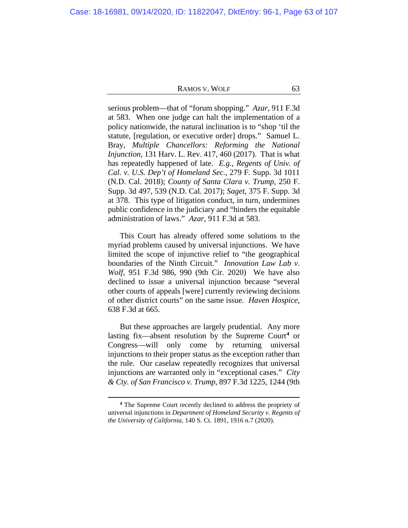serious problem—that of "forum shopping." *Azar*, 911 F.3d at 583. When one judge can halt the implementation of a policy nationwide, the natural inclination is to "shop 'til the statute, [regulation, or executive order] drops." Samuel L. Bray, *Multiple Chancellors: Reforming the National Injunction*, 131 Harv. L. Rev. 417, 460 (2017). That is what has repeatedly happened of late. *E.g.*, *Regents of Univ. of Cal. v. U.S. Dep't of Homeland Sec.*, 279 F. Supp. 3d 1011 (N.D. Cal. 2018); *County of Santa Clara v. Trump*, 250 F. Supp. 3d 497, 539 (N.D. Cal. 2017); *Saget*, 375 F. Supp. 3d at 378. This type of litigation conduct, in turn, undermines public confidence in the judiciary and "hinders the equitable administration of laws." *Azar*, 911 F.3d at 583.

This Court has already offered some solutions to the myriad problems caused by universal injunctions. We have limited the scope of injunctive relief to "the geographical boundaries of the Ninth Circuit." *Innovation Law Lab v. Wolf*, 951 F.3d 986, 990 (9th Cir. 2020) We have also declined to issue a universal injunction because "several other courts of appeals [were] currently reviewing decisions of other district courts" on the same issue. *Haven Hospice*, 638 F.3d at 665.

But these approaches are largely prudential. Any more lasting fix—absent resolution by the Supreme Court**[4](#page-62-0)** or Congress—will only come by returning universal injunctions to their proper status as the exception rather than the rule. Our caselaw repeatedly recognizes that universal injunctions are warranted only in "exceptional cases." *City & Cty. of San Francisco v. Trump*, 897 F.3d 1225, 1244 (9th

<span id="page-62-0"></span>**<sup>4</sup>** The Supreme Court recently declined to address the propriety of universal injunctions in *Department of Homeland Security v. Regents of the University of California*, 140 S. Ct. 1891, 1916 n.7 (2020).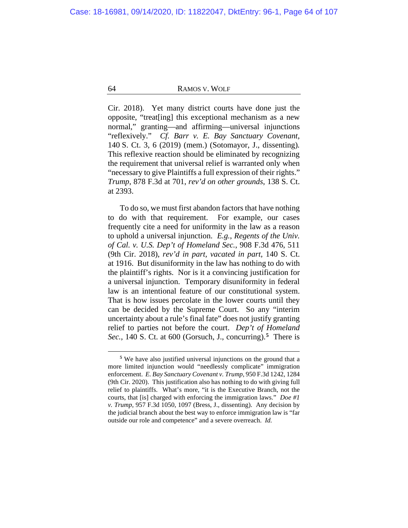Cir. 2018). Yet many district courts have done just the opposite, "treat[ing] this exceptional mechanism as a new normal," granting—and affirming—universal injunctions "reflexively." *Cf. Barr v. E. Bay Sanctuary Covenant*, 140 S. Ct. 3, 6 (2019) (mem.) (Sotomayor, J., dissenting)*.*  This reflexive reaction should be eliminated by recognizing the requirement that universal relief is warranted only when "necessary to give Plaintiffs a full expression of their rights." *Trump*, 878 F.3d at 701, *rev'd on other grounds*, 138 S. Ct. at 2393.

To do so, we must first abandon factors that have nothing to do with that requirement. For example, our cases frequently cite a need for uniformity in the law as a reason to uphold a universal injunction. *E.g.*, *Regents of the Univ. of Cal. v. U.S. Dep't of Homeland Sec.*, 908 F.3d 476, 511 (9th Cir. 2018), *rev'd in part, vacated in part*, 140 S. Ct. at 1916. But disuniformity in the law has nothing to do with the plaintiff's rights. Nor is it a convincing justification for a universal injunction. Temporary disuniformity in federal law is an intentional feature of our constitutional system. That is how issues percolate in the lower courts until they can be decided by the Supreme Court. So any "interim uncertainty about a rule's final fate" does not justify granting relief to parties not before the court. *Dep't of Homeland Sec.*, 140 S. Ct. at 600 (Gorsuch, J., concurring).**[5](#page-63-0)** There is

<span id="page-63-0"></span>**<sup>5</sup>** We have also justified universal injunctions on the ground that a more limited injunction would "needlessly complicate" immigration enforcement. *E. Bay Sanctuary Covenant v. Trump*, 950 F.3d 1242, 1284 (9th Cir. 2020). This justification also has nothing to do with giving full relief to plaintiffs. What's more, "it is the Executive Branch, not the courts, that [is] charged with enforcing the immigration laws." *Doe #1 v. Trump*, 957 F.3d 1050, 1097 (Bress, J., dissenting). Any decision by the judicial branch about the best way to enforce immigration law is "far outside our role and competence" and a severe overreach. *Id.*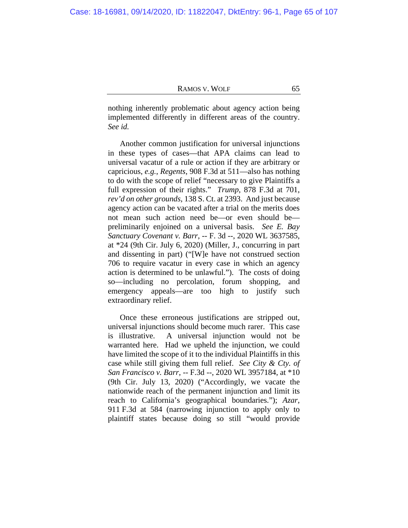nothing inherently problematic about agency action being implemented differently in different areas of the country. *See id.*

Another common justification for universal injunctions in these types of cases—that APA claims can lead to universal vacatur of a rule or action if they are arbitrary or capricious, *e.g.*, *Regents*, 908 F.3d at 511—also has nothing to do with the scope of relief "necessary to give Plaintiffs a full expression of their rights." *Trump*, 878 F.3d at 701, *rev'd on other grounds*, 138 S. Ct. at 2393. And just because agency action can be vacated after a trial on the merits does not mean such action need be—or even should be preliminarily enjoined on a universal basis. *See E. Bay Sanctuary Covenant v. Barr*, -- F. 3d --, 2020 WL 3637585, at \*24 (9th Cir. July 6, 2020) (Miller, J., concurring in part and dissenting in part) ("[W]e have not construed section 706 to require vacatur in every case in which an agency action is determined to be unlawful."). The costs of doing so—including no percolation, forum shopping, and emergency appeals—are too high to justify such extraordinary relief.

Once these erroneous justifications are stripped out, universal injunctions should become much rarer. This case is illustrative. A universal injunction would not be warranted here. Had we upheld the injunction, we could have limited the scope of it to the individual Plaintiffs in this case while still giving them full relief. *See City & Cty. of San Francisco v. Barr*, -- F.3d --, 2020 WL 3957184, at \*10 (9th Cir. July 13, 2020) ("Accordingly, we vacate the nationwide reach of the permanent injunction and limit its reach to California's geographical boundaries."); *Azar*, 911 F.3d at 584 (narrowing injunction to apply only to plaintiff states because doing so still "would provide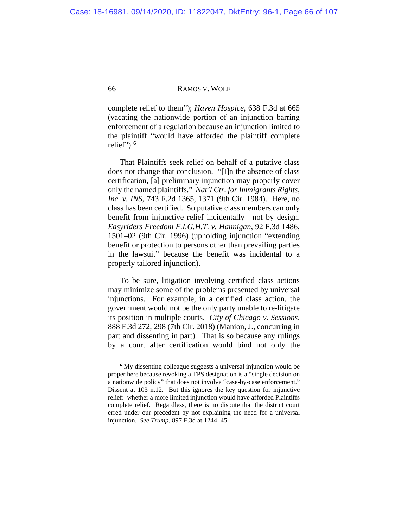complete relief to them"); *Haven Hospice*, 638 F.3d at 665 (vacating the nationwide portion of an injunction barring enforcement of a regulation because an injunction limited to the plaintiff "would have afforded the plaintiff complete relief").**[6](#page-65-0)**

That Plaintiffs seek relief on behalf of a putative class does not change that conclusion. "[I]n the absence of class certification, [a] preliminary injunction may properly cover only the named plaintiffs." *Nat'l Ctr. for Immigrants Rights, Inc. v. INS*, 743 F.2d 1365, 1371 (9th Cir. 1984). Here, no class has been certified. So putative class members can only benefit from injunctive relief incidentally—not by design. *Easyriders Freedom F.I.G.H.T. v. Hannigan*, 92 F.3d 1486, 1501–02 (9th Cir. 1996) (upholding injunction "extending benefit or protection to persons other than prevailing parties in the lawsuit" because the benefit was incidental to a properly tailored injunction).

To be sure, litigation involving certified class actions may minimize some of the problems presented by universal injunctions. For example, in a certified class action, the government would not be the only party unable to re-litigate its position in multiple courts. *City of Chicago v. Sessions*, 888 F.3d 272, 298 (7th Cir. 2018) (Manion, J., concurring in part and dissenting in part). That is so because any rulings by a court after certification would bind not only the

<span id="page-65-0"></span>**<sup>6</sup>** My dissenting colleague suggests a universal injunction would be proper here because revoking a TPS designation is a "single decision on a nationwide policy" that does not involve "case-by-case enforcement." Dissent at [103](#page-102-0) n.12. But this ignores the key question for injunctive relief: whether a more limited injunction would have afforded Plaintiffs complete relief. Regardless, there is no dispute that the district court erred under our precedent by not explaining the need for a universal injunction. *See Trump*, 897 F.3d at 1244–45.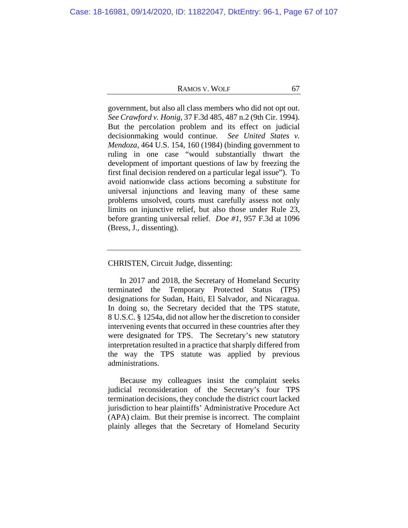government, but also all class members who did not opt out. *See Crawford v. Honig*, 37 F.3d 485, 487 n.2 (9th Cir. 1994). But the percolation problem and its effect on judicial decisionmaking would continue. *See United States v. Mendoza*, 464 U.S. 154, 160 (1984) (binding government to ruling in one case "would substantially thwart the development of important questions of law by freezing the first final decision rendered on a particular legal issue"). To avoid nationwide class actions becoming a substitute for universal injunctions and leaving many of these same problems unsolved, courts must carefully assess not only limits on injunctive relief, but also those under Rule 23, before granting universal relief. *Doe #1*, 957 F.3d at 1096 (Bress, J., dissenting).

# CHRISTEN, Circuit Judge, dissenting:

In 2017 and 2018, the Secretary of Homeland Security terminated the Temporary Protected Status (TPS) designations for Sudan, Haiti, El Salvador, and Nicaragua. In doing so, the Secretary decided that the TPS statute, 8 U.S.C. § 1254a, did not allow her the discretion to consider intervening events that occurred in these countries after they were designated for TPS. The Secretary's new statutory interpretation resulted in a practice that sharply differed from the way the TPS statute was applied by previous administrations.

Because my colleagues insist the complaint seeks judicial reconsideration of the Secretary's four TPS termination decisions, they conclude the district court lacked jurisdiction to hear plaintiffs' Administrative Procedure Act (APA) claim. But their premise is incorrect. The complaint plainly alleges that the Secretary of Homeland Security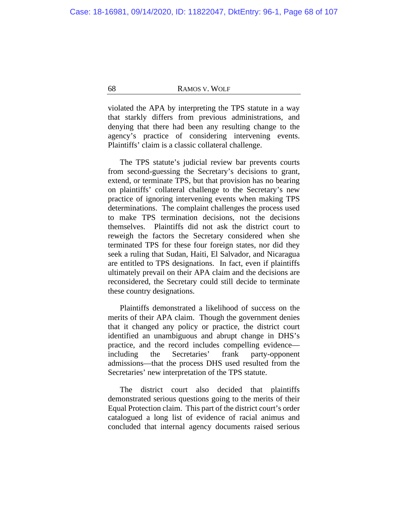violated the APA by interpreting the TPS statute in a way that starkly differs from previous administrations, and denying that there had been any resulting change to the agency's practice of considering intervening events. Plaintiffs' claim is a classic collateral challenge.

The TPS statute's judicial review bar prevents courts from second-guessing the Secretary's decisions to grant, extend, or terminate TPS, but that provision has no bearing on plaintiffs' collateral challenge to the Secretary's new practice of ignoring intervening events when making TPS determinations. The complaint challenges the process used to make TPS termination decisions, not the decisions themselves. Plaintiffs did not ask the district court to reweigh the factors the Secretary considered when she terminated TPS for these four foreign states, nor did they seek a ruling that Sudan, Haiti, El Salvador, and Nicaragua are entitled to TPS designations. In fact, even if plaintiffs ultimately prevail on their APA claim and the decisions are reconsidered, the Secretary could still decide to terminate these country designations.

Plaintiffs demonstrated a likelihood of success on the merits of their APA claim. Though the government denies that it changed any policy or practice, the district court identified an unambiguous and abrupt change in DHS's practice, and the record includes compelling evidence including the Secretaries' frank party-opponent admissions—that the process DHS used resulted from the Secretaries' new interpretation of the TPS statute.

The district court also decided that plaintiffs demonstrated serious questions going to the merits of their Equal Protection claim. This part of the district court's order catalogued a long list of evidence of racial animus and concluded that internal agency documents raised serious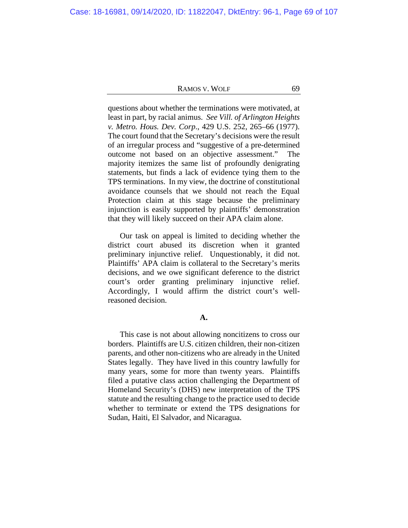questions about whether the terminations were motivated, at least in part, by racial animus. *See Vill. of Arlington Heights v. Metro. Hous. Dev. Corp*., 429 U.S. 252, 265–66 (1977). The court found that the Secretary's decisions were the result of an irregular process and "suggestive of a pre-determined outcome not based on an objective assessment."The majority itemizes the same list of profoundly denigrating statements, but finds a lack of evidence tying them to the TPS terminations. In my view, the doctrine of constitutional avoidance counsels that we should not reach the Equal Protection claim at this stage because the preliminary injunction is easily supported by plaintiffs' demonstration that they will likely succeed on their APA claim alone.

Our task on appeal is limited to deciding whether the district court abused its discretion when it granted preliminary injunctive relief. Unquestionably, it did not. Plaintiffs' APA claim is collateral to the Secretary's merits decisions, and we owe significant deference to the district court's order granting preliminary injunctive relief. Accordingly, I would affirm the district court's wellreasoned decision.

## **A.**

This case is not about allowing noncitizens to cross our borders. Plaintiffs are U.S. citizen children, their non-citizen parents, and other non-citizens who are already in the United States legally. They have lived in this country lawfully for many years, some for more than twenty years. Plaintiffs filed a putative class action challenging the Department of Homeland Security's (DHS) new interpretation of the TPS statute and the resulting change to the practice used to decide whether to terminate or extend the TPS designations for Sudan, Haiti, El Salvador, and Nicaragua.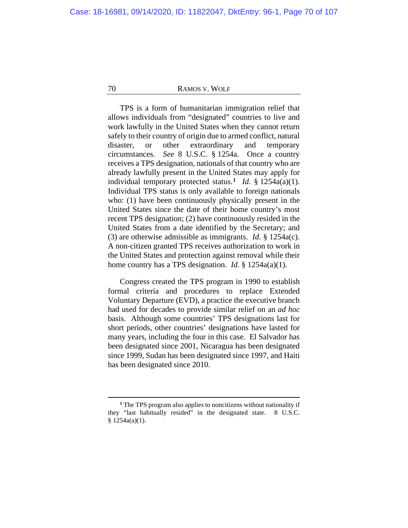TPS is a form of humanitarian immigration relief that allows individuals from "designated" countries to live and work lawfully in the United States when they cannot return safely to their country of origin due to armed conflict, natural disaster, or other extraordinary and temporary circumstances. *See* 8 U.S.C. § 1254a. Once a country receives a TPS designation, nationals of that country who are already lawfully present in the United States may apply for individual temporary protected status.**[1](#page-69-0)** *Id.* § 1254a(a)(1). Individual TPS status is only available to foreign nationals who: (1) have been continuously physically present in the United States since the date of their home country's most recent TPS designation; (2) have continuously resided in the United States from a date identified by the Secretary; and (3) are otherwise admissible as immigrants. *Id.* § 1254a(c). A non-citizen granted TPS receives authorization to work in the United States and protection against removal while their home country has a TPS designation. *Id*. § 1254a(a)(1).

Congress created the TPS program in 1990 to establish formal criteria and procedures to replace Extended Voluntary Departure (EVD), a practice the executive branch had used for decades to provide similar relief on an *ad hoc* basis. Although some countries' TPS designations last for short periods, other countries' designations have lasted for many years, including the four in this case. El Salvador has been designated since 2001, Nicaragua has been designated since 1999, Sudan has been designated since 1997, and Haiti has been designated since 2010.

<span id="page-69-0"></span>**<sup>1</sup>** The TPS program also applies to noncitizens without nationality if they "last habitually resided" in the designated state. 8 U.S.C.  $§ 1254a(a)(1).$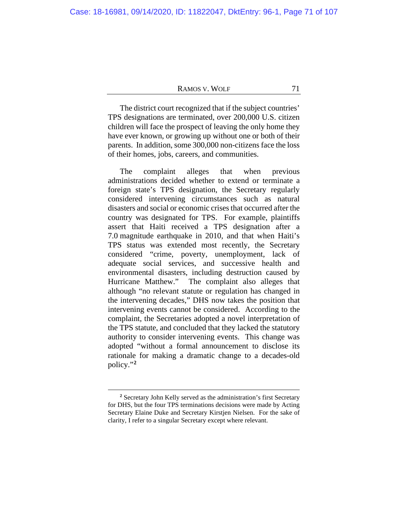The district court recognized that if the subject countries' TPS designations are terminated, over 200,000 U.S. citizen children will face the prospect of leaving the only home they have ever known, or growing up without one or both of their parents. In addition, some 300,000 non-citizens face the loss of their homes, jobs, careers, and communities.

The complaint alleges that when previous administrations decided whether to extend or terminate a foreign state's TPS designation, the Secretary regularly considered intervening circumstances such as natural disasters and social or economic crises that occurred after the country was designated for TPS. For example, plaintiffs assert that Haiti received a TPS designation after a 7.0 magnitude earthquake in 2010, and that when Haiti's TPS status was extended most recently, the Secretary considered "crime, poverty, unemployment, lack of adequate social services, and successive health and environmental disasters, including destruction caused by The complaint also alleges that although "no relevant statute or regulation has changed in the intervening decades," DHS now takes the position that intervening events cannot be considered. According to the complaint, the Secretaries adopted a novel interpretation of the TPS statute, and concluded that they lacked the statutory authority to consider intervening events. This change was adopted "without a formal announcement to disclose its rationale for making a dramatic change to a decades-old policy."**[2](#page-70-0)**

<span id="page-70-0"></span>**<sup>2</sup>** Secretary John Kelly served as the administration's first Secretary for DHS, but the four TPS terminations decisions were made by Acting Secretary Elaine Duke and Secretary Kirstjen Nielsen. For the sake of clarity, I refer to a singular Secretary except where relevant.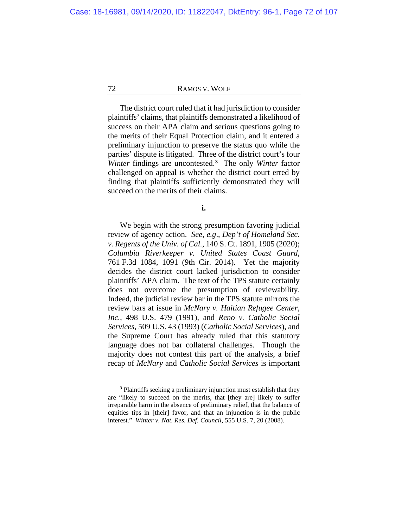The district court ruled that it had jurisdiction to consider plaintiffs' claims, that plaintiffs demonstrated a likelihood of success on their APA claim and serious questions going to the merits of their Equal Protection claim, and it entered a preliminary injunction to preserve the status quo while the parties' dispute is litigated. Three of the district court's four *Winter* findings are uncontested.**[3](#page-71-0)** The only *Winter* factor challenged on appeal is whether the district court erred by finding that plaintiffs sufficiently demonstrated they will succeed on the merits of their claims.

**i.**

We begin with the strong presumption favoring judicial review of agency action. *See, e.g*., *Dep't of Homeland Sec. v. Regents of the Univ. of Cal.*, 140 S. Ct. 1891, 1905 (2020); *Columbia Riverkeeper v. United States Coast Guard*, 761 F.3d 1084, 1091 (9th Cir. 2014). Yet the majority decides the district court lacked jurisdiction to consider plaintiffs' APA claim. The text of the TPS statute certainly does not overcome the presumption of reviewability. Indeed, the judicial review bar in the TPS statute mirrors the review bars at issue in *McNary v. Haitian Refugee Center, Inc.*, 498 U.S. 479 (1991), and *Reno v. Catholic Social Services*, 509 U.S. 43 (1993) (*Catholic Social Services*), and the Supreme Court has already ruled that this statutory language does not bar collateral challenges. Though the majority does not contest this part of the analysis, a brief recap of *McNary* and *Catholic Social Services* is important

<span id="page-71-0"></span>**<sup>3</sup>** Plaintiffs seeking a preliminary injunction must establish that they are "likely to succeed on the merits, that [they are] likely to suffer irreparable harm in the absence of preliminary relief, that the balance of equities tips in [their] favor, and that an injunction is in the public interest." *Winter v. Nat. Res. Def. Council*, 555 U.S. 7, 20 (2008).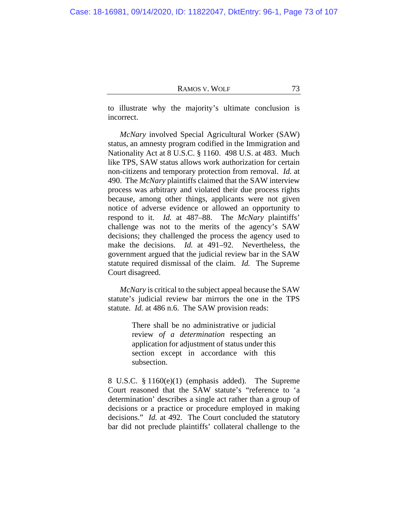to illustrate why the majority's ultimate conclusion is incorrect.

*McNary* involved Special Agricultural Worker (SAW) status, an amnesty program codified in the Immigration and Nationality Act at 8 U.S.C. § 1160. 498 U.S. at 483. Much like TPS, SAW status allows work authorization for certain non-citizens and temporary protection from removal. *Id.* at 490. The *McNary* plaintiffs claimed that the SAW interview process was arbitrary and violated their due process rights because, among other things, applicants were not given notice of adverse evidence or allowed an opportunity to respond to it. *Id.* at 487–88. The *McNary* plaintiffs' challenge was not to the merits of the agency's SAW decisions; they challenged the process the agency used to make the decisions. *Id.* at 491–92. Nevertheless, the government argued that the judicial review bar in the SAW statute required dismissal of the claim. *Id.* The Supreme Court disagreed.

*McNary* is critical to the subject appeal because the SAW statute's judicial review bar mirrors the one in the TPS statute. *Id.* at 486 n.6. The SAW provision reads:

> There shall be no administrative or judicial review *of a determination* respecting an application for adjustment of status under this section except in accordance with this subsection.

8 U.S.C. § 1160(e)(1) (emphasis added). The Supreme Court reasoned that the SAW statute's "reference to 'a determination' describes a single act rather than a group of decisions or a practice or procedure employed in making decisions." *Id.* at 492. The Court concluded the statutory bar did not preclude plaintiffs' collateral challenge to the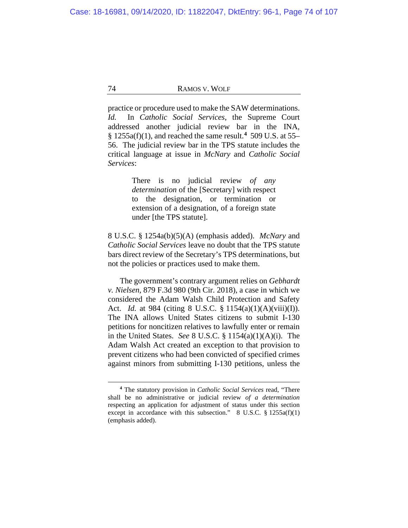practice or procedure used to make the SAW determinations. *Id.* In *Catholic Social Services*, the Supreme Court addressed another judicial review bar in the INA, § 1255a(f)(1), and reached the same result.**[4](#page-73-0)** 509 U.S. at 55– 56. The judicial review bar in the TPS statute includes the critical language at issue in *McNary* and *Catholic Social Services*:

> There is no judicial review *of any determination* of the [Secretary] with respect to the designation, or termination or extension of a designation, of a foreign state under [the TPS statute].

8 U.S.C. § 1254a(b)(5)(A) (emphasis added). *McNary* and *Catholic Social Services* leave no doubt that the TPS statute bars direct review of the Secretary's TPS determinations, but not the policies or practices used to make them.

The government's contrary argument relies on *Gebhardt v. Nielsen*, 879 F.3d 980 (9th Cir. 2018), a case in which we considered the Adam Walsh Child Protection and Safety Act. *Id.* at 984 (citing 8 U.S.C. § 1154(a)(1)(A)(viii)(I)). The INA allows United States citizens to submit I-130 petitions for noncitizen relatives to lawfully enter or remain in the United States. *See* 8 U.S.C. § 1154(a)(1)(A)(i). The Adam Walsh Act created an exception to that provision to prevent citizens who had been convicted of specified crimes against minors from submitting I-130 petitions, unless the

<span id="page-73-0"></span>**<sup>4</sup>** The statutory provision in *Catholic Social Services* read, "There shall be no administrative or judicial review *of a determination* respecting an application for adjustment of status under this section except in accordance with this subsection."  $8 \text{ U.S.C. }$   $\frac{8}{1255a(f)(1)}$ (emphasis added).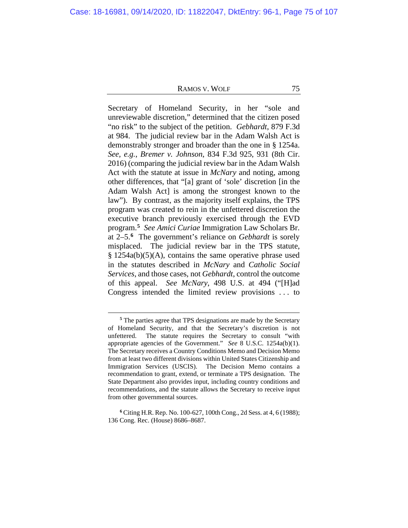Secretary of Homeland Security, in her "sole and unreviewable discretion," determined that the citizen posed "no risk" to the subject of the petition. *Gebhardt*, 879 F.3d at 984. The judicial review bar in the Adam Walsh Act is demonstrably stronger and broader than the one in § 1254a. *See, e.g.*, *Bremer v. Johnson*, 834 F.3d 925, 931 (8th Cir. 2016) (comparing the judicial review bar in the Adam Walsh Act with the statute at issue in *McNary* and noting, among other differences, that "[a] grant of 'sole' discretion [in the Adam Walsh Act] is among the strongest known to the law"). By contrast, as the majority itself explains, the TPS program was created to rein in the unfettered discretion the executive branch previously exercised through the EVD program.**[5](#page-74-0)** *See Amici Curiae* Immigration Law Scholars Br. at 2–5.**[6](#page-74-1)** The government's reliance on *Gebhardt* is sorely misplaced. The judicial review bar in the TPS statute, § 1254a(b)(5)(A), contains the same operative phrase used in the statutes described in *McNary* and *Catholic Social Services*, and those cases, not *Gebhardt*, control the outcome of this appeal. *See McNary*, 498 U.S. at 494 ("[H]ad Congress intended the limited review provisions . . . to

**<sup>5</sup>** The parties agree that TPS designations are made by the Secretary of Homeland Security, and that the Secretary's discretion is not unfettered. The statute requires the Secretary to consult "with appropriate agencies of the Government." *See* 8 U.S.C. 1254a(b)(1). The Secretary receives a Country Conditions Memo and Decision Memo from at least two different divisions within United States Citizenship and Immigration Services (USCIS). The Decision Memo contains a recommendation to grant, extend, or terminate a TPS designation. The State Department also provides input, including country conditions and recommendations, and the statute allows the Secretary to receive input from other governmental sources.

<span id="page-74-1"></span><span id="page-74-0"></span>**<sup>6</sup>** Citing H.R. Rep. No. 100-627, 100th Cong., 2d Sess. at 4, 6 (1988); 136 Cong. Rec. (House) 8686–8687.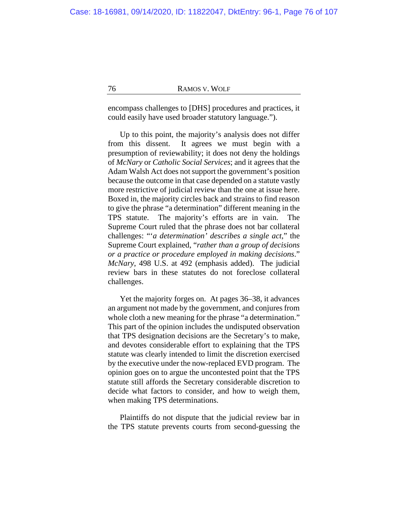encompass challenges to [DHS] procedures and practices, it could easily have used broader statutory language.").

Up to this point, the majority's analysis does not differ from this dissent. It agrees we must begin with a presumption of reviewability; it does not deny the holdings of *McNary* or *Catholic Social Services*; and it agrees that the Adam Walsh Act does not support the government's position because the outcome in that case depended on a statute vastly more restrictive of judicial review than the one at issue here. Boxed in, the majority circles back and strains to find reason to give the phrase "a determination" different meaning in the TPS statute. The majority's efforts are in vain. The Supreme Court ruled that the phrase does not bar collateral challenges: "'*a determination' describes a single act*," the Supreme Court explained, "*rather than a group of decisions or a practice or procedure employed in making decisions*." *McNary*, 498 U.S. at 492 (emphasis added). The judicial review bars in these statutes do not foreclose collateral challenges.

Yet the majority forges on. At pages [36](#page-35-0)[–38,](#page-37-0) it advances an argument not made by the government, and conjures from whole cloth a new meaning for the phrase "a determination." This part of the opinion includes the undisputed observation that TPS designation decisions are the Secretary's to make, and devotes considerable effort to explaining that the TPS statute was clearly intended to limit the discretion exercised by the executive under the now-replaced EVD program. The opinion goes on to argue the uncontested point that the TPS statute still affords the Secretary considerable discretion to decide what factors to consider, and how to weigh them, when making TPS determinations.

Plaintiffs do not dispute that the judicial review bar in the TPS statute prevents courts from second-guessing the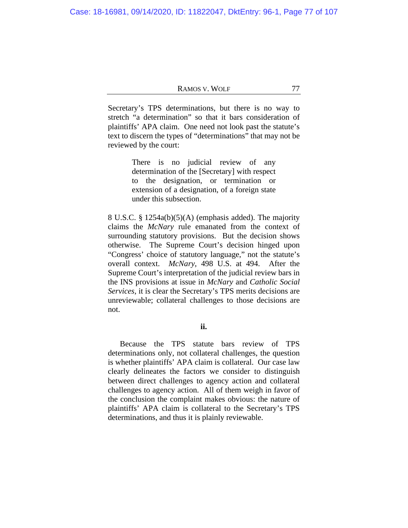Secretary's TPS determinations, but there is no way to stretch "a determination" so that it bars consideration of plaintiffs' APA claim. One need not look past the statute's text to discern the types of "determinations" that may not be reviewed by the court:

> There is no judicial review of any determination of the [Secretary] with respect to the designation, or termination or extension of a designation, of a foreign state under this subsection.

8 U.S.C. § 1254a(b)(5)(A) (emphasis added). The majority claims the *McNary* rule emanated from the context of surrounding statutory provisions. But the decision shows otherwise. The Supreme Court's decision hinged upon "Congress' choice of statutory language," not the statute's overall context. *McNary*, 498 U.S. at 494. After the Supreme Court's interpretation of the judicial review bars in the INS provisions at issue in *McNary* and *Catholic Social Services*, it is clear the Secretary's TPS merits decisions are unreviewable; collateral challenges to those decisions are not.

# **ii.**

Because the TPS statute bars review of TPS determinations only, not collateral challenges, the question is whether plaintiffs' APA claim is collateral. Our case law clearly delineates the factors we consider to distinguish between direct challenges to agency action and collateral challenges to agency action. All of them weigh in favor of the conclusion the complaint makes obvious: the nature of plaintiffs' APA claim is collateral to the Secretary's TPS determinations, and thus it is plainly reviewable.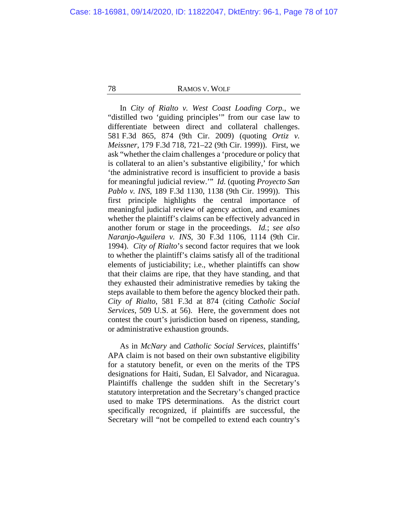In *City of Rialto v. West Coast Loading Corp.*, we "distilled two 'guiding principles'" from our case law to differentiate between direct and collateral challenges. 581 F.3d 865, 874 (9th Cir. 2009) (quoting *Ortiz v. Meissner*, 179 F.3d 718, 721–22 (9th Cir. 1999)). First, we ask "whether the claim challenges a 'procedure or policy that is collateral to an alien's substantive eligibility,' for which 'the administrative record is insufficient to provide a basis for meaningful judicial review.'" *Id.* (quoting *Proyecto San Pablo v. INS*, 189 F.3d 1130, 1138 (9th Cir. 1999)). This first principle highlights the central importance of meaningful judicial review of agency action, and examines whether the plaintiff's claims can be effectively advanced in another forum or stage in the proceedings. *Id.*; *see also Naranjo-Aguilera v. INS*, 30 F.3d 1106, 1114 (9th Cir. 1994). *City of Rialto*'s second factor requires that we look to whether the plaintiff's claims satisfy all of the traditional elements of justiciability; i.e., whether plaintiffs can show that their claims are ripe, that they have standing, and that they exhausted their administrative remedies by taking the steps available to them before the agency blocked their path. *City of Rialto*, 581 F.3d at 874 (citing *Catholic Social Services*, 509 U.S. at 56). Here, the government does not contest the court's jurisdiction based on ripeness, standing, or administrative exhaustion grounds.

As in *McNary* and *Catholic Social Services*, plaintiffs' APA claim is not based on their own substantive eligibility for a statutory benefit, or even on the merits of the TPS designations for Haiti, Sudan, El Salvador, and Nicaragua. Plaintiffs challenge the sudden shift in the Secretary's statutory interpretation and the Secretary's changed practice used to make TPS determinations. As the district court specifically recognized, if plaintiffs are successful, the Secretary will "not be compelled to extend each country's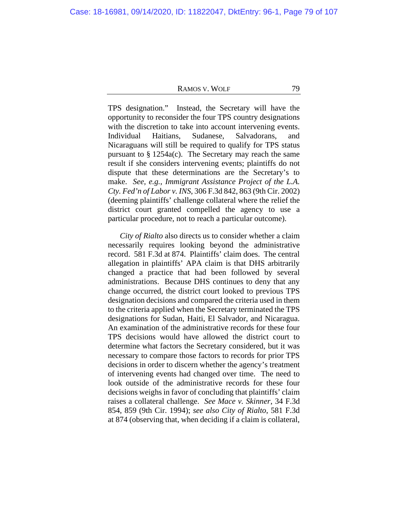TPS designation." Instead, the Secretary will have the opportunity to reconsider the four TPS country designations with the discretion to take into account intervening events. Individual Haitians, Sudanese, Salvadorans, and Nicaraguans will still be required to qualify for TPS status pursuant to § 1254a(c). The Secretary may reach the same result if she considers intervening events; plaintiffs do not dispute that these determinations are the Secretary's to make. *See, e.g.*, *Immigrant Assistance Project of the L.A. Cty. Fed'n of Labor v. INS*, 306 F.3d 842, 863 (9th Cir. 2002) (deeming plaintiffs' challenge collateral where the relief the district court granted compelled the agency to use a particular procedure, not to reach a particular outcome).

*City of Rialto* also directs us to consider whether a claim necessarily requires looking beyond the administrative record. 581 F.3d at 874. Plaintiffs' claim does. The central allegation in plaintiffs' APA claim is that DHS arbitrarily changed a practice that had been followed by several administrations. Because DHS continues to deny that any change occurred, the district court looked to previous TPS designation decisions and compared the criteria used in them to the criteria applied when the Secretary terminated the TPS designations for Sudan, Haiti, El Salvador, and Nicaragua. An examination of the administrative records for these four TPS decisions would have allowed the district court to determine what factors the Secretary considered, but it was necessary to compare those factors to records for prior TPS decisions in order to discern whether the agency's treatment of intervening events had changed over time. The need to look outside of the administrative records for these four decisions weighs in favor of concluding that plaintiffs' claim raises a collateral challenge. *See Mace v. Skinner*, 34 F.3d 854, 859 (9th Cir. 1994); *see also City of Rialto*, 581 F.3d at 874 (observing that, when deciding if a claim is collateral,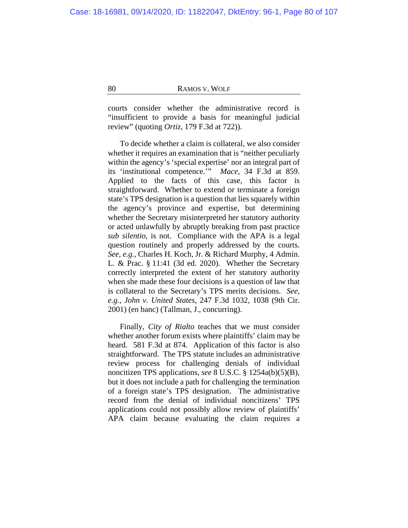courts consider whether the administrative record is "insufficient to provide a basis for meaningful judicial review" (quoting *Ortiz*, 179 F.3d at 722)).

To decide whether a claim is collateral, we also consider whether it requires an examination that is "neither peculiarly within the agency's 'special expertise' nor an integral part of its 'institutional competence.'" *Mace*, 34 F.3d at 859. Applied to the facts of this case, this factor is straightforward. Whether to extend or terminate a foreign state's TPS designation is a question that lies squarely within the agency's province and expertise, but determining whether the Secretary misinterpreted her statutory authority or acted unlawfully by abruptly breaking from past practice *sub silentio*, is not. Compliance with the APA is a legal question routinely and properly addressed by the courts. *See, e.g.*, Charles H. Koch, Jr. & Richard Murphy, 4 Admin. L. & Prac. § 11:41 (3d ed. 2020). Whether the Secretary correctly interpreted the extent of her statutory authority when she made these four decisions is a question of law that is collateral to the Secretary's TPS merits decisions. *See, e.g.*, *John v. United States*, 247 F.3d 1032, 1038 (9th Cir. 2001) (en banc) (Tallman, J., concurring).

Finally, *City of Rialto* teaches that we must consider whether another forum exists where plaintiffs' claim may be heard. 581 F.3d at 874. Application of this factor is also straightforward. The TPS statute includes an administrative review process for challenging denials of individual noncitizen TPS applications, *see* 8 U.S.C. § 1254a(b)(5)(B), but it does not include a path for challenging the termination of a foreign state's TPS designation. The administrative record from the denial of individual noncitizens' TPS applications could not possibly allow review of plaintiffs' APA claim because evaluating the claim requires a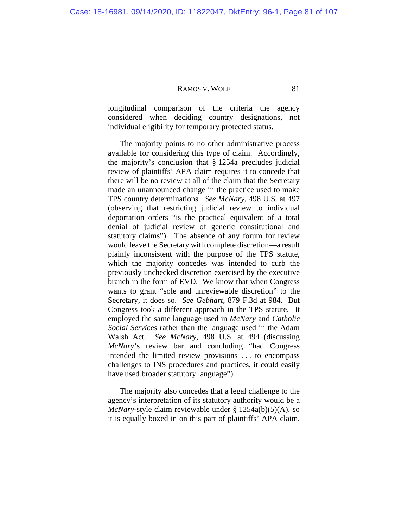longitudinal comparison of the criteria the agency considered when deciding country designations, not individual eligibility for temporary protected status.

The majority points to no other administrative process available for considering this type of claim. Accordingly, the majority's conclusion that § 1254a precludes judicial review of plaintiffs' APA claim requires it to concede that there will be no review at all of the claim that the Secretary made an unannounced change in the practice used to make TPS country determinations. *See McNary*, 498 U.S. at 497 (observing that restricting judicial review to individual deportation orders "is the practical equivalent of a total denial of judicial review of generic constitutional and statutory claims"). The absence of any forum for review would leave the Secretary with complete discretion—a result plainly inconsistent with the purpose of the TPS statute, which the majority concedes was intended to curb the previously unchecked discretion exercised by the executive branch in the form of EVD. We know that when Congress wants to grant "sole and unreviewable discretion" to the Secretary, it does so. *See Gebhart*, 879 F.3d at 984. But Congress took a different approach in the TPS statute. It employed the same language used in *McNary* and *Catholic Social Services* rather than the language used in the Adam Walsh Act. *See McNary*, 498 U.S. at 494 (discussing *McNary*'s review bar and concluding "had Congress intended the limited review provisions . . . to encompass challenges to INS procedures and practices, it could easily have used broader statutory language").

The majority also concedes that a legal challenge to the agency's interpretation of its statutory authority would be a *McNary*-style claim reviewable under § 1254a(b)(5)(A), so it is equally boxed in on this part of plaintiffs' APA claim.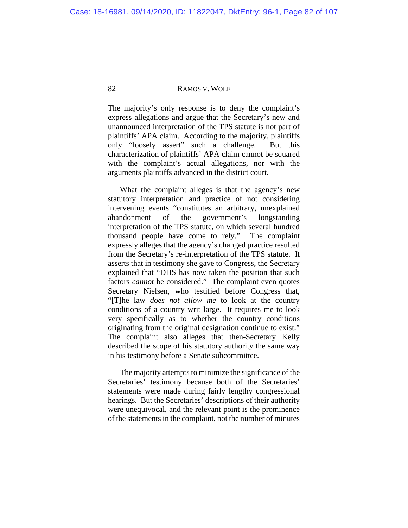The majority's only response is to deny the complaint's express allegations and argue that the Secretary's new and unannounced interpretation of the TPS statute is not part of plaintiffs' APA claim. According to the majority, plaintiffs only "loosely assert" such a challenge. But this characterization of plaintiffs' APA claim cannot be squared with the complaint's actual allegations, nor with the arguments plaintiffs advanced in the district court.

What the complaint alleges is that the agency's new statutory interpretation and practice of not considering intervening events "constitutes an arbitrary, unexplained abandonment of the government's longstanding interpretation of the TPS statute, on which several hundred thousand people have come to rely." The complaint expressly alleges that the agency's changed practice resulted from the Secretary's re-interpretation of the TPS statute. It asserts that in testimony she gave to Congress, the Secretary explained that "DHS has now taken the position that such factors *cannot* be considered." The complaint even quotes Secretary Nielsen, who testified before Congress that, "[T]he law *does not allow me* to look at the country conditions of a country writ large. It requires me to look very specifically as to whether the country conditions originating from the original designation continue to exist." The complaint also alleges that then-Secretary Kelly described the scope of his statutory authority the same way in his testimony before a Senate subcommittee.

The majority attempts to minimize the significance of the Secretaries' testimony because both of the Secretaries' statements were made during fairly lengthy congressional hearings. But the Secretaries' descriptions of their authority were unequivocal, and the relevant point is the prominence of the statements in the complaint, not the number of minutes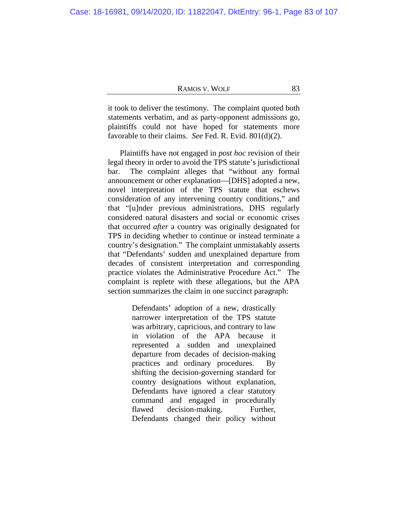it took to deliver the testimony. The complaint quoted both statements verbatim, and as party-opponent admissions go, plaintiffs could not have hoped for statements more favorable to their claims. *See* Fed. R. Evid. 801(d)(2).

Plaintiffs have not engaged in *post hoc* revision of their legal theory in order to avoid the TPS statute's jurisdictional bar. The complaint alleges that "without any formal announcement or other explanation—[DHS] adopted a new, novel interpretation of the TPS statute that eschews consideration of any intervening country conditions," and that "[u]nder previous administrations, DHS regularly considered natural disasters and social or economic crises that occurred *after* a country was originally designated for TPS in deciding whether to continue or instead terminate a country's designation." The complaint unmistakably asserts that "Defendants' sudden and unexplained departure from decades of consistent interpretation and corresponding practice violates the Administrative Procedure Act." The complaint is replete with these allegations, but the APA section summarizes the claim in one succinct paragraph:

> Defendants' adoption of a new, drastically narrower interpretation of the TPS statute was arbitrary, capricious, and contrary to law in violation of the APA because it represented a sudden and unexplained departure from decades of decision-making practices and ordinary procedures. By shifting the decision-governing standard for country designations without explanation, Defendants have ignored a clear statutory command and engaged in procedurally flawed decision-making. Further, Defendants changed their policy without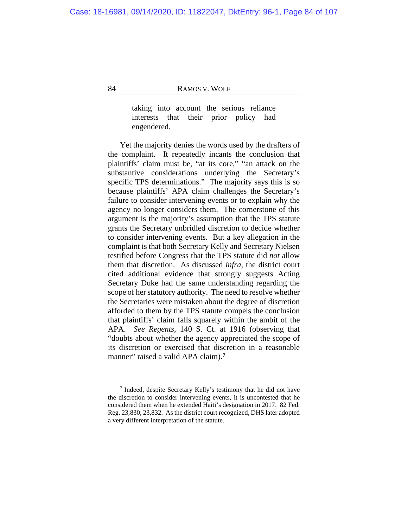taking into account the serious reliance interests that their prior policy had engendered.

Yet the majority denies the words used by the drafters of the complaint. It repeatedly incants the conclusion that plaintiffs' claim must be, "at its core," "an attack on the substantive considerations underlying the Secretary's specific TPS determinations." The majority says this is so because plaintiffs' APA claim challenges the Secretary's failure to consider intervening events or to explain why the agency no longer considers them. The cornerstone of this argument is the majority's assumption that the TPS statute grants the Secretary unbridled discretion to decide whether to consider intervening events. But a key allegation in the complaint is that both Secretary Kelly and Secretary Nielsen testified before Congress that the TPS statute did *not* allow them that discretion. As discussed *infra*, the district court cited additional evidence that strongly suggests Acting Secretary Duke had the same understanding regarding the scope of her statutory authority. The need to resolve whether the Secretaries were mistaken about the degree of discretion afforded to them by the TPS statute compels the conclusion that plaintiffs' claim falls squarely within the ambit of the APA. *See Regents*, 140 S. Ct. at 1916 (observing that "doubts about whether the agency appreciated the scope of its discretion or exercised that discretion in a reasonable manner" raised a valid APA claim).<sup>[7](#page-83-0)</sup>

<span id="page-83-0"></span>**<sup>7</sup>** Indeed, despite Secretary Kelly's testimony that he did not have the discretion to consider intervening events, it is uncontested that he considered them when he extended Haiti's designation in 2017. 82 Fed. Reg. 23,830, 23,832. As the district court recognized, DHS later adopted a very different interpretation of the statute.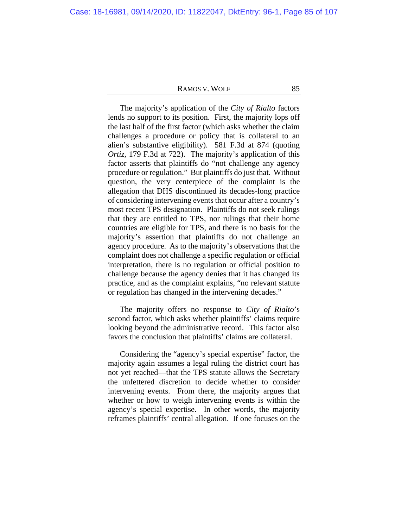The majority's application of the *City of Rialto* factors lends no support to its position. First, the majority lops off the last half of the first factor (which asks whether the claim challenges a procedure or policy that is collateral to an alien's substantive eligibility). 581 F.3d at 874 (quoting *Ortiz*, 179 F.3d at 722). The majority's application of this factor asserts that plaintiffs do "not challenge any agency procedure or regulation." But plaintiffs do just that. Without question, the very centerpiece of the complaint is the allegation that DHS discontinued its decades-long practice of considering intervening events that occur after a country's most recent TPS designation. Plaintiffs do not seek rulings that they are entitled to TPS, nor rulings that their home countries are eligible for TPS, and there is no basis for the majority's assertion that plaintiffs do not challenge an agency procedure. As to the majority's observations that the complaint does not challenge a specific regulation or official interpretation, there is no regulation or official position to challenge because the agency denies that it has changed its practice, and as the complaint explains, "no relevant statute or regulation has changed in the intervening decades."

The majority offers no response to *City of Rialto*'s second factor, which asks whether plaintiffs' claims require looking beyond the administrative record. This factor also favors the conclusion that plaintiffs' claims are collateral.

Considering the "agency's special expertise" factor, the majority again assumes a legal ruling the district court has not yet reached—that the TPS statute allows the Secretary the unfettered discretion to decide whether to consider intervening events. From there, the majority argues that whether or how to weigh intervening events is within the agency's special expertise. In other words, the majority reframes plaintiffs' central allegation. If one focuses on the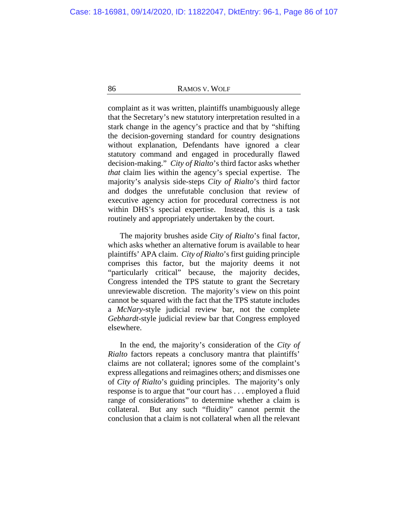complaint as it was written, plaintiffs unambiguously allege that the Secretary's new statutory interpretation resulted in a stark change in the agency's practice and that by "shifting the decision-governing standard for country designations without explanation, Defendants have ignored a clear statutory command and engaged in procedurally flawed decision-making." *City of Rialto*'s third factor asks whether *that* claim lies within the agency's special expertise. The majority's analysis side-steps *City of Rialto*'s third factor and dodges the unrefutable conclusion that review of executive agency action for procedural correctness is not within DHS's special expertise. Instead, this is a task routinely and appropriately undertaken by the court.

The majority brushes aside *City of Rialto*'s final factor, which asks whether an alternative forum is available to hear plaintiffs' APA claim. *City of Rialto*'s first guiding principle comprises this factor, but the majority deems it not "particularly critical" because, the majority decides, Congress intended the TPS statute to grant the Secretary unreviewable discretion. The majority's view on this point cannot be squared with the fact that the TPS statute includes a *McNary*-style judicial review bar, not the complete *Gebhardt*-style judicial review bar that Congress employed elsewhere.

In the end, the majority's consideration of the *City of Rialto* factors repeats a conclusory mantra that plaintiffs' claims are not collateral; ignores some of the complaint's express allegations and reimagines others; and dismisses one of *City of Rialto*'s guiding principles. The majority's only response is to argue that "our court has . . . employed a fluid range of considerations" to determine whether a claim is collateral. But any such "fluidity" cannot permit the conclusion that a claim is not collateral when all the relevant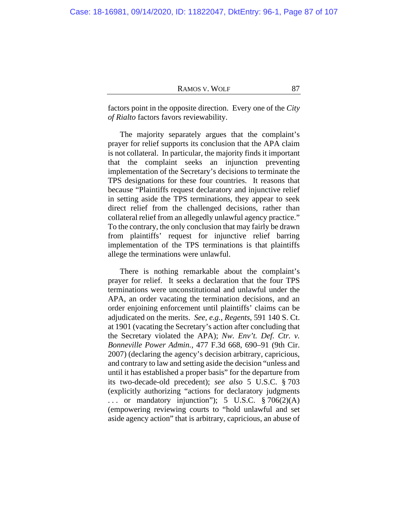factors point in the opposite direction. Every one of the *City of Rialto* factors favors reviewability.

The majority separately argues that the complaint's prayer for relief supports its conclusion that the APA claim is not collateral. In particular, the majority finds it important that the complaint seeks an injunction preventing implementation of the Secretary's decisions to terminate the TPS designations for these four countries. It reasons that because "Plaintiffs request declaratory and injunctive relief in setting aside the TPS terminations, they appear to seek direct relief from the challenged decisions, rather than collateral relief from an allegedly unlawful agency practice." To the contrary, the only conclusion that may fairly be drawn from plaintiffs' request for injunctive relief barring implementation of the TPS terminations is that plaintiffs allege the terminations were unlawful.

There is nothing remarkable about the complaint's prayer for relief. It seeks a declaration that the four TPS terminations were unconstitutional and unlawful under the APA, an order vacating the termination decisions, and an order enjoining enforcement until plaintiffs' claims can be adjudicated on the merits. *See, e.g.*, *Regents*, 591 140 S. Ct. at 1901 (vacating the Secretary's action after concluding that the Secretary violated the APA); *Nw. Env't. Def. Ctr. v. Bonneville Power Admin.*, 477 F.3d 668, 690–91 (9th Cir. 2007) (declaring the agency's decision arbitrary, capricious, and contrary to law and setting aside the decision "unless and until it has established a proper basis" for the departure from its two-decade-old precedent); *see also* 5 U.S.C. § 703 (explicitly authorizing "actions for declaratory judgments ... or mandatory injunction"); 5 U.S.C.  $\frac{8}{9}$  706(2)(A) (empowering reviewing courts to "hold unlawful and set aside agency action" that is arbitrary, capricious, an abuse of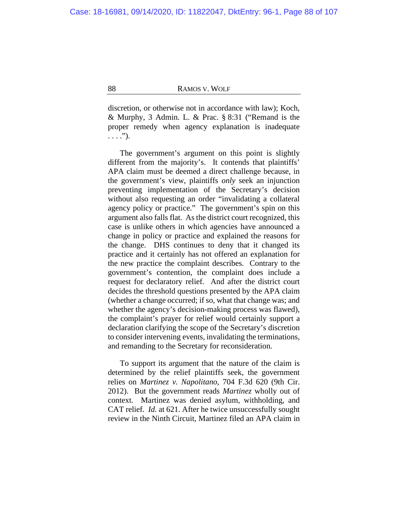discretion, or otherwise not in accordance with law); Koch, & Murphy, 3 Admin. L. & Prac. § 8:31 ("Remand is the proper remedy when agency explanation is inadequate  $\ldots$ .").

The government's argument on this point is slightly different from the majority's. It contends that plaintiffs' APA claim must be deemed a direct challenge because, in the government's view, plaintiffs *only* seek an injunction preventing implementation of the Secretary's decision without also requesting an order "invalidating a collateral agency policy or practice." The government's spin on this argument also falls flat. As the district court recognized, this case is unlike others in which agencies have announced a change in policy or practice and explained the reasons for the change. DHS continues to deny that it changed its practice and it certainly has not offered an explanation for the new practice the complaint describes. Contrary to the government's contention, the complaint does include a request for declaratory relief. And after the district court decides the threshold questions presented by the APA claim (whether a change occurred; if so, what that change was; and whether the agency's decision-making process was flawed), the complaint's prayer for relief would certainly support a declaration clarifying the scope of the Secretary's discretion to consider intervening events, invalidating the terminations, and remanding to the Secretary for reconsideration.

To support its argument that the nature of the claim is determined by the relief plaintiffs seek, the government relies on *Martinez v. Napolitano*, 704 F.3d 620 (9th Cir. 2012). But the government reads *Martinez* wholly out of context. Martinez was denied asylum, withholding, and CAT relief. *Id.* at 621. After he twice unsuccessfully sought review in the Ninth Circuit, Martinez filed an APA claim in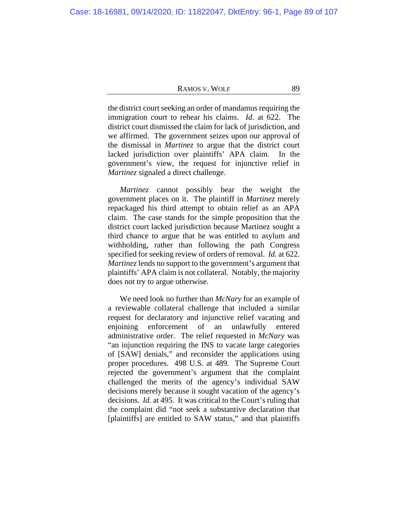the district court seeking an order of mandamus requiring the immigration court to rehear his claims. *Id.* at 622. The district court dismissed the claim for lack of jurisdiction, and we affirmed. The government seizes upon our approval of the dismissal in *Martinez* to argue that the district court lacked jurisdiction over plaintiffs' APA claim. In the government's view, the request for injunctive relief in *Martinez* signaled a direct challenge.

*Martinez* cannot possibly bear the weight the government places on it. The plaintiff in *Martinez* merely repackaged his third attempt to obtain relief as an APA claim. The case stands for the simple proposition that the district court lacked jurisdiction because Martinez sought a third chance to argue that he was entitled to asylum and withholding, rather than following the path Congress specified for seeking review of orders of removal. *Id.* at 622. *Martinez* lends no support to the government's argument that plaintiffs' APA claim is not collateral. Notably, the majority does not try to argue otherwise.

We need look no further than *McNary* for an example of a reviewable collateral challenge that included a similar request for declaratory and injunctive relief vacating and enjoining enforcement of an unlawfully entered administrative order. The relief requested in *McNary* was "an injunction requiring the INS to vacate large categories of [SAW] denials," and reconsider the applications using proper procedures. 498 U.S. at 489. The Supreme Court rejected the government's argument that the complaint challenged the merits of the agency's individual SAW decisions merely because it sought vacation of the agency's decisions. *Id.* at 495. It was critical to the Court's ruling that the complaint did "not seek a substantive declaration that [plaintiffs] are entitled to SAW status," and that plaintiffs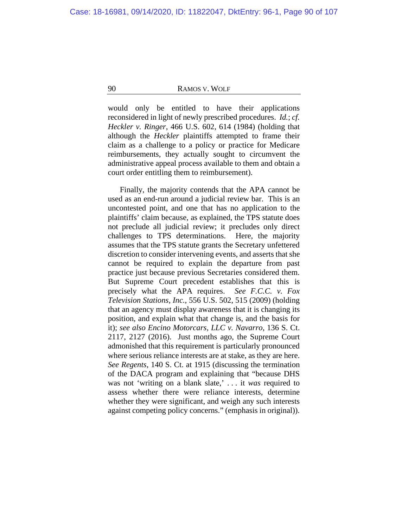would only be entitled to have their applications reconsidered in light of newly prescribed procedures. *Id.*; *cf. Heckler v. Ringer*, 466 U.S. 602, 614 (1984) (holding that although the *Heckler* plaintiffs attempted to frame their claim as a challenge to a policy or practice for Medicare reimbursements, they actually sought to circumvent the administrative appeal process available to them and obtain a court order entitling them to reimbursement).

Finally, the majority contends that the APA cannot be used as an end-run around a judicial review bar. This is an uncontested point, and one that has no application to the plaintiffs' claim because, as explained, the TPS statute does not preclude all judicial review; it precludes only direct challenges to TPS determinations. Here, the majority assumes that the TPS statute grants the Secretary unfettered discretion to consider intervening events, and asserts that she cannot be required to explain the departure from past practice just because previous Secretaries considered them. But Supreme Court precedent establishes that this is precisely what the APA requires. *See F.C.C. v. Fox Television Stations, Inc.*, 556 U.S. 502, 515 (2009) (holding that an agency must display awareness that it is changing its position, and explain what that change is, and the basis for it); *see also Encino Motorcars, LLC v. Navarro*, 136 S. Ct. 2117, 2127 (2016). Just months ago, the Supreme Court admonished that this requirement is particularly pronounced where serious reliance interests are at stake, as they are here. *See Regents*, 140 S. Ct. at 1915 (discussing the termination of the DACA program and explaining that "because DHS was not 'writing on a blank slate,' . . . it *was* required to assess whether there were reliance interests, determine whether they were significant, and weigh any such interests against competing policy concerns." (emphasis in original)).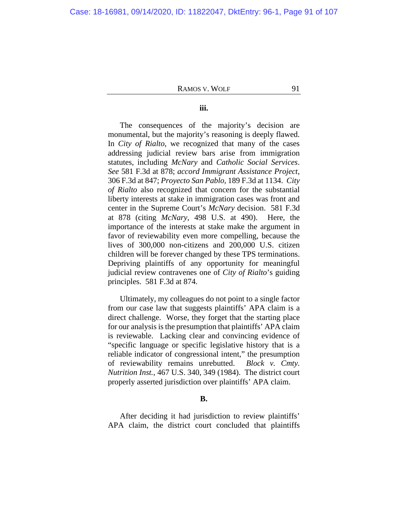# **iii.**

The consequences of the majority's decision are monumental, but the majority's reasoning is deeply flawed. In *City of Rialto*, we recognized that many of the cases addressing judicial review bars arise from immigration statutes, including *McNary* and *Catholic Social Services*. *See* 581 F.3d at 878; *accord Immigrant Assistance Project*, 306 F.3d at 847; *Proyecto San Pablo*, 189 F.3d at 1134. *City of Rialto* also recognized that concern for the substantial liberty interests at stake in immigration cases was front and center in the Supreme Court's *McNary* decision. 581 F.3d at 878 (citing *McNary*, 498 U.S. at 490). Here, the importance of the interests at stake make the argument in favor of reviewability even more compelling, because the lives of 300,000 non-citizens and 200,000 U.S. citizen children will be forever changed by these TPS terminations. Depriving plaintiffs of any opportunity for meaningful judicial review contravenes one of *City of Rialto*'s guiding principles. 581 F.3d at 874.

Ultimately, my colleagues do not point to a single factor from our case law that suggests plaintiffs' APA claim is a direct challenge. Worse, they forget that the starting place for our analysis is the presumption that plaintiffs' APA claim is reviewable. Lacking clear and convincing evidence of "specific language or specific legislative history that is a reliable indicator of congressional intent," the presumption of reviewability remains unrebutted. *Block v. Cmty. Nutrition Inst.*, 467 U.S. 340, 349 (1984). The district court properly asserted jurisdiction over plaintiffs' APA claim.

#### **B.**

After deciding it had jurisdiction to review plaintiffs' APA claim, the district court concluded that plaintiffs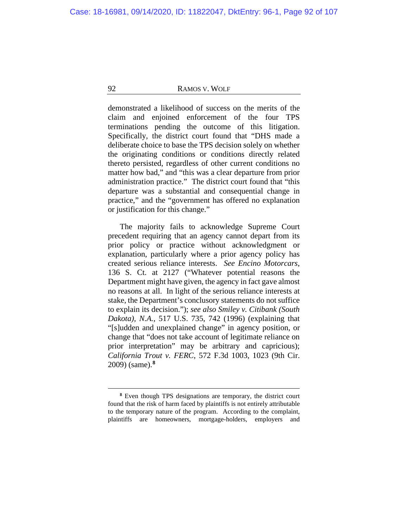demonstrated a likelihood of success on the merits of the claim and enjoined enforcement of the four TPS terminations pending the outcome of this litigation. Specifically, the district court found that "DHS made a deliberate choice to base the TPS decision solely on whether the originating conditions or conditions directly related thereto persisted, regardless of other current conditions no matter how bad," and "this was a clear departure from prior administration practice." The district court found that "this departure was a substantial and consequential change in practice," and the "government has offered no explanation or justification for this change."

The majority fails to acknowledge Supreme Court precedent requiring that an agency cannot depart from its prior policy or practice without acknowledgment or explanation, particularly where a prior agency policy has created serious reliance interests. *See Encino Motorcars*, 136 S. Ct. at 2127 ("Whatever potential reasons the Department might have given, the agency in fact gave almost no reasons at all. In light of the serious reliance interests at stake, the Department's conclusory statements do not suffice to explain its decision."); *see also Smiley v. Citibank (South Dakota), N.A.*, 517 U.S. 735, 742 (1996) (explaining that "[s]udden and unexplained change" in agency position, or change that "does not take account of legitimate reliance on prior interpretation" may be arbitrary and capricious); *California Trout v. FERC*, 572 F.3d 1003, 1023 (9th Cir. 2009) (same).**[8](#page-91-0)**

<span id="page-91-0"></span>**<sup>8</sup>** Even though TPS designations are temporary, the district court found that the risk of harm faced by plaintiffs is not entirely attributable to the temporary nature of the program. According to the complaint, plaintiffs are homeowners, mortgage-holders, employers and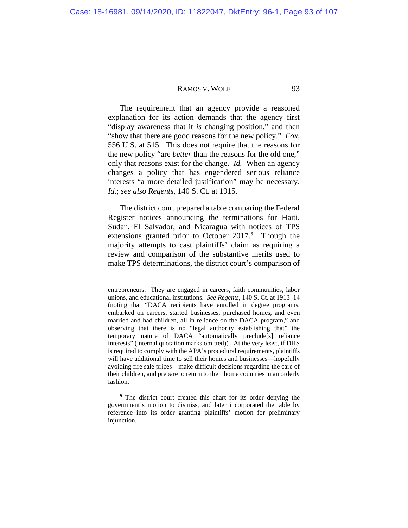The requirement that an agency provide a reasoned explanation for its action demands that the agency first "display awareness that it *is* changing position," and then "show that there are good reasons for the new policy." *Fox*, 556 U.S. at 515. This does not require that the reasons for the new policy "are *better* than the reasons for the old one," only that reasons exist for the change. *Id.* When an agency changes a policy that has engendered serious reliance interests "a more detailed justification" may be necessary. *Id.*; *see also Regents*, 140 S. Ct. at 1915.

The district court prepared a table comparing the Federal Register notices announcing the terminations for Haiti, Sudan, El Salvador, and Nicaragua with notices of TPS extensions granted prior to October 2017.**[9](#page-92-0)** Though the majority attempts to cast plaintiffs' claim as requiring a review and comparison of the substantive merits used to make TPS determinations, the district court's comparison of

<span id="page-92-0"></span>**<sup>9</sup>** The district court created this chart for its order denying the government's motion to dismiss, and later incorporated the table by reference into its order granting plaintiffs' motion for preliminary injunction.

entrepreneurs. They are engaged in careers, faith communities, labor unions, and educational institutions. *See Regents*, 140 S. Ct. at 1913–14 (noting that "DACA recipients have enrolled in degree programs, embarked on careers, started businesses, purchased homes, and even married and had children, all in reliance on the DACA program," and observing that there is no "legal authority establishing that" the temporary nature of DACA "automatically preclude[s] reliance interests" (internal quotation marks omitted)). At the very least, if DHS is required to comply with the APA's procedural requirements, plaintiffs will have additional time to sell their homes and businesses—hopefully avoiding fire sale prices—make difficult decisions regarding the care of their children, and prepare to return to their home countries in an orderly fashion.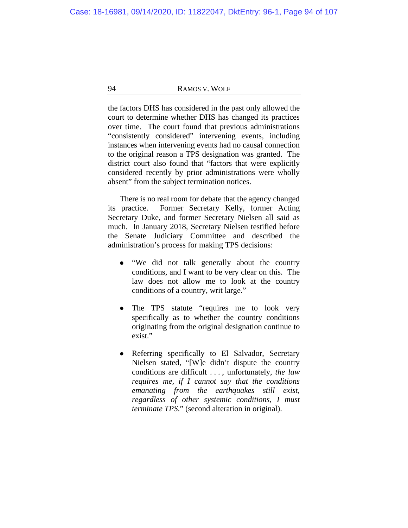the factors DHS has considered in the past only allowed the court to determine whether DHS has changed its practices over time. The court found that previous administrations "consistently considered" intervening events, including instances when intervening events had no causal connection to the original reason a TPS designation was granted. The district court also found that "factors that were explicitly considered recently by prior administrations were wholly absent" from the subject termination notices.

There is no real room for debate that the agency changed its practice. Former Secretary Kelly, former Acting Secretary Duke, and former Secretary Nielsen all said as much. In January 2018, Secretary Nielsen testified before the Senate Judiciary Committee and described the administration's process for making TPS decisions:

- "We did not talk generally about the country conditions, and I want to be very clear on this. The law does not allow me to look at the country conditions of a country, writ large."
- The TPS statute "requires me to look very  $\bullet$ specifically as to whether the country conditions originating from the original designation continue to exist."
- Referring specifically to El Salvador, Secretary Nielsen stated, "[W]e didn't dispute the country conditions are difficult . . . , unfortunately, *the law requires me, if I cannot say that the conditions emanating from the earthquakes still exist, regardless of other systemic conditions, I must terminate TPS*." (second alteration in original).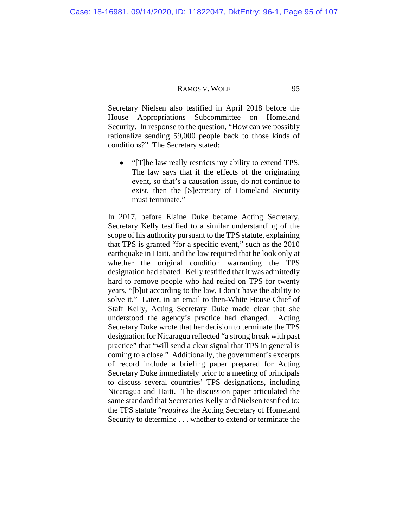Secretary Nielsen also testified in April 2018 before the House Appropriations Subcommittee on Homeland Security. In response to the question, "How can we possibly rationalize sending 59,000 people back to those kinds of conditions?" The Secretary stated:

"[T]he law really restricts my ability to extend TPS. The law says that if the effects of the originating event, so that's a causation issue, do not continue to exist, then the [S]ecretary of Homeland Security must terminate."

In 2017, before Elaine Duke became Acting Secretary, Secretary Kelly testified to a similar understanding of the scope of his authority pursuant to the TPS statute, explaining that TPS is granted "for a specific event," such as the 2010 earthquake in Haiti, and the law required that he look only at whether the original condition warranting the TPS designation had abated. Kelly testified that it was admittedly hard to remove people who had relied on TPS for twenty years, "[b]ut according to the law, I don't have the ability to solve it." Later, in an email to then-White House Chief of Staff Kelly, Acting Secretary Duke made clear that she understood the agency's practice had changed. Acting Secretary Duke wrote that her decision to terminate the TPS designation for Nicaragua reflected "a strong break with past practice" that "will send a clear signal that TPS in general is coming to a close." Additionally, the government's excerpts of record include a briefing paper prepared for Acting Secretary Duke immediately prior to a meeting of principals to discuss several countries' TPS designations, including Nicaragua and Haiti. The discussion paper articulated the same standard that Secretaries Kelly and Nielsen testified to: the TPS statute "*requires* the Acting Secretary of Homeland Security to determine . . . whether to extend or terminate the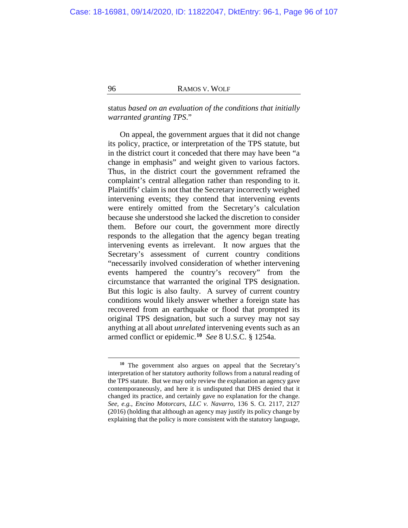status *based on an evaluation of the conditions that initially warranted granting TPS*."

On appeal, the government argues that it did not change its policy, practice, or interpretation of the TPS statute, but in the district court it conceded that there may have been "a change in emphasis" and weight given to various factors. Thus, in the district court the government reframed the complaint's central allegation rather than responding to it. Plaintiffs' claim is not that the Secretary incorrectly weighed intervening events; they contend that intervening events were entirely omitted from the Secretary's calculation because she understood she lacked the discretion to consider them. Before our court, the government more directly responds to the allegation that the agency began treating intervening events as irrelevant. It now argues that the Secretary's assessment of current country conditions "necessarily involved consideration of whether intervening events hampered the country's recovery" from the circumstance that warranted the original TPS designation. But this logic is also faulty. A survey of current country conditions would likely answer whether a foreign state has recovered from an earthquake or flood that prompted its original TPS designation, but such a survey may not say anything at all about *unrelated* intervening events such as an armed conflict or epidemic.**[10](#page-95-0)** *See* 8 U.S.C. § 1254a.

<span id="page-95-0"></span>**<sup>10</sup>** The government also argues on appeal that the Secretary's interpretation of her statutory authority follows from a natural reading of the TPS statute. But we may only review the explanation an agency gave contemporaneously, and here it is undisputed that DHS denied that it changed its practice, and certainly gave no explanation for the change. *See, e.g.*, *Encino Motorcars, LLC v. Navarro*, 136 S. Ct. 2117, 2127 (2016) (holding that although an agency may justify its policy change by explaining that the policy is more consistent with the statutory language,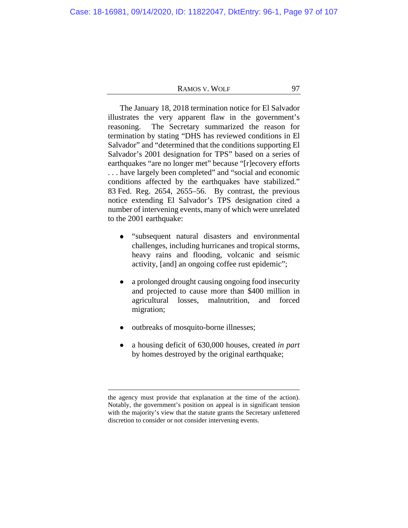The January 18, 2018 termination notice for El Salvador illustrates the very apparent flaw in the government's reasoning. The Secretary summarized the reason for termination by stating "DHS has reviewed conditions in El Salvador" and "determined that the conditions supporting El Salvador's 2001 designation for TPS" based on a series of earthquakes "are no longer met" because "[r]ecovery efforts . . . have largely been completed" and "social and economic conditions affected by the earthquakes have stabilized." 83 Fed. Reg. 2654, 2655–56. By contrast, the previous notice extending El Salvador's TPS designation cited a number of intervening events, many of which were unrelated to the 2001 earthquake:

- "subsequent natural disasters and environmental challenges, including hurricanes and tropical storms, heavy rains and flooding, volcanic and seismic activity, [and] an ongoing coffee rust epidemic";
- $\bullet$ a prolonged drought causing ongoing food insecurity and projected to cause more than \$400 million in agricultural losses, malnutrition, and forced migration;
- outbreaks of mosquito-borne illnesses;
- a housing deficit of 630,000 houses, created *in part* by homes destroyed by the original earthquake;

the agency must provide that explanation at the time of the action). Notably, the government's position on appeal is in significant tension with the majority's view that the statute grants the Secretary unfettered discretion to consider or not consider intervening events.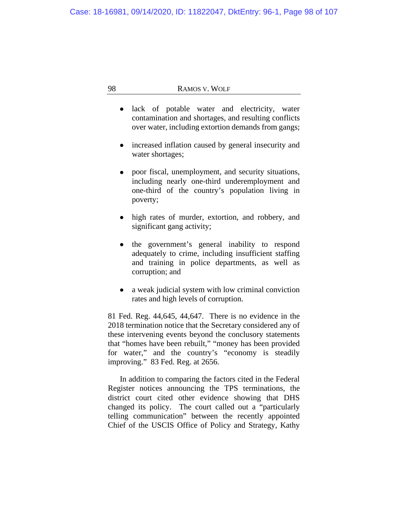- lack of potable water and electricity, water contamination and shortages, and resulting conflicts over water, including extortion demands from gangs;
- increased inflation caused by general insecurity and water shortages;
- poor fiscal, unemployment, and security situations, including nearly one-third underemployment and one-third of the country's population living in poverty;
- high rates of murder, extortion, and robbery, and significant gang activity;
- the government's general inability to respond adequately to crime, including insufficient staffing and training in police departments, as well as corruption; and
- a weak judicial system with low criminal conviction rates and high levels of corruption.

81 Fed. Reg. 44,645, 44,647. There is no evidence in the 2018 termination notice that the Secretary considered any of these intervening events beyond the conclusory statements that "homes have been rebuilt," "money has been provided for water," and the country's "economy is steadily improving." 83 Fed. Reg. at 2656.

In addition to comparing the factors cited in the Federal Register notices announcing the TPS terminations, the district court cited other evidence showing that DHS changed its policy. The court called out a "particularly telling communication" between the recently appointed Chief of the USCIS Office of Policy and Strategy, Kathy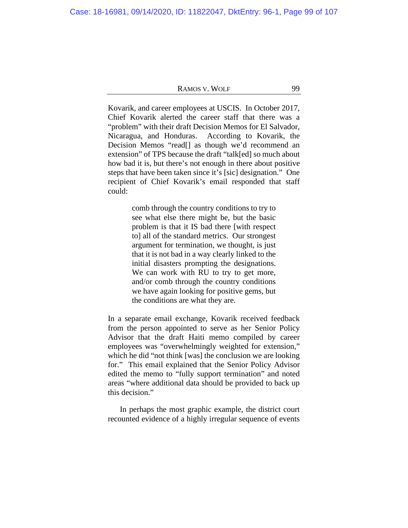Kovarik, and career employees at USCIS. In October 2017, Chief Kovarik alerted the career staff that there was a "problem" with their draft Decision Memos for El Salvador, Nicaragua, and Honduras. According to Kovarik, the Decision Memos "read[] as though we'd recommend an extension" of TPS because the draft "talk[ed] so much about how bad it is, but there's not enough in there about positive steps that have been taken since it's [sic] designation." One recipient of Chief Kovarik's email responded that staff could:

> comb through the country conditions to try to see what else there might be, but the basic problem is that it IS bad there [with respect to] all of the standard metrics. Our strongest argument for termination, we thought, is just that it is not bad in a way clearly linked to the initial disasters prompting the designations. We can work with RU to try to get more, and/or comb through the country conditions we have again looking for positive gems, but the conditions are what they are.

In a separate email exchange, Kovarik received feedback from the person appointed to serve as her Senior Policy Advisor that the draft Haiti memo compiled by career employees was "overwhelmingly weighted for extension," which he did "not think [was] the conclusion we are looking for." This email explained that the Senior Policy Advisor edited the memo to "fully support termination" and noted areas "where additional data should be provided to back up this decision."

In perhaps the most graphic example, the district court recounted evidence of a highly irregular sequence of events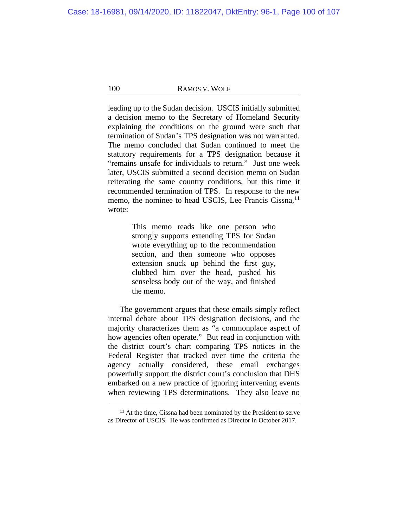leading up to the Sudan decision. USCIS initially submitted a decision memo to the Secretary of Homeland Security explaining the conditions on the ground were such that termination of Sudan's TPS designation was not warranted. The memo concluded that Sudan continued to meet the statutory requirements for a TPS designation because it "remains unsafe for individuals to return." Just one week later, USCIS submitted a second decision memo on Sudan reiterating the same country conditions, but this time it recommended termination of TPS. In response to the new memo, the nominee to head USCIS, Lee Francis Cissna,**[11](#page-99-0)** wrote:

> This memo reads like one person who strongly supports extending TPS for Sudan wrote everything up to the recommendation section, and then someone who opposes extension snuck up behind the first guy, clubbed him over the head, pushed his senseless body out of the way, and finished the memo.

The government argues that these emails simply reflect internal debate about TPS designation decisions, and the majority characterizes them as "a commonplace aspect of how agencies often operate." But read in conjunction with the district court's chart comparing TPS notices in the Federal Register that tracked over time the criteria the agency actually considered, these email exchanges powerfully support the district court's conclusion that DHS embarked on a new practice of ignoring intervening events when reviewing TPS determinations. They also leave no

<span id="page-99-0"></span>**<sup>11</sup>** At the time, Cissna had been nominated by the President to serve as Director of USCIS. He was confirmed as Director in October 2017.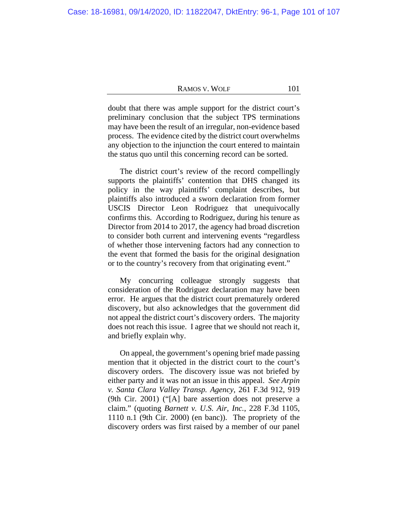doubt that there was ample support for the district court's preliminary conclusion that the subject TPS terminations may have been the result of an irregular, non-evidence based process. The evidence cited by the district court overwhelms any objection to the injunction the court entered to maintain the status quo until this concerning record can be sorted.

The district court's review of the record compellingly supports the plaintiffs' contention that DHS changed its policy in the way plaintiffs' complaint describes, but plaintiffs also introduced a sworn declaration from former USCIS Director Leon Rodriguez that unequivocally confirms this. According to Rodriguez, during his tenure as Director from 2014 to 2017, the agency had broad discretion to consider both current and intervening events "regardless of whether those intervening factors had any connection to the event that formed the basis for the original designation or to the country's recovery from that originating event."

My concurring colleague strongly suggests that consideration of the Rodriguez declaration may have been error. He argues that the district court prematurely ordered discovery, but also acknowledges that the government did not appeal the district court's discovery orders. The majority does not reach this issue. I agree that we should not reach it, and briefly explain why.

On appeal, the government's opening brief made passing mention that it objected in the district court to the court's discovery orders. The discovery issue was not briefed by either party and it was not an issue in this appeal. *See Arpin v. Santa Clara Valley Transp. Agency*, 261 F.3d 912, 919 (9th Cir. 2001) ("[A] bare assertion does not preserve a claim." (quoting *Barnett v. U.S. Air, Inc.*, 228 F.3d 1105, 1110 n.1 (9th Cir. 2000) (en banc)). The propriety of the discovery orders was first raised by a member of our panel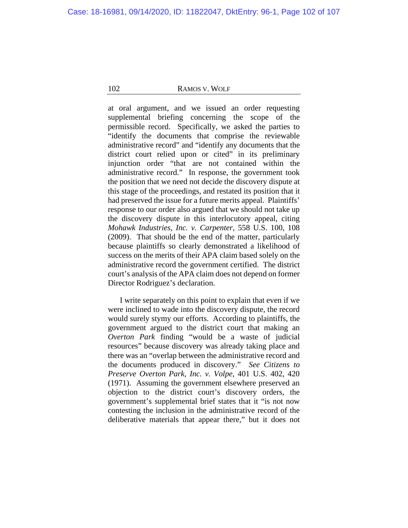at oral argument, and we issued an order requesting supplemental briefing concerning the scope of the permissible record. Specifically, we asked the parties to "identify the documents that comprise the reviewable administrative record" and "identify any documents that the district court relied upon or cited" in its preliminary injunction order "that are not contained within the administrative record." In response, the government took the position that we need not decide the discovery dispute at this stage of the proceedings, and restated its position that it had preserved the issue for a future merits appeal. Plaintiffs' response to our order also argued that we should not take up the discovery dispute in this interlocutory appeal, citing *Mohawk Industries, Inc. v. Carpenter*, 558 U.S. 100, 108 (2009). That should be the end of the matter, particularly because plaintiffs so clearly demonstrated a likelihood of success on the merits of their APA claim based solely on the administrative record the government certified. The district court's analysis of the APA claim does not depend on former Director Rodriguez's declaration.

I write separately on this point to explain that even if we were inclined to wade into the discovery dispute, the record would surely stymy our efforts. According to plaintiffs, the government argued to the district court that making an *Overton Park* finding "would be a waste of judicial resources" because discovery was already taking place and there was an "overlap between the administrative record and the documents produced in discovery." *See Citizens to Preserve Overton Park, Inc. v. Volpe*, 401 U.S. 402, 420 (1971). Assuming the government elsewhere preserved an objection to the district court's discovery orders, the government's supplemental brief states that it "is not now contesting the inclusion in the administrative record of the deliberative materials that appear there," but it does not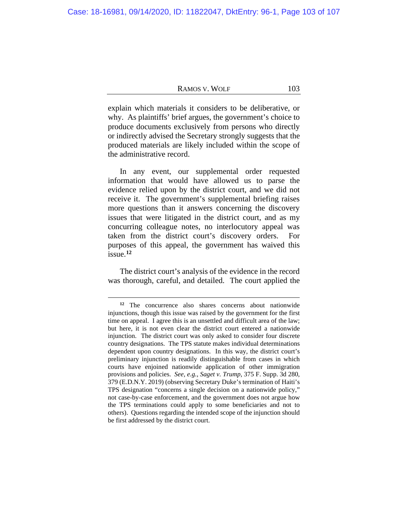explain which materials it considers to be deliberative, or why. As plaintiffs' brief argues, the government's choice to produce documents exclusively from persons who directly or indirectly advised the Secretary strongly suggests that the produced materials are likely included within the scope of the administrative record.

In any event, our supplemental order requested information that would have allowed us to parse the evidence relied upon by the district court, and we did not receive it. The government's supplemental briefing raises more questions than it answers concerning the discovery issues that were litigated in the district court, and as my concurring colleague notes, no interlocutory appeal was taken from the district court's discovery orders. For purposes of this appeal, the government has waived this issue.**[12](#page-102-0)**

The district court's analysis of the evidence in the record was thorough, careful, and detailed. The court applied the

<span id="page-102-0"></span>**<sup>12</sup>** The concurrence also shares concerns about nationwide injunctions, though this issue was raised by the government for the first time on appeal. I agree this is an unsettled and difficult area of the law; but here, it is not even clear the district court entered a nationwide injunction. The district court was only asked to consider four discrete country designations. The TPS statute makes individual determinations dependent upon country designations. In this way, the district court's preliminary injunction is readily distinguishable from cases in which courts have enjoined nationwide application of other immigration provisions and policies. *See, e.g.*, *Saget v. Trump*, 375 F. Supp. 3d 280, 379 (E.D.N.Y. 2019) (observing Secretary Duke's termination of Haiti's TPS designation "concerns a single decision on a nationwide policy," not case-by-case enforcement, and the government does not argue how the TPS terminations could apply to some beneficiaries and not to others). Questions regarding the intended scope of the injunction should be first addressed by the district court.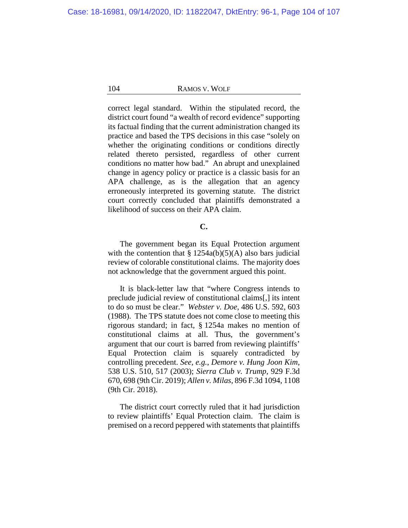correct legal standard. Within the stipulated record, the district court found "a wealth of record evidence" supporting its factual finding that the current administration changed its practice and based the TPS decisions in this case "solely on whether the originating conditions or conditions directly related thereto persisted, regardless of other current conditions no matter how bad." An abrupt and unexplained change in agency policy or practice is a classic basis for an APA challenge, as is the allegation that an agency erroneously interpreted its governing statute. The district court correctly concluded that plaintiffs demonstrated a likelihood of success on their APA claim.

# **C.**

The government began its Equal Protection argument with the contention that  $\S 1254a(b)(5)(A)$  also bars judicial review of colorable constitutional claims. The majority does not acknowledge that the government argued this point.

It is black-letter law that "where Congress intends to preclude judicial review of constitutional claims[,] its intent to do so must be clear." *Webster v. Doe*, 486 U.S. 592, 603 (1988). The TPS statute does not come close to meeting this rigorous standard; in fact, § 1254a makes no mention of constitutional claims at all. Thus, the government's argument that our court is barred from reviewing plaintiffs' Equal Protection claim is squarely contradicted by controlling precedent. *See, e.g.*, *Demore v. Hung Joon Kim*, 538 U.S. 510, 517 (2003); *Sierra Club v. Trump*, 929 F.3d 670, 698 (9th Cir. 2019); *Allen v. Milas*, 896 F.3d 1094, 1108 (9th Cir. 2018).

The district court correctly ruled that it had jurisdiction to review plaintiffs' Equal Protection claim. The claim is premised on a record peppered with statements that plaintiffs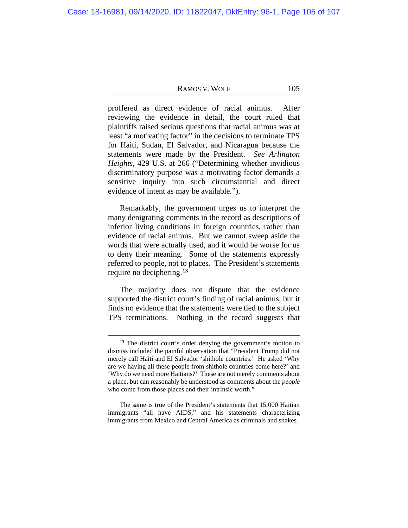proffered as direct evidence of racial animus. After reviewing the evidence in detail, the court ruled that plaintiffs raised serious questions that racial animus was at least "a motivating factor" in the decisions to terminate TPS for Haiti, Sudan, El Salvador, and Nicaragua because the statements were made by the President. *See Arlington Heights*, 429 U.S. at 266 ("Determining whether invidious discriminatory purpose was a motivating factor demands a sensitive inquiry into such circumstantial and direct evidence of intent as may be available.").

Remarkably, the government urges us to interpret the many denigrating comments in the record as descriptions of inferior living conditions in foreign countries, rather than evidence of racial animus.But we cannot sweep aside the words that were actually used, and it would be worse for us to deny their meaning. Some of the statements expressly referred to people, not to places. The President's statements require no deciphering.**[13](#page-104-0)**

The majority does not dispute that the evidence supported the district court's finding of racial animus, but it finds no evidence that the statements were tied to the subject TPS terminations. Nothing in the record suggests that

**<sup>13</sup>** The district court's order denying the government's motion to dismiss included the painful observation that "President Trump did not merely call Haiti and El Salvador 'shithole countries.' He asked 'Why are we having all these people from shithole countries come here?' and 'Why do we need more Haitians?' These are not merely comments about a place, but can reasonably be understood as comments about the *people* who come from those places and their intrinsic worth."

<span id="page-104-0"></span>The same is true of the President's statements that 15,000 Haitian immigrants "all have AIDS," and his statements characterizing immigrants from Mexico and Central America as criminals and snakes.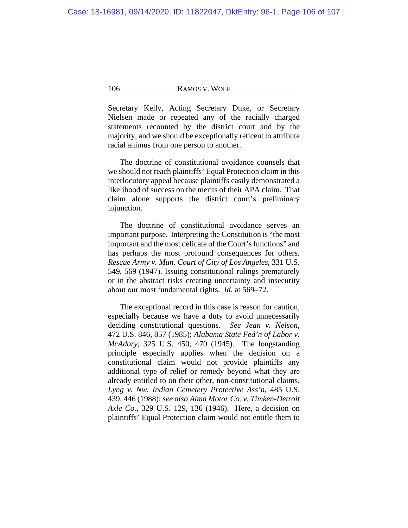Secretary Kelly, Acting Secretary Duke, or Secretary Nielsen made or repeated any of the racially charged statements recounted by the district court and by the majority, and we should be exceptionally reticent to attribute racial animus from one person to another.

The doctrine of constitutional avoidance counsels that we should not reach plaintiffs' Equal Protection claim in this interlocutory appeal because plaintiffs easily demonstrated a likelihood of success on the merits of their APA claim. That claim alone supports the district court's preliminary injunction.

The doctrine of constitutional avoidance serves an important purpose. Interpreting the Constitution is "the most important and the most delicate of the Court's functions" and has perhaps the most profound consequences for others. *Rescue Army v. Mun. Court of City of Los Angeles*, 331 U.S. 549, 569 (1947). Issuing constitutional rulings prematurely or in the abstract risks creating uncertainty and insecurity about our most fundamental rights. *Id.* at 569–72.

The exceptional record in this case is reason for caution, especially because we have a duty to avoid unnecessarily deciding constitutional questions. *See Jean v. Nelson*, 472 U.S. 846, 857 (1985); *Alabama State Fed'n of Labor v. McAdory*, 325 U.S. 450, 470 (1945). The longstanding principle especially applies when the decision on a constitutional claim would not provide plaintiffs any additional type of relief or remedy beyond what they are already entitled to on their other, non-constitutional claims. *Lyng v. Nw. Indian Cemetery Protective Ass'n*, 485 U.S. 439, 446 (1988); *see also Alma Motor Co. v. Timken-Detroit Axle Co.*, 329 U.S. 129, 136 (1946). Here, a decision on plaintiffs' Equal Protection claim would not entitle them to